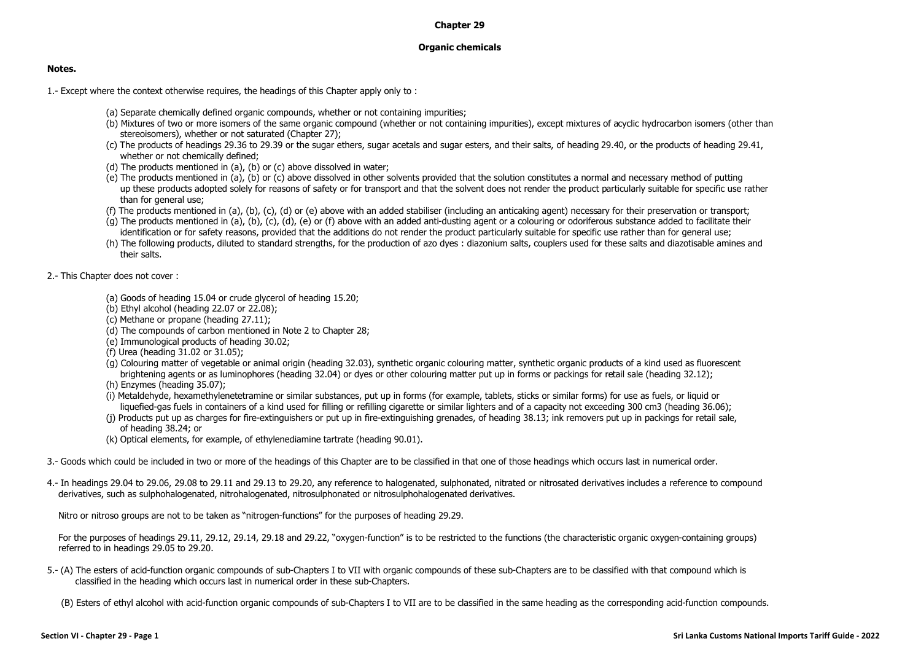## **Chapter 29**

## **Organic chemicals**

## **Notes.**

- 1.- Except where the context otherwise requires, the headings of this Chapter apply only to :
	- (a) Separate chemically defined organic compounds, whether or not containing impurities;
	- (b) Mixtures of two or more isomers of the same organic compound (whether or not containing impurities), except mixtures of acyclic hydrocarbon isomers (other than stereoisomers), whether or not saturated (Chapter 27);
	- (c) The products of headings 29.36 to 29.39 or the sugar ethers, sugar acetals and sugar esters, and their salts, of heading 29.40, or the products of heading 29.41, whether or not chemically defined;
	- (d) The products mentioned in (a), (b) or (c) above dissolved in water;
	- (e) The products mentioned in (a), (b) or (c) above dissolved in other solvents provided that the solution constitutes a normal and necessary method of putting up these products adopted solely for reasons of safety or for transport and that the solvent does not render the product particularly suitable for specific use rather than for general use;
	- (f) The products mentioned in (a), (b), (c), (d) or (e) above with an added stabiliser (including an anticaking agent) necessary for their preservation or transport;
	- (g) The products mentioned in (a), (b), (c), (d), (e) or (f) above with an added anti-dusting agent or a colouring or odoriferous substance added to facilitate their identification or for safety reasons, provided that the additions do not render the product particularly suitable for specific use rather than for general use;
	- (h) The following products, diluted to standard strengths, for the production of azo dyes : diazonium salts, couplers used for these salts and diazotisable amines and their salts.
- 2.- This Chapter does not cover :
	- (a) Goods of heading 15.04 or crude glycerol of heading 15.20;
	- (b) Ethyl alcohol (heading 22.07 or 22.08);
	- (c) Methane or propane (heading 27.11);
	- (d) The compounds of carbon mentioned in Note 2 to Chapter 28;
	- (e) Immunological products of heading 30.02;
	- (f) Urea (heading 31.02 or 31.05);
	- (g) Colouring matter of vegetable or animal origin (heading 32.03), synthetic organic colouring matter, synthetic organic products of a kind used as fluorescent brightening agents or as luminophores (heading 32.04) or dyes or other colouring matter put up in forms or packings for retail sale (heading 32.12);
	- (h) Enzymes (heading 35.07);
	- (i) Metaldehyde, hexamethylenetetramine or similar substances, put up in forms (for example, tablets, sticks or similar forms) for use as fuels, or liquid or liquefied-gas fuels in containers of a kind used for filling or refilling cigarette or similar lighters and of a capacity not exceeding 300 cm3 (heading 36.06);
	- (j) Products put up as charges for fire-extinguishers or put up in fire-extinguishing grenades, of heading 38.13; ink removers put up in packings for retail sale, of heading 38.24; or
	- (k) Optical elements, for example, of ethylenediamine tartrate (heading 90.01).
- 3.- Goods which could be included in two or more of the headings of this Chapter are to be classified in that one of those headings which occurs last in numerical order.
- 4.- In headings 29.04 to 29.06, 29.08 to 29.11 and 29.13 to 29.20, any reference to halogenated, sulphonated, nitrated or nitrosated derivatives includes a reference to compound derivatives, such as sulphohalogenated, nitrohalogenated, nitrosulphonated or nitrosulphohalogenated derivatives.

Nitro or nitroso groups are not to be taken as "nitrogen-functions" for the purposes of heading 29.29.

For the purposes of headings 29.11, 29.12, 29.14, 29.18 and 29.22, "oxygen-function" is to be restricted to the functions (the characteristic organic oxygen-containing groups) referred to in headings 29.05 to 29.20.

5.- (A) The esters of acid-function organic compounds of sub-Chapters I to VII with organic compounds of these sub-Chapters are to be classified with that compound which is classified in the heading which occurs last in numerical order in these sub-Chapters.

(B) Esters of ethyl alcohol with acid-function organic compounds of sub-Chapters I to VII are to be classified in the same heading as the corresponding acid-function compounds.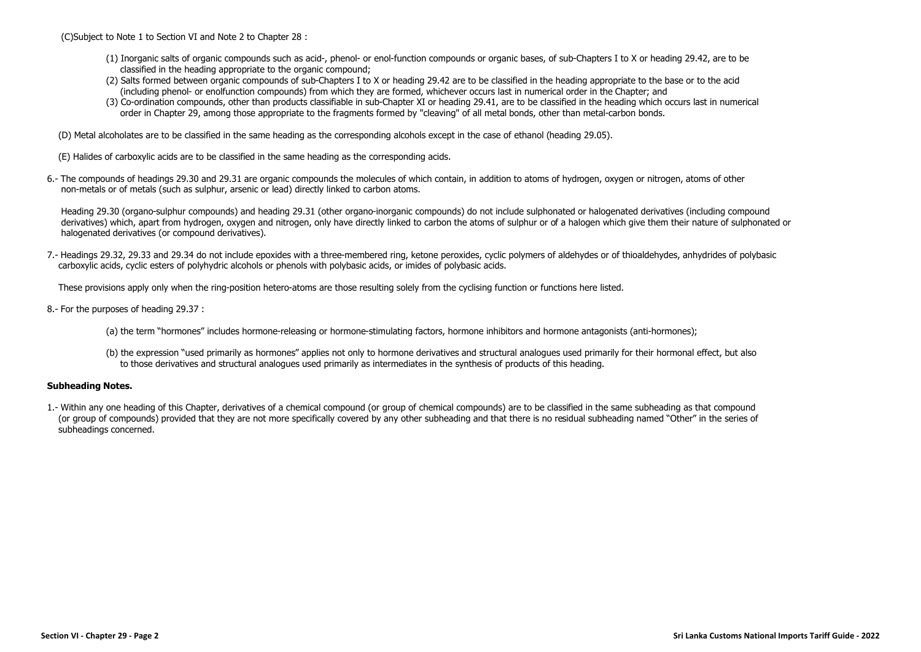(C)Subject to Note 1 to Section VI and Note 2 to Chapter 28 :

- (1) Inorganic salts of organic compounds such as acid-, phenol- or enol-function compounds or organic bases, of sub-Chapters I to X or heading 29.42, are to be classified in the heading appropriate to the organic compound;
- (2) Salts formed between organic compounds of sub-Chapters I to X or heading 29.42 are to be classified in the heading appropriate to the base or to the acid (including phenol- or enolfunction compounds) from which they are formed, whichever occurs last in numerical order in the Chapter; and
- (3) Co-ordination compounds, other than products classifiable in sub-Chapter XI or heading 29.41, are to be classified in the heading which occurs last in numerical order in Chapter 29, among those appropriate to the fragments formed by "cleaving" of all metal bonds, other than metal-carbon bonds.

(D) Metal alcoholates are to be classified in the same heading as the corresponding alcohols except in the case of ethanol (heading 29.05).

(E) Halides of carboxylic acids are to be classified in the same heading as the corresponding acids.

6.- The compounds of headings 29.30 and 29.31 are organic compounds the molecules of which contain, in addition to atoms of hydrogen, oxygen or nitrogen, atoms of other non-metals or of metals (such as sulphur, arsenic or lead) directly linked to carbon atoms.

Heading 29.30 (organo-sulphur compounds) and heading 29.31 (other organo-inorganic compounds) do not include sulphonated or halogenated derivatives (including compound derivatives) which, apart from hydrogen, oxygen and nitrogen, only have directly linked to carbon the atoms of sulphur or of a halogen which give them their nature of sulphonated or halogenated derivatives (or compound derivatives).

7.- Headings 29.32, 29.33 and 29.34 do not include epoxides with a three-membered ring, ketone peroxides, cyclic polymers of aldehydes or of thioaldehydes, anhydrides of polybasic carboxylic acids, cyclic esters of polyhydric alcohols or phenols with polybasic acids, or imides of polybasic acids.

These provisions apply only when the ring-position hetero-atoms are those resulting solely from the cyclising function or functions here listed.

8.- For the purposes of heading 29.37 :

(a) the term "hormones" includes hormone-releasing or hormone-stimulating factors, hormone inhibitors and hormone antagonists (anti-hormones);

(b) the expression "used primarily as hormones" applies not only to hormone derivatives and structural analogues used primarily for their hormonal effect, but also to those derivatives and structural analogues used primarily as intermediates in the synthesis of products of this heading.

## **Subheading Notes.**

1.- Within any one heading of this Chapter, derivatives of a chemical compound (or group of chemical compounds) are to be classified in the same subheading as that compound (or group of compounds) provided that they are not more specifically covered by any other subheading and that there is no residual subheading named "Other" in the series of subheadings concerned.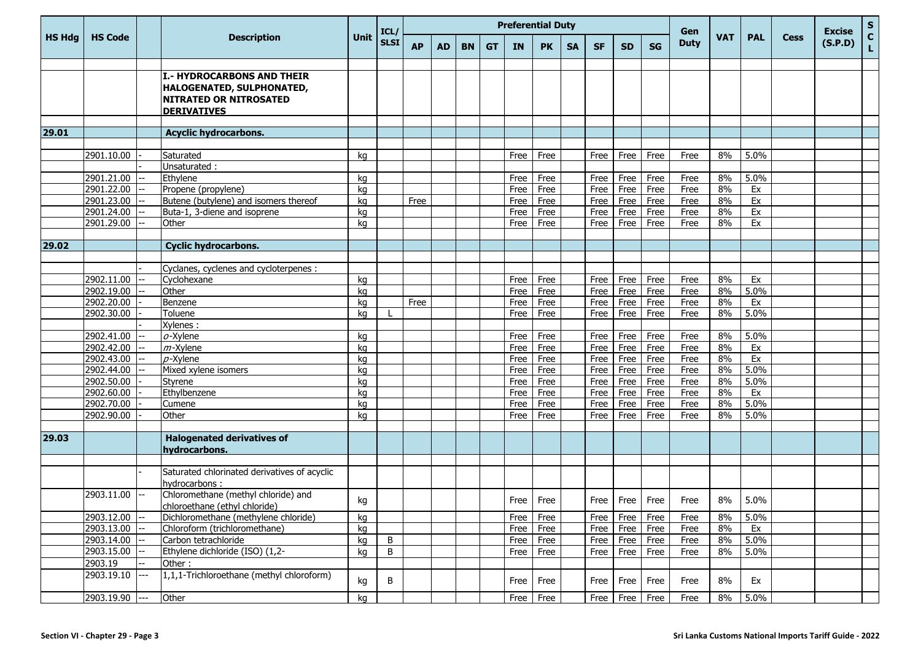|               |                |     |                                                                                                                |             | ICL/        |           |     |           |           | <b>Preferential Duty</b> |           |           |      |                |           | Gen         |            |            |             | <b>Excise</b> | ${\sf s}$          |
|---------------|----------------|-----|----------------------------------------------------------------------------------------------------------------|-------------|-------------|-----------|-----|-----------|-----------|--------------------------|-----------|-----------|------|----------------|-----------|-------------|------------|------------|-------------|---------------|--------------------|
| <b>HS Hdg</b> | <b>HS Code</b> |     | <b>Description</b>                                                                                             | <b>Unit</b> | <b>SLSI</b> | <b>AP</b> | AD. | <b>BN</b> | <b>GT</b> | <b>IN</b>                | <b>PK</b> | <b>SA</b> | SF.  | <b>SD</b>      | <b>SG</b> | <b>Duty</b> | <b>VAT</b> | <b>PAL</b> | <b>Cess</b> | (S.P.D)       | $\mathbf{C}$<br>L. |
|               |                |     | I.- HYDROCARBONS AND THEIR<br>HALOGENATED, SULPHONATED,<br><b>NITRATED OR NITROSATED</b><br><b>DERIVATIVES</b> |             |             |           |     |           |           |                          |           |           |      |                |           |             |            |            |             |               |                    |
| 29.01         |                |     | <b>Acyclic hydrocarbons.</b>                                                                                   |             |             |           |     |           |           |                          |           |           |      |                |           |             |            |            |             |               |                    |
|               |                |     |                                                                                                                |             |             |           |     |           |           |                          |           |           |      |                |           |             |            |            |             |               |                    |
|               | 2901.10.00     |     | Saturated                                                                                                      | kg          |             |           |     |           |           | Free                     | Free      |           | Free | Free           | Free      | Free        | 8%         | 5.0%       |             |               |                    |
|               |                |     | Unsaturated:                                                                                                   |             |             |           |     |           |           |                          |           |           |      |                |           |             |            |            |             |               |                    |
|               | 2901.21.00     |     | Ethylene                                                                                                       | kg          |             |           |     |           |           | Free                     | Free      |           | Free | Free           | Free      | Free        | 8%         | 5.0%       |             |               |                    |
|               | 2901.22.00     |     | Propene (propylene)                                                                                            | kg          |             |           |     |           |           | Free                     | Free      |           | Free | Free           | Free      | Free        | 8%         | Ex         |             |               |                    |
|               | 2901.23.00     |     | Butene (butylene) and isomers thereof                                                                          | kg          |             | Free      |     |           |           | Free                     | Free      |           | Free | Free           | Free      | Free        | 8%         | Ex         |             |               |                    |
|               | 2901.24.00     |     | Buta-1, 3-diene and isoprene                                                                                   | kg          |             |           |     |           |           | Free                     | Free      |           | Free | Free           | Free      | Free        | 8%         | Ex         |             |               |                    |
|               | 2901.29.00     |     | Other                                                                                                          | kg          |             |           |     |           |           | Free                     | Free      |           | Free | Free           | Free      | Free        | 8%         | Ex         |             |               |                    |
| 29.02         |                |     |                                                                                                                |             |             |           |     |           |           |                          |           |           |      |                |           |             |            |            |             |               |                    |
|               |                |     | <b>Cyclic hydrocarbons.</b>                                                                                    |             |             |           |     |           |           |                          |           |           |      |                |           |             |            |            |             |               |                    |
|               |                |     | Cyclanes, cyclenes and cycloterpenes :                                                                         |             |             |           |     |           |           |                          |           |           |      |                |           |             |            |            |             |               |                    |
|               | 2902.11.00     |     | Cyclohexane                                                                                                    | kg          |             |           |     |           |           | Free                     | Free      |           | Free | Free           | Free      | Free        | 8%         | Ex         |             |               |                    |
|               | 2902.19.00     |     | Other                                                                                                          | kg          |             |           |     |           |           | Free                     | Free      |           | Free | Free           | Free      | Free        | 8%         | 5.0%       |             |               |                    |
|               | 2902.20.00     |     | Benzene                                                                                                        | kg          |             | Free      |     |           |           | Free                     | Free      |           | Free | Free           | Free      | Free        | 8%         | Ex         |             |               |                    |
|               | 2902.30.00     |     | Toluene                                                                                                        | kg          |             |           |     |           |           | Free                     | Free      |           | Free | Free           | Free      | Free        | 8%         | 5.0%       |             |               |                    |
|               |                |     | Xylenes:                                                                                                       |             |             |           |     |           |           |                          |           |           |      |                |           |             |            |            |             |               |                    |
|               | 2902.41.00     |     | $o$ -Xylene                                                                                                    | kg          |             |           |     |           |           | Free                     | Free      |           | Free | Free           | Free      | Free        | 8%         | 5.0%       |             |               |                    |
|               | 2902.42.00     |     | $m$ -Xylene                                                                                                    | kg          |             |           |     |           |           | Free                     | Free      |           | Free | Free           | Free      | Free        | 8%         | Ex         |             |               |                    |
|               | 2902.43.00     |     | $p$ -Xylene                                                                                                    | kg          |             |           |     |           |           | Free                     | Free      |           | Free | Free           | Free      | Free        | 8%         | Ex         |             |               |                    |
|               | 2902.44.00     |     | Mixed xylene isomers                                                                                           | kg          |             |           |     |           |           | Free                     | Free      |           | Free | Free           | Free      | Free        | 8%         | 5.0%       |             |               |                    |
|               | 2902.50.00     |     | Styrene                                                                                                        | kg          |             |           |     |           |           | Free                     | Free      |           | Free | Free           | Free      | Free        | 8%         | 5.0%       |             |               |                    |
|               | 2902.60.00     |     | Ethylbenzene                                                                                                   | kg          |             |           |     |           |           | Free                     | Free      |           | Free | Free           | Free      | Free        | 8%         | Ex         |             |               |                    |
|               | 2902.70.00     |     | Cumene                                                                                                         | kg          |             |           |     |           |           | Free                     | Free      |           | Free | Free           | Free      | Free        | 8%         | 5.0%       |             |               |                    |
|               | 2902.90.00     |     | Other                                                                                                          | kg          |             |           |     |           |           | Free                     | Free      |           | Free | Free           | Free      | Free        | 8%         | 5.0%       |             |               |                    |
| 29.03         |                |     | <b>Halogenated derivatives of</b><br>hydrocarbons.                                                             |             |             |           |     |           |           |                          |           |           |      |                |           |             |            |            |             |               |                    |
|               |                |     |                                                                                                                |             |             |           |     |           |           |                          |           |           |      |                |           |             |            |            |             |               |                    |
|               |                |     | Saturated chlorinated derivatives of acyclic<br>hydrocarbons:                                                  |             |             |           |     |           |           |                          |           |           |      |                |           |             |            |            |             |               |                    |
|               | 2903.11.00     |     | Chloromethane (methyl chloride) and                                                                            | kg          |             |           |     |           |           | Free                     | Free      |           | Free | Free l         | Free      | Free        | 8%         | $5.0\%$    |             |               |                    |
|               |                |     | chloroethane (ethyl chloride)                                                                                  |             |             |           |     |           |           |                          |           |           |      |                |           |             |            |            |             |               |                    |
|               | 2903.12.00     |     | Dichloromethane (methylene chloride)                                                                           | kg          |             |           |     |           |           | Free Free                |           |           |      | Free Free      | Free      | Free        | 8%         | 5.0%       |             |               |                    |
|               | 2903.13.00     |     | Chloroform (trichloromethane)                                                                                  | kg          |             |           |     |           |           | Free                     | Free      |           |      | Free Free      | Free      | Free        | 8%         | Ex         |             |               |                    |
|               | 2903.14.00     | щ.  | Carbon tetrachloride                                                                                           | kg          | $\sf B$     |           |     |           |           | Free                     | Free      |           |      | Free Free      | Free      | Free        | 8%         | 5.0%       |             |               |                    |
|               | 2903.15.00     |     | Ethylene dichloride (ISO) (1,2-                                                                                | kg          | B           |           |     |           |           | Free Free                |           |           | Free | Free           | Free      | Free        | 8%         | 5.0%       |             |               |                    |
|               | 2903.19        |     | Other:                                                                                                         |             |             |           |     |           |           |                          |           |           |      |                |           |             |            |            |             |               |                    |
|               | 2903.19.10     | --- | 1,1,1-Trichloroethane (methyl chloroform)                                                                      | kg          | B           |           |     |           |           | Free Free                |           |           | Free | Free           | Free      | Free        | 8%         | Ex         |             |               |                    |
|               | 2903.19.90 --- |     | Other                                                                                                          | kg          |             |           |     |           |           |                          | Free Free |           |      | Free Free Free |           | Free        | 8%         | 5.0%       |             |               |                    |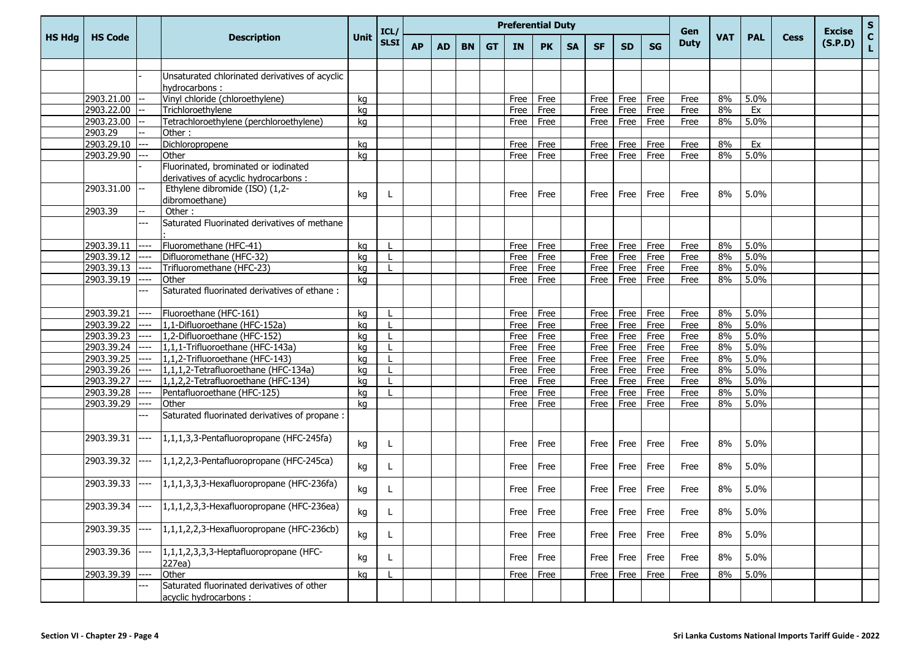| Gen<br>ICL/<br><b>Unit</b><br><b>HS Hdg</b><br><b>HS Code</b><br><b>Description</b><br><b>SLSI</b><br><b>Duty</b><br><b>AP</b><br><b>PK</b><br><b>BN</b><br><b>GT</b><br><b>IN</b><br><b>SA</b><br><b>SF</b><br><b>SD</b><br><b>SG</b><br>AD.<br>Unsaturated chlorinated derivatives of acyclic<br>hydrocarbons:<br>2903.21.00<br>Vinyl chloride (chloroethylene)<br>kg<br>Free<br>Free<br>Free<br>Free<br>Free<br>Free | <b>VAT</b><br>8%<br>8%<br>8%<br>8%<br>8% | <b>PAL</b><br>5.0%<br>Ex<br>5.0% | <b>Cess</b> | <b>Excise</b><br>(S.P.D) | $\mathbf{C}$<br>L. |
|-------------------------------------------------------------------------------------------------------------------------------------------------------------------------------------------------------------------------------------------------------------------------------------------------------------------------------------------------------------------------------------------------------------------------|------------------------------------------|----------------------------------|-------------|--------------------------|--------------------|
|                                                                                                                                                                                                                                                                                                                                                                                                                         |                                          |                                  |             |                          |                    |
|                                                                                                                                                                                                                                                                                                                                                                                                                         |                                          |                                  |             |                          |                    |
|                                                                                                                                                                                                                                                                                                                                                                                                                         |                                          |                                  |             |                          |                    |
|                                                                                                                                                                                                                                                                                                                                                                                                                         |                                          |                                  |             |                          |                    |
|                                                                                                                                                                                                                                                                                                                                                                                                                         |                                          |                                  |             |                          |                    |
| 2903.22.00<br>Trichloroethylene<br>kg<br>Free<br>Free<br>Free<br>Free<br>Free<br>Free                                                                                                                                                                                                                                                                                                                                   |                                          |                                  |             |                          |                    |
| 2903.23.00<br>Free<br>Tetrachloroethylene (perchloroethylene)<br>Free<br>Free<br>Free<br>Free<br>Free<br>kg                                                                                                                                                                                                                                                                                                             |                                          |                                  |             |                          |                    |
| 2903.29<br>Other:                                                                                                                                                                                                                                                                                                                                                                                                       |                                          |                                  |             |                          |                    |
| 2903.29.10<br>Dichloropropene<br>---<br>Free<br>Free<br>Free<br>Free<br>Free<br>Free<br>kq                                                                                                                                                                                                                                                                                                                              |                                          | Ex                               |             |                          |                    |
| 2903.29.90<br>Other<br>Free<br>kg<br>Free<br>Free<br>Free<br>Free<br>Free                                                                                                                                                                                                                                                                                                                                               |                                          | 5.0%                             |             |                          |                    |
| Fluorinated, brominated or iodinated                                                                                                                                                                                                                                                                                                                                                                                    |                                          |                                  |             |                          |                    |
| derivatives of acyclic hydrocarbons :                                                                                                                                                                                                                                                                                                                                                                                   |                                          |                                  |             |                          |                    |
| Ethylene dibromide (ISO) (1,2-<br>2903.31.00<br>Free<br>Free<br>Free<br>Free<br>Free<br>Free<br>kg<br>L                                                                                                                                                                                                                                                                                                                 | 8%                                       | 5.0%                             |             |                          |                    |
| dibromoethane)                                                                                                                                                                                                                                                                                                                                                                                                          |                                          |                                  |             |                          |                    |
| 2903.39<br>Other:<br>Saturated Fluorinated derivatives of methane                                                                                                                                                                                                                                                                                                                                                       |                                          |                                  |             |                          |                    |
|                                                                                                                                                                                                                                                                                                                                                                                                                         |                                          |                                  |             |                          |                    |
| 2903.39.11                                                                                                                                                                                                                                                                                                                                                                                                              |                                          | 5.0%                             |             |                          |                    |
| Free<br>Fluoromethane (HFC-41)<br>kg<br>Free<br>Free<br>Free<br>Free<br>$---$<br>Free<br>2903.39.12<br>Difluoromethane (HFC-32)<br>Free<br>----                                                                                                                                                                                                                                                                         | 8%<br>8%                                 | 5.0%                             |             |                          |                    |
| kg<br>Free<br>Free<br>Free<br>Free<br>Free<br>2903.39.13<br>Trifluoromethane (HFC-23)<br>Free<br>Free<br>Free<br>Free<br>kg<br>Free<br>Free<br>$---$                                                                                                                                                                                                                                                                    | 8%                                       | 5.0%                             |             |                          |                    |
| 2903.39.19<br>Other<br>Free<br>Free<br>Free<br>Free<br>kg<br>Free<br>Free<br>----                                                                                                                                                                                                                                                                                                                                       | 8%                                       | 5.0%                             |             |                          |                    |
| Saturated fluorinated derivatives of ethane:                                                                                                                                                                                                                                                                                                                                                                            |                                          |                                  |             |                          |                    |
|                                                                                                                                                                                                                                                                                                                                                                                                                         |                                          |                                  |             |                          |                    |
| 2903.39.21<br>Fluoroethane (HFC-161)<br>Free<br>Free<br>Free<br>Free<br>Free<br>Free<br>kg<br>----                                                                                                                                                                                                                                                                                                                      | 8%                                       | 5.0%                             |             |                          |                    |
| 2903.39.22<br>1,1-Difluoroethane (HFC-152a)<br>Free<br>Free<br>Free<br>Free<br>Free<br>Free<br>kq<br>----                                                                                                                                                                                                                                                                                                               | 8%                                       | 5.0%                             |             |                          |                    |
| 2903.39.23<br>1,2-Difluoroethane (HFC-152)<br>kg<br>Free<br>Free<br>Free<br>Free<br>$\cdots$<br>Free<br>Free                                                                                                                                                                                                                                                                                                            | 8%                                       | 5.0%                             |             |                          |                    |
| 2903.39.24<br>1,1,1-Trifluoroethane (HFC-143a)<br>Free<br>Free<br>Free<br>Free<br> ----<br>kg<br>Free<br>Free                                                                                                                                                                                                                                                                                                           | 8%                                       | 5.0%                             |             |                          |                    |
| 2903.39.25<br>1,1,2-Trifluoroethane (HFC-143)<br>kg<br>Free<br>Free<br>Free<br>Free<br>Free<br>Free<br>----                                                                                                                                                                                                                                                                                                             | 8%                                       | 5.0%                             |             |                          |                    |
| 2903.39.26<br>1,1,1,2-Tetrafluoroethane (HFC-134a)<br>Free<br>Free<br>Free<br>kg<br>Free<br>Free<br>Free<br>$---$                                                                                                                                                                                                                                                                                                       | 8%                                       | 5.0%                             |             |                          |                    |
| 2903.39.27<br>1,1,2,2-Tetrafluoroethane (HFC-134)<br>----<br>Free<br>Free<br>Free<br>kg<br>Free<br>Free<br>Free                                                                                                                                                                                                                                                                                                         | 8%                                       | 5.0%                             |             |                          |                    |
| 2903.39.28<br>Pentafluoroethane (HFC-125)<br>kg<br>Free<br>Free<br>Free<br>Free<br>Free<br>Free<br>$\cdots$                                                                                                                                                                                                                                                                                                             | 8%                                       | 5.0%                             |             |                          |                    |
| 2903.39.29<br>Free<br>Other<br>kg<br>Free<br>Free<br>Free<br>Free<br>Free<br>----                                                                                                                                                                                                                                                                                                                                       | 8%                                       | 5.0%                             |             |                          |                    |
| Saturated fluorinated derivatives of propane :                                                                                                                                                                                                                                                                                                                                                                          |                                          |                                  |             |                          |                    |
| 2903.39.31<br>1,1,1,3,3-Pentafluoropropane (HFC-245fa)<br>$--- -$<br>kg<br>Free<br>Free<br>Free<br>Free<br>Free<br>Free<br>L                                                                                                                                                                                                                                                                                            | 8%                                       | 5.0%                             |             |                          |                    |
| 2903.39.32<br>1,1,2,2,3-Pentafluoropropane (HFC-245ca)<br>$--- -$<br>Free<br>kg<br>Free<br>Free<br>Free<br>Free<br>Free<br>L                                                                                                                                                                                                                                                                                            | 8%                                       | 5.0%                             |             |                          |                    |
|                                                                                                                                                                                                                                                                                                                                                                                                                         |                                          |                                  |             |                          |                    |
| 2903.39.33<br>$1,1,1,3,3,3$ -Hexafluoropropane (HFC-236fa)<br> ----<br>kg<br>Free<br>Free<br>Free<br>Free<br>Free<br>Free                                                                                                                                                                                                                                                                                               | 8%                                       | 5.0%                             |             |                          |                    |
| 2903.39.34 ----   1,1,1,2,3,3-Hexafluoropropane (HFC-236ea)<br>Free Free<br>Free Free<br>kg<br>Free  <br>Free<br>L.                                                                                                                                                                                                                                                                                                     | 8%                                       | 5.0%                             |             |                          |                    |
|                                                                                                                                                                                                                                                                                                                                                                                                                         |                                          |                                  |             |                          |                    |
| 2903.39.35<br>1,1,1,2,2,3-Hexafluoropropane (HFC-236cb)<br>----<br>kg<br>Free Free<br>Free<br>Free<br>Free<br>Free<br>L                                                                                                                                                                                                                                                                                                 | 8%                                       | 5.0%                             |             |                          |                    |
| 2903.39.36<br>1,1,1,2,3,3,3-Heptafluoropropane (HFC-<br>----<br>Free Free<br>Free<br>Free<br>kg<br>Free<br>Free<br>227ea)                                                                                                                                                                                                                                                                                               | 8%                                       | 5.0%                             |             |                          |                    |
| 2903.39.39<br>Other<br>kg<br>Free Free<br>Free<br>Free<br>Free<br>Free<br>----                                                                                                                                                                                                                                                                                                                                          | 8%                                       | 5.0%                             |             |                          |                    |
| Saturated fluorinated derivatives of other                                                                                                                                                                                                                                                                                                                                                                              |                                          |                                  |             |                          |                    |
| acyclic hydrocarbons:                                                                                                                                                                                                                                                                                                                                                                                                   |                                          |                                  |             |                          |                    |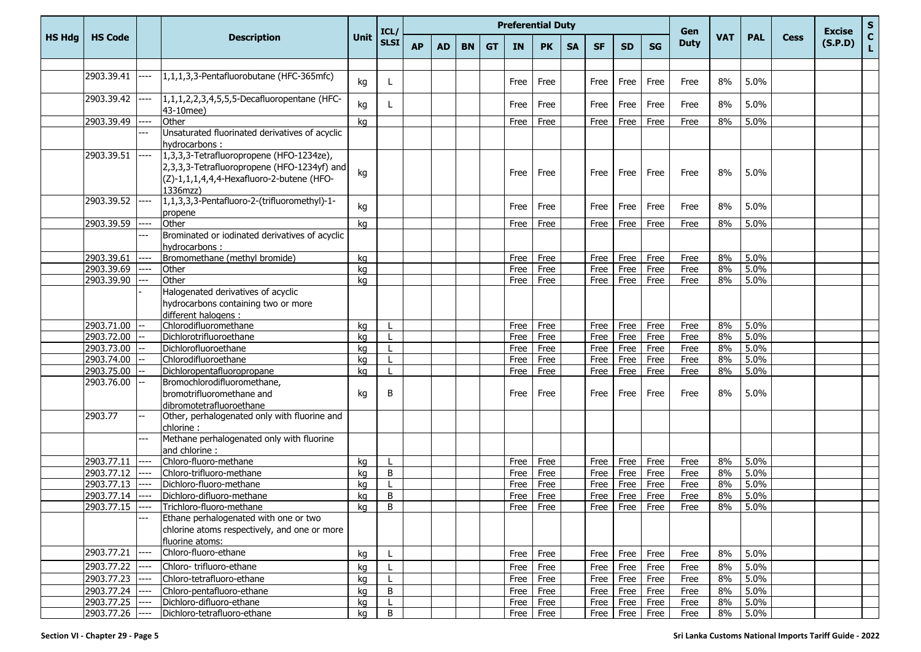|               |                |      |                                                                                                                                                  |             | ICL/            |           |           |           |           |           | <b>Preferential Duty</b> |           |             |                    |           | Gen                       |            |            |             | <b>Excise</b> | ${\sf s}$     |
|---------------|----------------|------|--------------------------------------------------------------------------------------------------------------------------------------------------|-------------|-----------------|-----------|-----------|-----------|-----------|-----------|--------------------------|-----------|-------------|--------------------|-----------|---------------------------|------------|------------|-------------|---------------|---------------|
| <b>HS Hdg</b> | <b>HS Code</b> |      | <b>Description</b>                                                                                                                               | <b>Unit</b> | <b>SLSI</b>     | <b>AP</b> | <b>AD</b> | <b>BN</b> | <b>GT</b> | <b>IN</b> | <b>PK</b>                | <b>SA</b> | <b>SF</b>   | <b>SD</b>          | <b>SG</b> | <b>Duty</b>               | <b>VAT</b> | <b>PAL</b> | <b>Cess</b> | (S.P.D)       | $\frac{c}{L}$ |
|               |                |      |                                                                                                                                                  |             |                 |           |           |           |           |           |                          |           |             |                    |           |                           |            |            |             |               |               |
|               | 2903.39.41     |      | 1,1,1,3,3-Pentafluorobutane (HFC-365mfc)                                                                                                         | kg          | L               |           |           |           |           | Free      | Free                     |           | Free        | Free               | Free      | Free                      | 8%         | 5.0%       |             |               |               |
|               | 2903.39.42     |      | 1,1,1,2,2,3,4,5,5,5-Decafluoropentane (HFC-<br>43-10mee)                                                                                         | kg          |                 |           |           |           |           | Free      | Free                     |           | Free        | Free               | Free      | Free                      | 8%         | 5.0%       |             |               |               |
|               | 2903.39.49     | ---- | Other                                                                                                                                            | ka          |                 |           |           |           |           | Free      | Free                     |           | Free        | Free               | Free      | Free                      | 8%         | 5.0%       |             |               |               |
|               |                |      | Unsaturated fluorinated derivatives of acyclic<br>hydrocarbons:                                                                                  |             |                 |           |           |           |           |           |                          |           |             |                    |           |                           |            |            |             |               |               |
|               | 2903.39.51     |      | 1,3,3,3-Tetrafluoropropene (HFO-1234ze),<br>2,3,3,3-Tetrafluoropropene (HFO-1234yf) and<br>(Z)-1,1,1,4,4,4-Hexafluoro-2-butene (HFO-<br>1336mzz) | kg          |                 |           |           |           |           | Free      | Free                     |           | Free        | Free               | Free      | Free                      | 8%         | 5.0%       |             |               |               |
|               | 2903.39.52     |      | 1,1,3,3,3-Pentafluoro-2-(trifluoromethyl)-1-<br>propene                                                                                          | kg          |                 |           |           |           |           | Free      | Free                     |           | Free        | Free               | Free      | Free                      | 8%         | 5.0%       |             |               |               |
|               | 2903.39.59     | ---- | Other                                                                                                                                            | kg          |                 |           |           |           |           | Free      | Free                     |           | Free        | Free               | Free      | Free                      | 8%         | 5.0%       |             |               |               |
|               |                |      | Brominated or iodinated derivatives of acyclic<br>hydrocarbons:                                                                                  |             |                 |           |           |           |           |           |                          |           |             |                    |           |                           |            |            |             |               |               |
|               | 2903.39.61     |      | Bromomethane (methyl bromide)                                                                                                                    | kg          |                 |           |           |           |           | Free      | Free                     |           | Free        | Free               | Free      | Free                      | 8%         | 5.0%       |             |               |               |
|               | 2903.39.69     |      | Other                                                                                                                                            | kg          |                 |           |           |           |           | Free      | Free                     |           | Free        | Free               | Free      | Free                      | 8%         | 5.0%       |             |               |               |
|               | 2903.39.90     |      | Other                                                                                                                                            | kg          |                 |           |           |           |           | Free      | Free                     |           | Free        | Free               | Free      | Free                      | 8%         | 5.0%       |             |               |               |
|               |                |      | Halogenated derivatives of acyclic<br>hydrocarbons containing two or more<br>different halogens :                                                |             |                 |           |           |           |           |           |                          |           |             |                    |           |                           |            |            |             |               |               |
|               | 2903.71.00     |      | Chlorodifluoromethane                                                                                                                            | ka          |                 |           |           |           |           | Free      | Free                     |           | Free        | Free               | Free      | Free                      | 8%         | 5.0%       |             |               |               |
|               | 2903.72.00     |      | Dichlorotrifluoroethane                                                                                                                          | kg          |                 |           |           |           |           | Free      | Free                     |           | Free        | Free               | Free      | Free                      | 8%         | 5.0%       |             |               |               |
|               | 2903.73.00     |      | Dichlorofluoroethane                                                                                                                             | kg          |                 |           |           |           |           | Free      | Free                     |           | Free        | Free               | Free      | Free                      | 8%         | 5.0%       |             |               |               |
|               | 2903.74.00     |      | Chlorodifluoroethane                                                                                                                             | kg          |                 |           |           |           |           | Free      | Free                     |           | Free        | Free               | Free      | Free                      | 8%         | 5.0%       |             |               |               |
|               | 2903.75.00     |      | Dichloropentafluoropropane                                                                                                                       | kg          |                 |           |           |           |           | Free      | Free                     |           | Free        | Free               | Free      | Free                      | 8%         | 5.0%       |             |               |               |
|               | 2903.76.00     |      | Bromochlorodifluoromethane,<br>bromotrifluoromethane and<br>dibromotetrafluoroethane                                                             | kg          | B               |           |           |           |           | Free      | Free                     |           | Free        | Free               | Free      | Free                      | 8%         | 5.0%       |             |               |               |
|               | 2903.77        |      | Other, perhalogenated only with fluorine and<br>chlorine:                                                                                        |             |                 |           |           |           |           |           |                          |           |             |                    |           |                           |            |            |             |               |               |
|               |                |      | Methane perhalogenated only with fluorine<br>and chlorine:                                                                                       |             |                 |           |           |           |           |           |                          |           |             |                    |           |                           |            |            |             |               |               |
|               | 2903.77.11     | ---- | Chloro-fluoro-methane                                                                                                                            | kg          |                 |           |           |           |           | Free      | Free                     |           | Free        | Free               | Free      | Free                      | 8%         | 5.0%       |             |               |               |
|               | 2903.77.12     | ---- | Chloro-trifluoro-methane                                                                                                                         | ka          | B               |           |           |           |           | Free      | Free                     |           | Free        | Free               | Free      | Free                      | 8%         | 5.0%       |             |               |               |
|               | 2903.77.13     |      | Dichloro-fluoro-methane                                                                                                                          | kg          |                 |           |           |           |           | Free      | Free                     |           | Free        | Free               | Free      | Free                      | 8%         | 5.0%       |             |               |               |
|               | 2903.77.14     | ---- | Dichloro-difluoro-methane                                                                                                                        | kg          | B               |           |           |           |           | Free      | Free                     |           | Free        | Free               | Free      | Free                      | 8%         | 5.0%       |             |               |               |
|               | 2903.77.15     |      | Trichloro-fluoro-methane                                                                                                                         | kg          | $\, {\bf B} \,$ |           |           |           |           | Free Free |                          |           |             |                    |           | Free   Free   Free   Free |            | 8% 5.0%    |             |               |               |
|               |                |      | Ethane perhalogenated with one or two<br>chlorine atoms respectively, and one or more<br>fluorine atoms:                                         |             |                 |           |           |           |           |           |                          |           |             |                    |           |                           |            |            |             |               |               |
|               | 2903.77.21     |      | Chloro-fluoro-ethane                                                                                                                             | kg          | L.              |           |           |           |           | Free      | Free                     |           | Free        | Free               | Free      | Free                      | 8%         | 5.0%       |             |               |               |
|               | 2903.77.22     |      | Chloro-trifluoro-ethane                                                                                                                          | kg          |                 |           |           |           |           | Free      | Free                     |           | Free        | Free               | Free      | Free                      | 8%         | 5.0%       |             |               |               |
|               | 2903.77.23     |      | Chloro-tetrafluoro-ethane                                                                                                                        | kg          | L               |           |           |           |           |           | Free Free                |           | Free        | Free               | Free      | Free                      | 8%         | 5.0%       |             |               |               |
|               | 2903.77.24     | ---- | Chloro-pentafluoro-ethane                                                                                                                        | kg          | B               |           |           |           |           | Free      | Free                     |           | <b>Free</b> | Free               | Free      | Free                      | 8%         | 5.0%       |             |               |               |
|               | 2903.77.25     |      | Dichloro-difluoro-ethane                                                                                                                         | kg          | L               |           |           |           |           |           | Free Free                |           |             | Free   Free   Free |           | Free                      | 8%         | 5.0%       |             |               |               |
|               | 2903.77.26     | ---- | Dichloro-tetrafluoro-ethane                                                                                                                      | kg          | B               |           |           |           |           |           | Free Free                |           |             | Free   Free   Free |           | Free                      | 8%         | 5.0%       |             |               |               |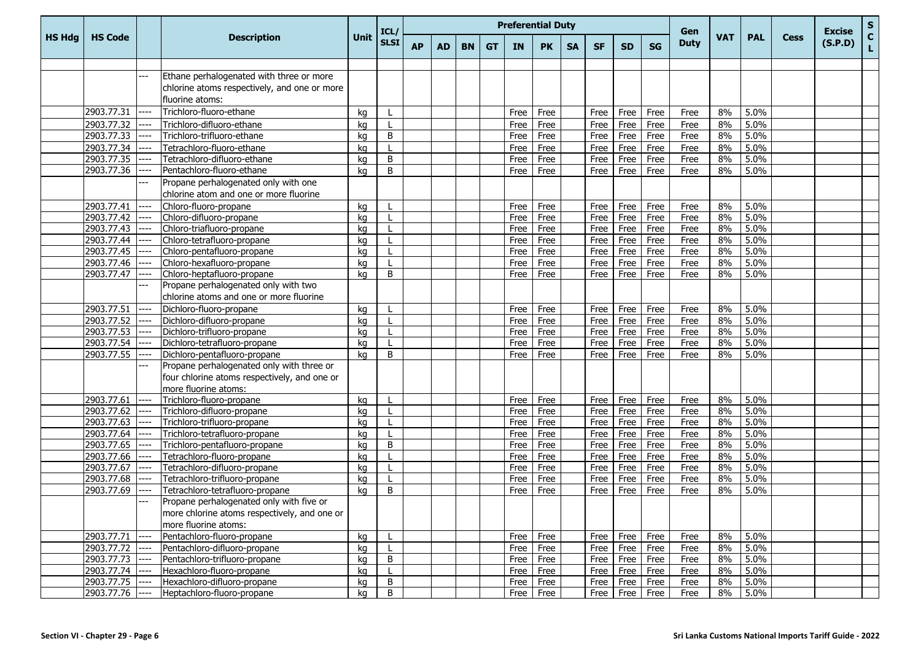|               |                 |                          |                                              |             | ICL/        |           |           |           |           |           | <b>Preferential Duty</b> |           |             |                    |           | Gen         |            |            |             | <b>Excise</b> | S                 |
|---------------|-----------------|--------------------------|----------------------------------------------|-------------|-------------|-----------|-----------|-----------|-----------|-----------|--------------------------|-----------|-------------|--------------------|-----------|-------------|------------|------------|-------------|---------------|-------------------|
| <b>HS Hdg</b> | <b>HS Code</b>  |                          | <b>Description</b>                           | <b>Unit</b> | <b>SLSI</b> | <b>AP</b> | <b>AD</b> | <b>BN</b> | <b>GT</b> | <b>IN</b> | <b>PK</b>                | <b>SA</b> | <b>SF</b>   | <b>SD</b>          | <b>SG</b> | <b>Duty</b> | <b>VAT</b> | <b>PAL</b> | <b>Cess</b> | (S.P.D)       | $\mathbf{C}$<br>L |
|               |                 |                          |                                              |             |             |           |           |           |           |           |                          |           |             |                    |           |             |            |            |             |               |                   |
|               |                 |                          | Ethane perhalogenated with three or more     |             |             |           |           |           |           |           |                          |           |             |                    |           |             |            |            |             |               |                   |
|               |                 |                          | chlorine atoms respectively, and one or more |             |             |           |           |           |           |           |                          |           |             |                    |           |             |            |            |             |               |                   |
|               |                 |                          | fluorine atoms:                              |             |             |           |           |           |           |           |                          |           |             |                    |           |             |            |            |             |               |                   |
|               | 2903.77.31      | ----                     | Trichloro-fluoro-ethane                      | kg          |             |           |           |           |           | Free      | Free                     |           | Free        | Free               | Free      | Free        | 8%         | 5.0%       |             |               |                   |
|               | 2903.77.32      | ----                     | Trichloro-difluoro-ethane                    | kq          |             |           |           |           |           | Free      | Free                     |           | Free        | Free               | Free      | Free        | 8%         | 5.0%       |             |               |                   |
|               | 2903.77.33      | ---                      | Trichloro-trifluoro-ethane                   | kq          | B           |           |           |           |           | Free      | Free                     |           | Free        | Free               | Free      | Free        | 8%         | 5.0%       |             |               |                   |
|               | 2903.77.34      | ----                     | Tetrachloro-fluoro-ethane                    | kq          |             |           |           |           |           | Free      | Free                     |           | Free        | Free               | Free      | Free        | 8%         | 5.0%       |             |               |                   |
|               | 2903.77.35      | ----                     | Tetrachloro-difluoro-ethane                  | kq          | B           |           |           |           |           | Free      | Free                     |           | Free        | Free               | Free      | Free        | 8%         | 5.0%       |             |               |                   |
|               | 2903.77.36      |                          | Pentachloro-fluoro-ethane                    | kq          | B           |           |           |           |           | Free      | Free                     |           | Free        | Free               | Free      | Free        | 8%         | 5.0%       |             |               |                   |
|               |                 | ---                      | Propane perhalogenated only with one         |             |             |           |           |           |           |           |                          |           |             |                    |           |             |            |            |             |               |                   |
|               |                 |                          | chlorine atom and one or more fluorine       |             |             |           |           |           |           |           |                          |           |             |                    |           |             |            |            |             |               |                   |
|               | 2903.77.41      |                          | Chloro-fluoro-propane                        | kg          |             |           |           |           |           | Free      | Free                     |           | Free        | Free               | Free      | Free        | 8%         | 5.0%       |             |               |                   |
|               | 2903.77.42      |                          | Chloro-difluoro-propane                      | ka          |             |           |           |           |           | Free      | Free                     |           | Free        | Free               | Free      | Free        | 8%         | 5.0%       |             |               |                   |
|               | 2903.77.43      | ----                     | Chloro-triafluoro-propane                    | kq          |             |           |           |           |           | Free      | Free                     |           | Free        | Free               | Free      | Free        | 8%         | 5.0%       |             |               |                   |
|               | 2903.77.44      |                          | Chloro-tetrafluoro-propane                   | kq          |             |           |           |           |           | Free      | Free                     |           | Free        | Free               | Free      | Free        | 8%         | 5.0%       |             |               |                   |
|               | 2903.77.45      |                          | Chloro-pentafluoro-propane                   | kg          |             |           |           |           |           | Free      | Free                     |           | Free        | Free               | Free      | Free        | 8%         | 5.0%       |             |               |                   |
|               | 2903.77.46      | ----                     | Chloro-hexafluoro-propane                    | kg          |             |           |           |           |           | Free      | Free                     |           | Free        | Free               | Free      | Free        | 8%         | 5.0%       |             |               |                   |
|               | 2903.77.47      |                          | Chloro-heptafluoro-propane                   | kg          | B           |           |           |           |           | Free      | Free                     |           | Free        | Free               | Free      | Free        | 8%         | 5.0%       |             |               |                   |
|               |                 |                          | Propane perhalogenated only with two         |             |             |           |           |           |           |           |                          |           |             |                    |           |             |            |            |             |               |                   |
|               |                 |                          | chlorine atoms and one or more fluorine      |             |             |           |           |           |           |           |                          |           |             |                    |           |             |            |            |             |               |                   |
|               | 2903.77.51      | ----                     | Dichloro-fluoro-propane                      | ka          |             |           |           |           |           | Free      | Free                     |           | Free        | Free               | Free      | Free        | 8%         | 5.0%       |             |               |                   |
|               | 2903.77.52      | ----                     | Dichloro-difluoro-propane                    | kg          |             |           |           |           |           | Free      | Free                     |           | Free        | Free               | Free      | Free        | 8%         | 5.0%       |             |               |                   |
|               | 2903.77.53      |                          | Dichloro-trifluoro-propane                   | ka          |             |           |           |           |           | Free      | Free                     |           | Free        | Free               | Free      | Free        | 8%         | 5.0%       |             |               |                   |
|               | 2903.77.54      | $\overline{\phantom{a}}$ | Dichloro-tetrafluoro-propane                 | kg          |             |           |           |           |           | Free      | Free                     |           | Free        | Free               | Free      | Free        | 8%         | 5.0%       |             |               |                   |
|               | 2903.77.55      | ----                     | Dichloro-pentafluoro-propane                 | ka          | B           |           |           |           |           | Free      | Free                     |           | Free        | Free               | Free      | Free        | 8%         | 5.0%       |             |               |                   |
|               |                 |                          | Propane perhalogenated only with three or    |             |             |           |           |           |           |           |                          |           |             |                    |           |             |            |            |             |               |                   |
|               |                 |                          | four chlorine atoms respectively, and one or |             |             |           |           |           |           |           |                          |           |             |                    |           |             |            |            |             |               |                   |
|               |                 |                          | more fluorine atoms:                         |             |             |           |           |           |           |           |                          |           |             |                    |           |             |            |            |             |               |                   |
|               | 2903.77.61      | ----                     | Trichloro-fluoro-propane                     | kg          |             |           |           |           |           | Free      | Free                     |           | Free        | Free               | Free      | Free        | 8%         | 5.0%       |             |               |                   |
|               | 2903.77.62      | ----                     | Trichloro-difluoro-propane                   | ka          |             |           |           |           |           | Free      | Free                     |           | Free        | Free               | Free      | Free        | 8%         | 5.0%       |             |               |                   |
|               | 2903.77.63      | ----                     | Trichloro-trifluoro-propane                  | kg          |             |           |           |           |           | Free      | Free                     |           | Free        | Free               | Free      | Free        | 8%         | 5.0%       |             |               |                   |
|               | 2903.77.64      | ----                     | Trichloro-tetrafluoro-propane                | kq          |             |           |           |           |           | Free      | Free                     |           | Free        | Free               | Free      | Free        | 8%         | 5.0%       |             |               |                   |
|               | 2903.77.65      | ----                     | Trichloro-pentafluoro-propane                | kq          | B           |           |           |           |           | Free      | Free                     |           | Free        | Free               | Free      | Free        | 8%         | 5.0%       |             |               |                   |
|               | 2903.77.66      | ----                     | Tetrachloro-fluoro-propane                   | kq          |             |           |           |           |           | Free      | Free                     |           | Free        | Free               | Free      | Free        | 8%         | 5.0%       |             |               |                   |
|               | 2903.77.67      | ----                     | Tetrachloro-difluoro-propane                 | kq          |             |           |           |           |           | Free      | Free                     |           | Free        | Free               | Free      | Free        | 8%         | 5.0%       |             |               |                   |
|               | 2903.77.68      |                          | Tetrachloro-trifluoro-propane                | kg          |             |           |           |           |           | Free      | Free                     |           | Free        | Free               | Free      | Free        | 8%         | 5.0%       |             |               |                   |
|               | 2903.77.69      | ---                      | Tetrachloro-tetrafluoro-propane              | ka          | B           |           |           |           |           | Free      | Free                     |           | Free        | Free               | Free      | Free        | 8%         | 5.0%       |             |               |                   |
|               |                 |                          | Propane perhalogenated only with five or     |             |             |           |           |           |           |           |                          |           |             |                    |           |             |            |            |             |               |                   |
|               |                 |                          | more chlorine atoms respectively, and one or |             |             |           |           |           |           |           |                          |           |             |                    |           |             |            |            |             |               |                   |
|               |                 |                          | more fluorine atoms:                         |             |             |           |           |           |           |           |                          |           |             |                    |           |             |            |            |             |               |                   |
|               | 2903.77.71      | $\cdots$                 | Pentachloro-fluoro-propane                   | kg          |             |           |           |           |           |           | Free Free                |           | <b>Free</b> | Free               | Free      | Free        | 8%         | 5.0%       |             |               |                   |
|               | 2903.77.72      |                          | Pentachloro-difluoro-propane                 | kg          |             |           |           |           |           |           | Free Free                |           | Free        | Free Free          |           | Free        | 8%         | 5.0%       |             |               |                   |
|               | 2903.77.73 ---- |                          | Pentachloro-trifluoro-propane                | kg          | B           |           |           |           |           |           | Free Free                |           | Free        | Free               | Free      | Free        | 8%         | 5.0%       |             |               |                   |
|               | 2903.77.74 ---- |                          | Hexachloro-fluoro-propane                    | kg          |             |           |           |           |           |           | Free Free                |           | Free        | Free Free          |           | Free        | 8%         | 5.0%       |             |               |                   |
|               | 2903.77.75 ---- |                          | Hexachloro-difluoro-propane                  | kg          | B           |           |           |           |           | Free Free |                          |           |             | Free   Free   Free |           | Free        | 8%         | 5.0%       |             |               |                   |
|               | 2903.77.76 ---- |                          | Heptachloro-fluoro-propane                   | kg          | B           |           |           |           |           |           | Free Free                |           |             | Free   Free   Free |           | Free        | 8%         | 5.0%       |             |               |                   |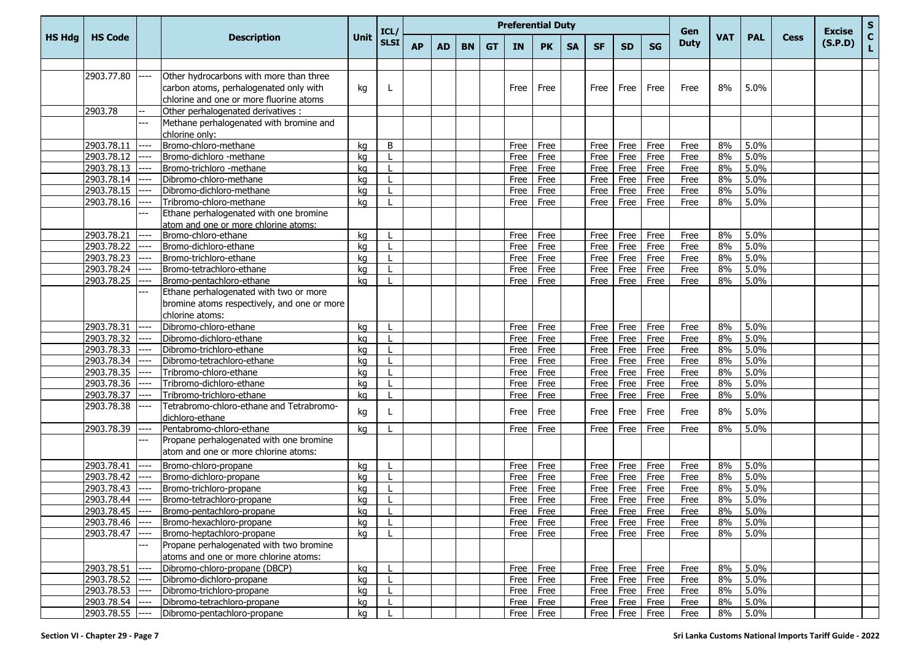|               |                 |      |                                                                                                          |          | ICL/        |           |           |           |           | <b>Preferential Duty</b> |              |           |           |                    |           | Gen         |            |            |             | <b>Excise</b> | S.                 |
|---------------|-----------------|------|----------------------------------------------------------------------------------------------------------|----------|-------------|-----------|-----------|-----------|-----------|--------------------------|--------------|-----------|-----------|--------------------|-----------|-------------|------------|------------|-------------|---------------|--------------------|
| <b>HS Hdg</b> | <b>HS Code</b>  |      | <b>Description</b>                                                                                       | Unit     | <b>SLSI</b> | <b>AP</b> | <b>AD</b> | <b>BN</b> | <b>GT</b> | IN.                      | <b>PK</b>    | <b>SA</b> | <b>SF</b> | <b>SD</b>          | <b>SG</b> | <b>Duty</b> | <b>VAT</b> | <b>PAL</b> | <b>Cess</b> | (S.P.D)       | $\mathbf{C}$<br>L. |
|               | 2903.77.80      | ---- | Other hydrocarbons with more than three                                                                  |          |             |           |           |           |           |                          |              |           |           |                    |           |             |            |            |             |               |                    |
|               |                 |      | carbon atoms, perhalogenated only with                                                                   | kg       |             |           |           |           |           | Free                     | Free         |           | Free      | Free               | Free      | Free        | 8%         | 5.0%       |             |               |                    |
|               |                 |      | chlorine and one or more fluorine atoms                                                                  |          |             |           |           |           |           |                          |              |           |           |                    |           |             |            |            |             |               |                    |
|               | 2903.78         |      | Other perhalogenated derivatives :                                                                       |          |             |           |           |           |           |                          |              |           |           |                    |           |             |            |            |             |               |                    |
|               |                 | ---  | Methane perhalogenated with bromine and                                                                  |          |             |           |           |           |           |                          |              |           |           |                    |           |             |            |            |             |               |                    |
|               |                 |      | chlorine only:                                                                                           |          |             |           |           |           |           |                          |              |           |           |                    |           |             |            |            |             |               |                    |
|               | 2903.78.11      | ---- | Bromo-chloro-methane                                                                                     | kg       | B           |           |           |           |           | Free                     | Free         |           | Free      | Free               | Free      | Free        | 8%         | 5.0%       |             |               |                    |
|               | 2903.78.12      |      | Bromo-dichloro -methane                                                                                  | kg       |             |           |           |           |           | Free                     | Free         |           | Free      | Free               | Free      | Free        | 8%         | 5.0%       |             |               |                    |
|               | 2903.78.13      | ---- | Bromo-trichloro -methane                                                                                 | ka       |             |           |           |           |           | Free                     | Free         |           | Free      | Free               | Free      | Free        | 8%         | 5.0%       |             |               |                    |
|               | 2903.78.14      |      | Dibromo-chloro-methane                                                                                   | kg       |             |           |           |           |           | Free                     | Free         |           | Free      | Free               | Free      | Free        | 8%         | 5.0%       |             |               |                    |
|               | 2903.78.15      | ---- | Dibromo-dichloro-methane                                                                                 | ka       |             |           |           |           |           | Free                     | Free         |           | Free      | Free               | Free      | Free        | 8%         | 5.0%       |             |               |                    |
|               | 2903.78.16      | ---- | Tribromo-chloro-methane                                                                                  | kg       |             |           |           |           |           | Free                     | Free         |           | Free      | Free               | Free      | Free        | 8%         | 5.0%       |             |               |                    |
|               |                 |      | Ethane perhalogenated with one bromine                                                                   |          |             |           |           |           |           |                          |              |           |           |                    |           |             |            |            |             |               |                    |
|               |                 |      | atom and one or more chlorine atoms:                                                                     |          |             |           |           |           |           |                          |              |           |           |                    |           |             |            |            |             |               |                    |
|               | 2903.78.21      | ---- | Bromo-chloro-ethane                                                                                      | kg       |             |           |           |           |           | Free                     | Free         |           | Free      | Free               | Free      | Free        | 8%         | 5.0%       |             |               |                    |
|               | 2903.78.22      | ---- | Bromo-dichloro-ethane                                                                                    | kg       |             |           |           |           |           | Free                     | Free         |           | Free      | Free               | Free      | Free        | 8%         | 5.0%       |             |               |                    |
|               | 2903.78.23      | ---- | Bromo-trichloro-ethane                                                                                   | kg       |             |           |           |           |           | Free                     | Free         |           | Free      | Free               | Free      | Free        | 8%         | 5.0%       |             |               |                    |
|               | 2903.78.24      | ---- | Bromo-tetrachloro-ethane                                                                                 | kg       |             |           |           |           |           | Free                     | Free         |           | Free      | Free               | Free      | Free        | 8%         | 5.0%       |             |               |                    |
|               | 2903.78.25      | ---- | Bromo-pentachloro-ethane                                                                                 | ka       |             |           |           |           |           | Free                     | Free         |           | Free      | Free               | Free      | Free        | 8%         | 5.0%       |             |               |                    |
|               |                 |      | Ethane perhalogenated with two or more<br>bromine atoms respectively, and one or more<br>chlorine atoms: |          |             |           |           |           |           |                          |              |           |           |                    |           |             |            |            |             |               |                    |
|               | 2903.78.31      | ---- | Dibromo-chloro-ethane                                                                                    |          |             |           |           |           |           | Free                     |              |           | Free      | Free               | Free      | Free        | 8%         | 5.0%       |             |               |                    |
|               | 2903.78.32      | ---- | Dibromo-dichloro-ethane                                                                                  | kg<br>ka |             |           |           |           |           | Free                     | Free<br>Free |           | Free      | Free               | Free      | Free        | 8%         | 5.0%       |             |               |                    |
|               | 2903.78.33      | ---- | Dibromo-trichloro-ethane                                                                                 |          |             |           |           |           |           | Free                     | Free         |           | Free      | Free               | Free      | Free        | 8%         | 5.0%       |             |               |                    |
|               | 2903.78.34      | ---- | Dibromo-tetrachloro-ethane                                                                               | kg       |             |           |           |           |           | Free                     | Free         |           | Free      | Free               | Free      | Free        | 8%         | 5.0%       |             |               |                    |
|               | 2903.78.35      | ---- | Tribromo-chloro-ethane                                                                                   | kg<br>kg |             |           |           |           |           | Free                     | Free         |           | Free      | Free               | Free      | Free        | 8%         | 5.0%       |             |               |                    |
|               | 2903.78.36      | ---- | Tribromo-dichloro-ethane                                                                                 |          |             |           |           |           |           | Free                     | Free         |           | Free      | Free               | Free      | Free        | 8%         | 5.0%       |             |               |                    |
|               | 2903.78.37      | ---- | Tribromo-trichloro-ethane                                                                                | kg<br>kg |             |           |           |           |           | Free                     | Free         |           | Free      | Free               | Free      | Free        | 8%         | 5.0%       |             |               |                    |
|               | 2903.78.38      |      | Tetrabromo-chloro-ethane and Tetrabromo-                                                                 |          |             |           |           |           |           |                          |              |           |           |                    |           |             |            |            |             |               |                    |
|               |                 |      | dichloro-ethane                                                                                          | kg       |             |           |           |           |           | Free                     | Free         |           | Free      | Free               | Free      | Free        | 8%         | 5.0%       |             |               |                    |
|               | 2903.78.39      |      | Pentabromo-chloro-ethane                                                                                 | kg       |             |           |           |           |           | Free                     | Free         |           | Free      | Free               | Free      | Free        | 8%         | 5.0%       |             |               |                    |
|               |                 |      | Propane perhalogenated with one bromine                                                                  |          |             |           |           |           |           |                          |              |           |           |                    |           |             |            |            |             |               |                    |
|               |                 |      | atom and one or more chlorine atoms:                                                                     |          |             |           |           |           |           |                          |              |           |           |                    |           |             |            |            |             |               |                    |
|               | 2903.78.41      | ---  | Bromo-chloro-propane                                                                                     | kg       |             |           |           |           |           | Free                     | Free         |           | Free      | Free               | Free      | Free        | 8%         | 5.0%       |             |               |                    |
|               | 2903.78.42      | ---- | Bromo-dichloro-propane                                                                                   | ka       |             |           |           |           |           | Free                     | Free         |           | Free      | Free               | Free      | Free        | 8%         | 5.0%       |             |               |                    |
|               | 2903.78.43      | ---- | Bromo-trichloro-propane                                                                                  | kg       |             |           |           |           |           | Free                     | Free         |           | Free      | Free               | Free      | Free        | 8%         | 5.0%       |             |               |                    |
|               | 2903.78.44 ---- |      | Bromo-tetrachloro-propane                                                                                | ka       |             |           |           |           |           | Free                     | Free         |           | Free      | Free               | Free      | Free        | 8%         | 5.0%       |             |               |                    |
|               | 2903.78.45      |      | Bromo-pentachloro-propane                                                                                | kg       |             |           |           |           |           | Free                     | Free         |           |           | Free Free          | Free      | Free        | 8%         | 5.0%       |             |               |                    |
|               | 2903.78.46      |      | Bromo-hexachloro-propane                                                                                 | kg       |             |           |           |           |           | Free                     | Free         |           | Free      | Free               | Free      | Free        | 8%         | 5.0%       |             |               |                    |
|               | 2903.78.47      | ---- | Bromo-heptachloro-propane                                                                                | kg       |             |           |           |           |           | Free                     | Free         |           | Free      | Free               | Free      | Free        | 8%         | 5.0%       |             |               |                    |
|               |                 | ---  | Propane perhalogenated with two bromine                                                                  |          |             |           |           |           |           |                          |              |           |           |                    |           |             |            |            |             |               |                    |
|               |                 |      | atoms and one or more chlorine atoms:                                                                    |          |             |           |           |           |           |                          |              |           |           |                    |           |             |            |            |             |               |                    |
|               | 2903.78.51      | ---- | Dibromo-chloro-propane (DBCP)                                                                            | kg       |             |           |           |           |           | Free                     | Free         |           | Free      | Free               | Free      | Free        | 8%         | 5.0%       |             |               |                    |
|               | 2903.78.52      | ---- | Dibromo-dichloro-propane                                                                                 | kg       |             |           |           |           |           | Free                     | Free         |           | Free      | Free               | Free      | Free        | 8%         | 5.0%       |             |               |                    |
|               | 2903.78.53      | ---- | Dibromo-trichloro-propane                                                                                | kg       |             |           |           |           |           | Free                     | Free         |           | Free      | Free               | Free      | Free        | 8%         | 5.0%       |             |               |                    |
|               | 2903.78.54      | ---- | Dibromo-tetrachloro-propane                                                                              | kg       |             |           |           |           |           | <b>Free</b>              | Free         |           |           | Free Free          | Free      | Free        | 8%         | 5.0%       |             |               |                    |
|               | 2903.78.55 ---- |      | Dibromo-pentachloro-propane                                                                              | kg       |             |           |           |           |           | Free                     | Free         |           |           | Free   Free   Free |           | Free        | 8%         | 5.0%       |             |               |                    |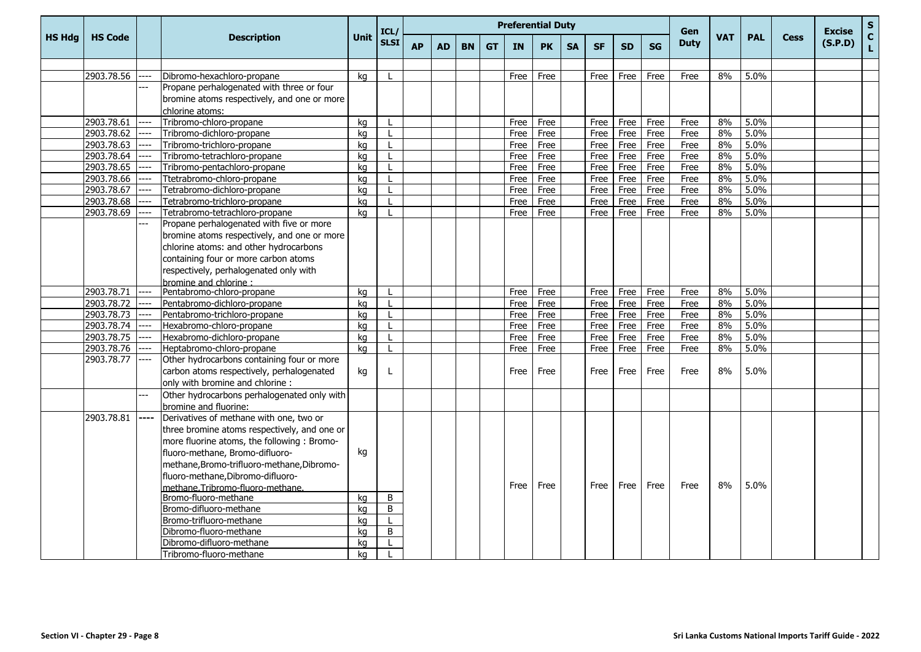|               |                |      |                                              |             | ICL/           |           |           |           |           | <b>Preferential Duty</b> |           |           |           |           |           | Gen         |            |            |             | <b>Excise</b> | ${\sf s}$                    |
|---------------|----------------|------|----------------------------------------------|-------------|----------------|-----------|-----------|-----------|-----------|--------------------------|-----------|-----------|-----------|-----------|-----------|-------------|------------|------------|-------------|---------------|------------------------------|
| <b>HS Hdg</b> | <b>HS Code</b> |      | <b>Description</b>                           | <b>Unit</b> | <b>SLSI</b>    | <b>AP</b> | <b>AD</b> | <b>BN</b> | <b>GT</b> | <b>IN</b>                | <b>PK</b> | <b>SA</b> | <b>SF</b> | <b>SD</b> | <b>SG</b> | <b>Duty</b> | <b>VAT</b> | <b>PAL</b> | <b>Cess</b> | (S.P.D)       | $\mathbf{C}$<br>$\mathbf{L}$ |
|               |                |      |                                              |             |                |           |           |           |           |                          |           |           |           |           |           |             |            |            |             |               |                              |
|               | 2903.78.56     |      | Dibromo-hexachloro-propane                   | ka          |                |           |           |           |           | Free                     | Free      |           | Free      | Free      | Free      | Free        | 8%         | 5.0%       |             |               |                              |
|               |                |      | Propane perhalogenated with three or four    |             |                |           |           |           |           |                          |           |           |           |           |           |             |            |            |             |               |                              |
|               |                |      | bromine atoms respectively, and one or more  |             |                |           |           |           |           |                          |           |           |           |           |           |             |            |            |             |               |                              |
|               |                |      | chlorine atoms:                              |             |                |           |           |           |           |                          |           |           |           |           |           |             |            |            |             |               |                              |
|               | 2903.78.61     | ---- | Tribromo-chloro-propane                      | kg          |                |           |           |           |           | Free                     | Free      |           | Free      | Free      | Free      | Free        | 8%         | 5.0%       |             |               |                              |
|               | 2903.78.62     |      | Tribromo-dichloro-propane                    | ka          |                |           |           |           |           | Free                     | Free      |           | Free      | Free      | Free      | Free        | 8%         | 5.0%       |             |               |                              |
|               | 2903.78.63     | ---- | Tribromo-trichloro-propane                   | kg          | $\mathbf{I}$   |           |           |           |           | Free                     | Free      |           | Free      | Free      | Free      | Free        | 8%         | 5.0%       |             |               |                              |
|               | 2903.78.64     |      | Tribromo-tetrachloro-propane                 | ka          | $\mathbf{I}$   |           |           |           |           | Free                     | Free      |           | Free      | Free      | Free      | Free        | 8%         | 5.0%       |             |               |                              |
|               | 2903.78.65     |      | Tribromo-pentachloro-propane                 | kg          | $\mathsf{L}$   |           |           |           |           | Free                     | Free      |           | Free      | Free      | Free      | Free        | 8%         | 5.0%       |             |               |                              |
|               | 2903.78.66     |      | Ttetrabromo-chloro-propane                   | kg          |                |           |           |           |           | Free                     | Free      |           | Free      | Free      | Free      | Free        | 8%         | 5.0%       |             |               |                              |
|               | 2903.78.67     | ---- | Tetrabromo-dichloro-propane                  | kg          |                |           |           |           |           | Free                     | Free      |           | Free      | Free      | Free      | Free        | 8%         | 5.0%       |             |               |                              |
|               | 2903.78.68     | ---- | Tetrabromo-trichloro-propane                 | ka          |                |           |           |           |           | Free                     | Free      |           | Free      | Free      | Free      | Free        | 8%         | 5.0%       |             |               |                              |
|               | 2903.78.69     | ---- | Tetrabromo-tetrachloro-propane               | ka          |                |           |           |           |           | Free                     | Free      |           | Free      | Free      | Free      | Free        | 8%         | 5.0%       |             |               |                              |
|               |                |      | Propane perhalogenated with five or more     |             |                |           |           |           |           |                          |           |           |           |           |           |             |            |            |             |               |                              |
|               |                |      | bromine atoms respectively, and one or more  |             |                |           |           |           |           |                          |           |           |           |           |           |             |            |            |             |               |                              |
|               |                |      | chlorine atoms: and other hydrocarbons       |             |                |           |           |           |           |                          |           |           |           |           |           |             |            |            |             |               |                              |
|               |                |      | containing four or more carbon atoms         |             |                |           |           |           |           |                          |           |           |           |           |           |             |            |            |             |               |                              |
|               |                |      | respectively, perhalogenated only with       |             |                |           |           |           |           |                          |           |           |           |           |           |             |            |            |             |               |                              |
|               |                |      | bromine and chlorine:                        |             |                |           |           |           |           |                          |           |           |           |           |           |             |            |            |             |               |                              |
|               | 2903.78.71     |      | Pentabromo-chloro-propane                    | ka          |                |           |           |           |           | Free                     | Free      |           | Free      | Free      | Free      | Free        | 8%         | 5.0%       |             |               |                              |
|               | 2903.78.72     | ---- | Pentabromo-dichloro-propane                  | kg          | L              |           |           |           |           | Free                     | Free      |           | Free      | Free      | Free      | Free        | 8%         | 5.0%       |             |               |                              |
|               | 2903.78.73     | ---- | Pentabromo-trichloro-propane                 | kg          |                |           |           |           |           | Free                     | Free      |           | Free      | Free      | Free      | Free        | 8%         | 5.0%       |             |               |                              |
|               | 2903.78.74     | ---- | Hexabromo-chloro-propane                     | kg          |                |           |           |           |           | Free                     | Free      |           | Free      | Free      | Free      | Free        | 8%         | 5.0%       |             |               |                              |
|               | 2903.78.75     |      | Hexabromo-dichloro-propane                   | ka          |                |           |           |           |           | Free                     | Free      |           | Free      | Free      | Free      | Free        | 8%         | 5.0%       |             |               |                              |
|               | 2903.78.76     |      | Heptabromo-chloro-propane                    | kg          | $\mathbf{L}$   |           |           |           |           | Free                     | Free      |           | Free      | Free      | Free      | Free        | 8%         | 5.0%       |             |               |                              |
|               | 2903.78.77     |      | Other hydrocarbons containing four or more   |             |                |           |           |           |           |                          |           |           |           |           |           |             |            |            |             |               |                              |
|               |                |      | carbon atoms respectively, perhalogenated    | kg          | L              |           |           |           |           | Free                     | Free      |           | Free      | Free      | Free      | Free        | 8%         | 5.0%       |             |               |                              |
|               |                |      | only with bromine and chlorine :             |             |                |           |           |           |           |                          |           |           |           |           |           |             |            |            |             |               |                              |
|               |                |      | Other hydrocarbons perhalogenated only with  |             |                |           |           |           |           |                          |           |           |           |           |           |             |            |            |             |               |                              |
|               |                |      | bromine and fluorine:                        |             |                |           |           |           |           |                          |           |           |           |           |           |             |            |            |             |               |                              |
|               | 2903.78.81     | ---- | Derivatives of methane with one, two or      |             |                |           |           |           |           |                          |           |           |           |           |           |             |            |            |             |               |                              |
|               |                |      | three bromine atoms respectively, and one or |             |                |           |           |           |           |                          |           |           |           |           |           |             |            |            |             |               |                              |
|               |                |      | more fluorine atoms, the following: Bromo-   |             |                |           |           |           |           |                          |           |           |           |           |           |             |            |            |             |               |                              |
|               |                |      | fluoro-methane, Bromo-difluoro-              | kg          |                |           |           |           |           |                          |           |           |           |           |           |             |            |            |             |               |                              |
|               |                |      | methane, Bromo-trifluoro-methane, Dibromo-   |             |                |           |           |           |           |                          |           |           |           |           |           |             |            |            |             |               |                              |
|               |                |      | fluoro-methane, Dibromo-difluoro-            |             |                |           |           |           |           |                          |           |           |           |           |           |             |            |            |             |               |                              |
|               |                |      | methane.Tribromo-fluoro-methane.             |             |                |           |           |           |           | Free                     | Free      |           | Free      | Free      | Free      | Free        | 8%         | 5.0%       |             |               |                              |
|               |                |      | Bromo-fluoro-methane                         | ka          | B              |           |           |           |           |                          |           |           |           |           |           |             |            |            |             |               |                              |
|               |                |      | Bromo-difluoro-methane                       | kg          | $\overline{B}$ |           |           |           |           |                          |           |           |           |           |           |             |            |            |             |               |                              |
|               |                |      | Bromo-trifluoro-methane                      | kg          |                |           |           |           |           |                          |           |           |           |           |           |             |            |            |             |               |                              |
|               |                |      | Dibromo-fluoro-methane                       | kg          | B              |           |           |           |           |                          |           |           |           |           |           |             |            |            |             |               |                              |
|               |                |      | Dibromo-difluoro-methane                     | ka          |                |           |           |           |           |                          |           |           |           |           |           |             |            |            |             |               |                              |
|               |                |      | Tribromo-fluoro-methane                      | ka          |                |           |           |           |           |                          |           |           |           |           |           |             |            |            |             |               |                              |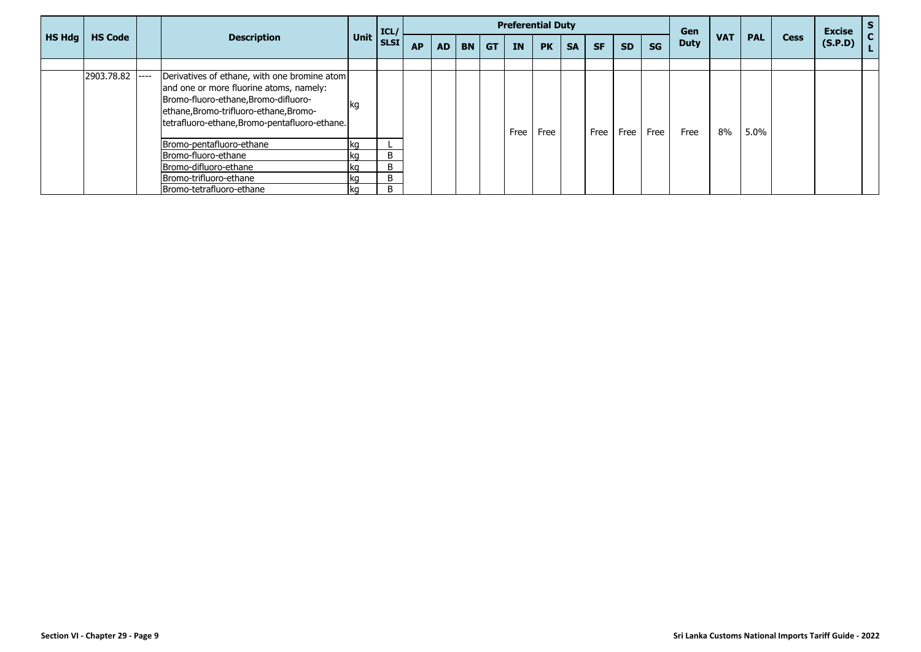|        |                |       |                                                                                                                                                                                                                            |      | ICL/        |           |     |           |           | <b>Preferential Duty</b> |           |           |             |           |           | Gen         |            |            |             | <b>Excise</b> |  |
|--------|----------------|-------|----------------------------------------------------------------------------------------------------------------------------------------------------------------------------------------------------------------------------|------|-------------|-----------|-----|-----------|-----------|--------------------------|-----------|-----------|-------------|-----------|-----------|-------------|------------|------------|-------------|---------------|--|
| HS Hdg | <b>HS Code</b> |       | <b>Description</b>                                                                                                                                                                                                         | Unit | <b>SLSI</b> | <b>AP</b> | AD. | <b>BN</b> | <b>GT</b> | <b>IN</b>                | <b>PK</b> | <b>SA</b> | <b>SF</b>   | <b>SD</b> | <b>SG</b> | <b>Duty</b> | <b>VAT</b> | <b>PAL</b> | <b>Cess</b> | (S.P.D)       |  |
|        |                |       |                                                                                                                                                                                                                            |      |             |           |     |           |           |                          |           |           |             |           |           |             |            |            |             |               |  |
|        | 2903.78.82     | $---$ | Derivatives of ethane, with one bromine atom<br>and one or more fluorine atoms, namely:<br>Bromo-fluoro-ethane, Bromo-difluoro-<br>ethane, Bromo-trifluoro-ethane, Bromo-<br>tetrafluoro-ethane, Bromo-pentafluoro-ethane. | lkg  |             |           |     |           |           | Free                     | Free      |           | <b>Free</b> |           | Free Free | Free        | 8%         | 5.0%       |             |               |  |
|        |                |       | Bromo-pentafluoro-ethane                                                                                                                                                                                                   | kq   |             |           |     |           |           |                          |           |           |             |           |           |             |            |            |             |               |  |
|        |                |       | Bromo-fluoro-ethane                                                                                                                                                                                                        | kq   | B.          |           |     |           |           |                          |           |           |             |           |           |             |            |            |             |               |  |
|        |                |       | Bromo-difluoro-ethane                                                                                                                                                                                                      | kq   | B           |           |     |           |           |                          |           |           |             |           |           |             |            |            |             |               |  |
|        |                |       | Bromo-trifluoro-ethane                                                                                                                                                                                                     | kq   | B           |           |     |           |           |                          |           |           |             |           |           |             |            |            |             |               |  |
|        |                |       | Bromo-tetrafluoro-ethane                                                                                                                                                                                                   | kq   | B           |           |     |           |           |                          |           |           |             |           |           |             |            |            |             |               |  |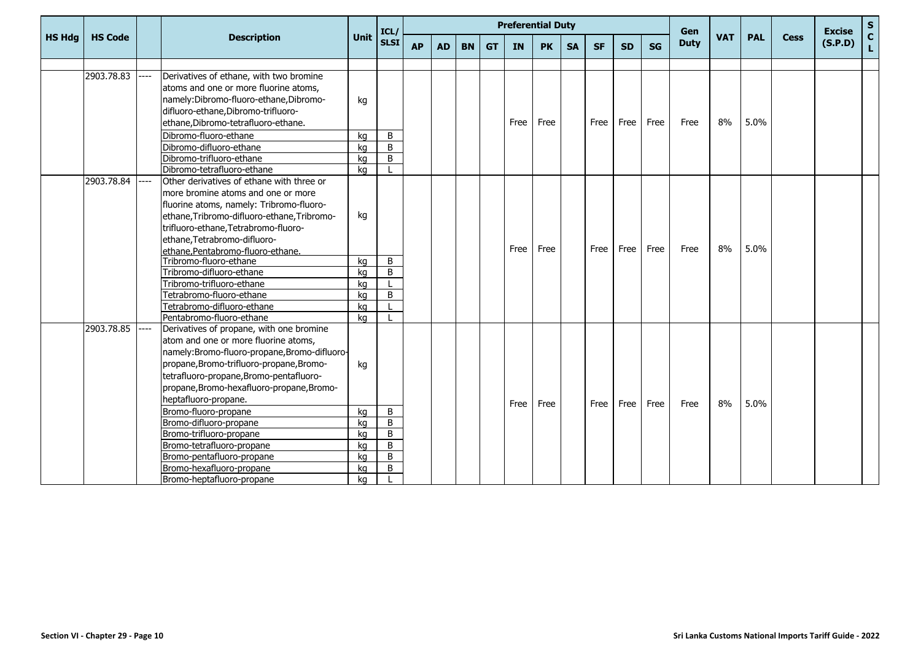|               |                |      |                                                                                                                                                                                                         |             | ICL/           |           |           |           |           | <b>Preferential Duty</b> |           |           |           |           |           | Gen         |            |            |             | <b>Excise</b> | ${\sf s}$                    |
|---------------|----------------|------|---------------------------------------------------------------------------------------------------------------------------------------------------------------------------------------------------------|-------------|----------------|-----------|-----------|-----------|-----------|--------------------------|-----------|-----------|-----------|-----------|-----------|-------------|------------|------------|-------------|---------------|------------------------------|
| <b>HS Hdg</b> | <b>HS Code</b> |      | <b>Description</b>                                                                                                                                                                                      | <b>Unit</b> | <b>SLSI</b>    | <b>AP</b> | <b>AD</b> | <b>BN</b> | <b>GT</b> | IN                       | <b>PK</b> | <b>SA</b> | <b>SF</b> | <b>SD</b> | <b>SG</b> | <b>Duty</b> | <b>VAT</b> | <b>PAL</b> | <b>Cess</b> | (S.P.D)       | $\mathbf{C}$<br>$\mathbf{L}$ |
|               |                |      |                                                                                                                                                                                                         |             |                |           |           |           |           |                          |           |           |           |           |           |             |            |            |             |               |                              |
|               | 2903.78.83     | ---- | Derivatives of ethane, with two bromine<br>atoms and one or more fluorine atoms,<br>namely:Dibromo-fluoro-ethane,Dibromo-<br>difluoro-ethane, Dibromo-trifluoro-<br>ethane, Dibromo-tetrafluoro-ethane. | kg          |                |           |           |           |           | Free                     | Free      |           | Free I    | Free      | Free      | Free        | 8%         | 5.0%       |             |               |                              |
|               |                |      | Dibromo-fluoro-ethane                                                                                                                                                                                   | kg          | B              |           |           |           |           |                          |           |           |           |           |           |             |            |            |             |               |                              |
|               |                |      | Dibromo-difluoro-ethane                                                                                                                                                                                 | kg          | B              |           |           |           |           |                          |           |           |           |           |           |             |            |            |             |               |                              |
|               |                |      | Dibromo-trifluoro-ethane                                                                                                                                                                                | kg          | $\overline{B}$ |           |           |           |           |                          |           |           |           |           |           |             |            |            |             |               |                              |
|               |                |      | Dibromo-tetrafluoro-ethane                                                                                                                                                                              | ka          |                |           |           |           |           |                          |           |           |           |           |           |             |            |            |             |               |                              |
|               | 2903.78.84     | ---- | Other derivatives of ethane with three or                                                                                                                                                               |             |                |           |           |           |           |                          |           |           |           |           |           |             |            |            |             |               |                              |
|               |                |      | more bromine atoms and one or more                                                                                                                                                                      |             |                |           |           |           |           |                          |           |           |           |           |           |             |            |            |             |               |                              |
|               |                |      | fluorine atoms, namely: Tribromo-fluoro-                                                                                                                                                                |             |                |           |           |           |           |                          |           |           |           |           |           |             |            |            |             |               |                              |
|               |                |      | ethane, Tribromo-difluoro-ethane, Tribromo-                                                                                                                                                             | kg          |                |           |           |           |           |                          |           |           |           |           |           |             |            |            |             |               |                              |
|               |                |      | trifluoro-ethane, Tetrabromo-fluoro-                                                                                                                                                                    |             |                |           |           |           |           |                          |           |           |           |           |           |             |            |            |             |               |                              |
|               |                |      | ethane, Tetrabromo-difluoro-                                                                                                                                                                            |             |                |           |           |           |           |                          |           |           |           |           |           |             |            |            |             |               |                              |
|               |                |      | ethane.Pentabromo-fluoro-ethane.                                                                                                                                                                        |             |                |           |           |           |           | Free                     | Free      |           | Free I    | Free      | Free      | Free        | 8%         | 5.0%       |             |               |                              |
|               |                |      | Tribromo-fluoro-ethane                                                                                                                                                                                  | ka          | B              |           |           |           |           |                          |           |           |           |           |           |             |            |            |             |               |                              |
|               |                |      | Tribromo-difluoro-ethane                                                                                                                                                                                | kg          | B              |           |           |           |           |                          |           |           |           |           |           |             |            |            |             |               |                              |
|               |                |      | Tribromo-trifluoro-ethane                                                                                                                                                                               | kg          |                |           |           |           |           |                          |           |           |           |           |           |             |            |            |             |               |                              |
|               |                |      | Tetrabromo-fluoro-ethane                                                                                                                                                                                | kg          | B              |           |           |           |           |                          |           |           |           |           |           |             |            |            |             |               |                              |
|               |                |      | Tetrabromo-difluoro-ethane                                                                                                                                                                              | kg          |                |           |           |           |           |                          |           |           |           |           |           |             |            |            |             |               |                              |
|               |                |      | Pentabromo-fluoro-ethane                                                                                                                                                                                | ka          |                |           |           |           |           |                          |           |           |           |           |           |             |            |            |             |               |                              |
|               | 2903.78.85     |      | Derivatives of propane, with one bromine                                                                                                                                                                |             |                |           |           |           |           |                          |           |           |           |           |           |             |            |            |             |               |                              |
|               |                |      | atom and one or more fluorine atoms,                                                                                                                                                                    |             |                |           |           |           |           |                          |           |           |           |           |           |             |            |            |             |               |                              |
|               |                |      | namely:Bromo-fluoro-propane,Bromo-difluoro-                                                                                                                                                             |             |                |           |           |           |           |                          |           |           |           |           |           |             |            |            |             |               |                              |
|               |                |      | propane, Bromo-trifluoro-propane, Bromo-                                                                                                                                                                | kg          |                |           |           |           |           |                          |           |           |           |           |           |             |            |            |             |               |                              |
|               |                |      | tetrafluoro-propane, Bromo-pentafluoro-                                                                                                                                                                 |             |                |           |           |           |           |                          |           |           |           |           |           |             |            |            |             |               |                              |
|               |                |      | propane, Bromo-hexafluoro-propane, Bromo-                                                                                                                                                               |             |                |           |           |           |           |                          |           |           |           |           |           |             |            |            |             |               |                              |
|               |                |      | heptafluoro-propane.                                                                                                                                                                                    |             |                |           |           |           |           | Free                     | Free      |           | Free      | Free      | Free      | Free        | 8%         | 5.0%       |             |               |                              |
|               |                |      | Bromo-fluoro-propane                                                                                                                                                                                    | kg          | B              |           |           |           |           |                          |           |           |           |           |           |             |            |            |             |               |                              |
|               |                |      | Bromo-difluoro-propane                                                                                                                                                                                  | kg          | B              |           |           |           |           |                          |           |           |           |           |           |             |            |            |             |               |                              |
|               |                |      | Bromo-trifluoro-propane                                                                                                                                                                                 | kg          | B              |           |           |           |           |                          |           |           |           |           |           |             |            |            |             |               |                              |
|               |                |      | Bromo-tetrafluoro-propane                                                                                                                                                                               | kg          | B              |           |           |           |           |                          |           |           |           |           |           |             |            |            |             |               |                              |
|               |                |      | Bromo-pentafluoro-propane                                                                                                                                                                               | kg          | B              |           |           |           |           |                          |           |           |           |           |           |             |            |            |             |               |                              |
|               |                |      | Bromo-hexafluoro-propane                                                                                                                                                                                | kg          | B              |           |           |           |           |                          |           |           |           |           |           |             |            |            |             |               |                              |
|               |                |      | Bromo-heptafluoro-propane                                                                                                                                                                               | kg          |                |           |           |           |           |                          |           |           |           |           |           |             |            |            |             |               |                              |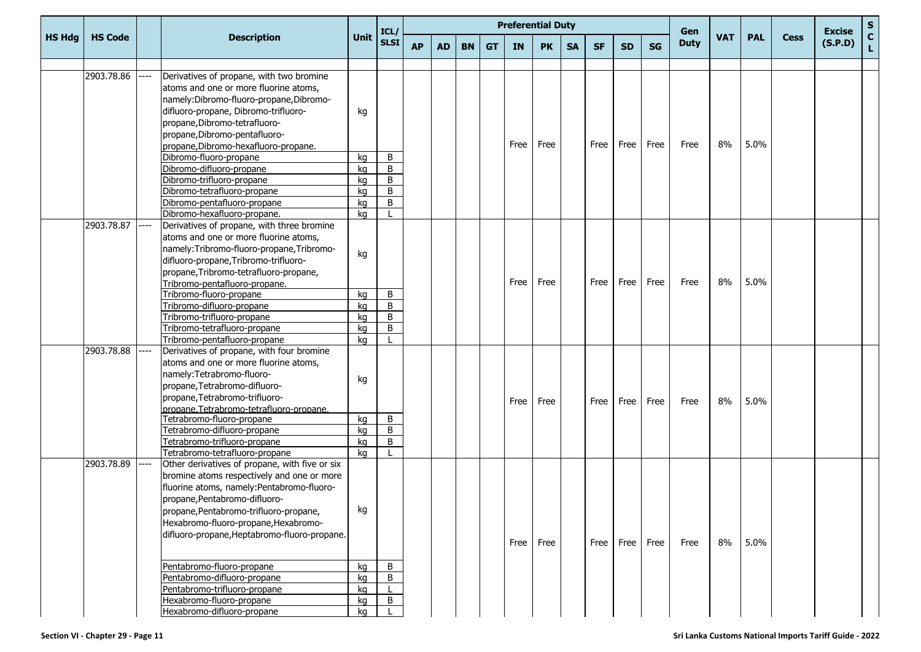|               |                |                                                                                                                 |             |              |           |           |           |           |           | <b>Preferential Duty</b> |           |           |           |           | Gen         |            |            |             | <b>Excise</b> | S.                           |
|---------------|----------------|-----------------------------------------------------------------------------------------------------------------|-------------|--------------|-----------|-----------|-----------|-----------|-----------|--------------------------|-----------|-----------|-----------|-----------|-------------|------------|------------|-------------|---------------|------------------------------|
| <b>HS Hdg</b> | <b>HS Code</b> | <b>Description</b>                                                                                              | <b>Unit</b> | ICL/<br>SLSI | <b>AP</b> | <b>AD</b> | <b>BN</b> | <b>GT</b> | <b>IN</b> | <b>PK</b>                | <b>SA</b> | <b>SF</b> | <b>SD</b> | <b>SG</b> | <b>Duty</b> | <b>VAT</b> | <b>PAL</b> | <b>Cess</b> | (S.P.D)       | $\mathbf{C}$<br>$\mathbf{L}$ |
|               | 2903.78.86     | Derivatives of propane, with two bromine<br>----<br>atoms and one or more fluorine atoms,                       |             |              |           |           |           |           |           |                          |           |           |           |           |             |            |            |             |               |                              |
|               |                | namely:Dibromo-fluoro-propane,Dibromo-<br>difluoro-propane, Dibromo-trifluoro-<br>propane, Dibromo-tetrafluoro- | kg          |              |           |           |           |           |           |                          |           |           |           |           |             |            |            |             |               |                              |
|               |                | propane, Dibromo-pentafluoro-<br>propane, Dibromo-hexafluoro-propane.                                           |             |              |           |           |           |           | Free      | Free                     |           | Free      | Free      | Free      | Free        | 8%         | 5.0%       |             |               |                              |
|               |                | Dibromo-fluoro-propane                                                                                          | kg          | B            |           |           |           |           |           |                          |           |           |           |           |             |            |            |             |               |                              |
|               |                | Dibromo-difluoro-propane                                                                                        | kg          | B            |           |           |           |           |           |                          |           |           |           |           |             |            |            |             |               |                              |
|               |                | Dibromo-trifluoro-propane                                                                                       | kg          | B            |           |           |           |           |           |                          |           |           |           |           |             |            |            |             |               |                              |
|               |                | Dibromo-tetrafluoro-propane                                                                                     | kg          | B            |           |           |           |           |           |                          |           |           |           |           |             |            |            |             |               |                              |
|               |                | Dibromo-pentafluoro-propane                                                                                     | kg          | B            |           |           |           |           |           |                          |           |           |           |           |             |            |            |             |               |                              |
|               |                | Dibromo-hexafluoro-propane.                                                                                     | kg          |              |           |           |           |           |           |                          |           |           |           |           |             |            |            |             |               |                              |
|               | 2903.78.87     | Derivatives of propane, with three bromine<br>----                                                              |             |              |           |           |           |           |           |                          |           |           |           |           |             |            |            |             |               |                              |
|               |                | atoms and one or more fluorine atoms,                                                                           |             |              |           |           |           |           |           |                          |           |           |           |           |             |            |            |             |               |                              |
|               |                | namely:Tribromo-fluoro-propane,Tribromo-                                                                        | kg          |              |           |           |           |           |           |                          |           |           |           |           |             |            |            |             |               |                              |
|               |                | difluoro-propane, Tribromo-trifluoro-                                                                           |             |              |           |           |           |           |           |                          |           |           |           |           |             |            |            |             |               |                              |
|               |                | propane, Tribromo-tetrafluoro-propane,                                                                          |             |              |           |           |           |           |           |                          |           |           |           |           |             |            |            |             |               |                              |
|               |                | Tribromo-pentafluoro-propane.                                                                                   |             |              |           |           |           |           | Free      | Free                     |           | Free      | Free      | Free      | Free        | 8%         | 5.0%       |             |               |                              |
|               |                | Tribromo-fluoro-propane                                                                                         | kg          | B            |           |           |           |           |           |                          |           |           |           |           |             |            |            |             |               |                              |
|               |                | Tribromo-difluoro-propane                                                                                       | kg          | B            |           |           |           |           |           |                          |           |           |           |           |             |            |            |             |               |                              |
|               |                | Tribromo-trifluoro-propane                                                                                      | kg          | B            |           |           |           |           |           |                          |           |           |           |           |             |            |            |             |               |                              |
|               |                | Tribromo-tetrafluoro-propane                                                                                    | ka          | B            |           |           |           |           |           |                          |           |           |           |           |             |            |            |             |               |                              |
|               |                | Tribromo-pentafluoro-propane                                                                                    | ka          |              |           |           |           |           |           |                          |           |           |           |           |             |            |            |             |               |                              |
|               | 2903.78.88     | Derivatives of propane, with four bromine<br>----                                                               |             |              |           |           |           |           |           |                          |           |           |           |           |             |            |            |             |               |                              |
|               |                | atoms and one or more fluorine atoms,                                                                           |             |              |           |           |           |           |           |                          |           |           |           |           |             |            |            |             |               |                              |
|               |                | namely:Tetrabromo-fluoro-                                                                                       |             |              |           |           |           |           |           |                          |           |           |           |           |             |            |            |             |               |                              |
|               |                | propane, Tetrabromo-difluoro-                                                                                   | kg          |              |           |           |           |           |           |                          |           |           |           |           |             |            |            |             |               |                              |
|               |                | propane, Tetrabromo-trifluoro-                                                                                  |             |              |           |           |           |           |           |                          |           |           |           |           |             |            |            |             |               |                              |
|               |                | propane.Tetrabromo-tetrafluoro-propane.                                                                         |             |              |           |           |           |           | Free      | Free                     |           | Free      | Free      | Free      | Free        | 8%         | 5.0%       |             |               |                              |
|               |                | Tetrabromo-fluoro-propane                                                                                       | kg          | В            |           |           |           |           |           |                          |           |           |           |           |             |            |            |             |               |                              |
|               |                | Tetrabromo-difluoro-propane                                                                                     | kg          | B            |           |           |           |           |           |                          |           |           |           |           |             |            |            |             |               |                              |
|               |                | Tetrabromo-trifluoro-propane                                                                                    | kg          | B            |           |           |           |           |           |                          |           |           |           |           |             |            |            |             |               |                              |
|               |                | Tetrabromo-tetrafluoro-propane                                                                                  | ka          |              |           |           |           |           |           |                          |           |           |           |           |             |            |            |             |               |                              |
|               | 2903.78.89     | Other derivatives of propane, with five or six<br>$\qquad \qquad - - -$                                         |             |              |           |           |           |           |           |                          |           |           |           |           |             |            |            |             |               |                              |
|               |                | bromine atoms respectively and one or more                                                                      |             |              |           |           |           |           |           |                          |           |           |           |           |             |            |            |             |               |                              |
|               |                | fluorine atoms, namely:Pentabromo-fluoro-                                                                       |             |              |           |           |           |           |           |                          |           |           |           |           |             |            |            |             |               |                              |
|               |                | propane, Pentabromo-difluoro-                                                                                   |             |              |           |           |           |           |           |                          |           |           |           |           |             |            |            |             |               |                              |
|               |                | propane, Pentabromo-trifluoro-propane,                                                                          | kg          |              |           |           |           |           |           |                          |           |           |           |           |             |            |            |             |               |                              |
|               |                | Hexabromo-fluoro-propane, Hexabromo-                                                                            |             |              |           |           |           |           |           |                          |           |           |           |           |             |            |            |             |               |                              |
|               |                | difluoro-propane, Heptabromo-fluoro-propane.                                                                    |             |              |           |           |           |           |           |                          |           |           |           |           |             |            |            |             |               |                              |
|               |                |                                                                                                                 |             |              |           |           |           |           | Free      | Free                     |           | Free      | Free      | Free      | Free        | 8%         | 5.0%       |             |               |                              |
|               |                |                                                                                                                 |             |              |           |           |           |           |           |                          |           |           |           |           |             |            |            |             |               |                              |
|               |                | Pentabromo-fluoro-propane                                                                                       | kg          | B            |           |           |           |           |           |                          |           |           |           |           |             |            |            |             |               |                              |
|               |                | Pentabromo-difluoro-propane                                                                                     | kg          | B            |           |           |           |           |           |                          |           |           |           |           |             |            |            |             |               |                              |
|               |                | Pentabromo-trifluoro-propane                                                                                    | kg          |              |           |           |           |           |           |                          |           |           |           |           |             |            |            |             |               |                              |
|               |                | Hexabromo-fluoro-propane                                                                                        | kg          | В            |           |           |           |           |           |                          |           |           |           |           |             |            |            |             |               |                              |
|               |                | Hexabromo-difluoro-propane                                                                                      | kg          |              |           |           |           |           |           |                          |           |           |           |           |             |            |            |             |               |                              |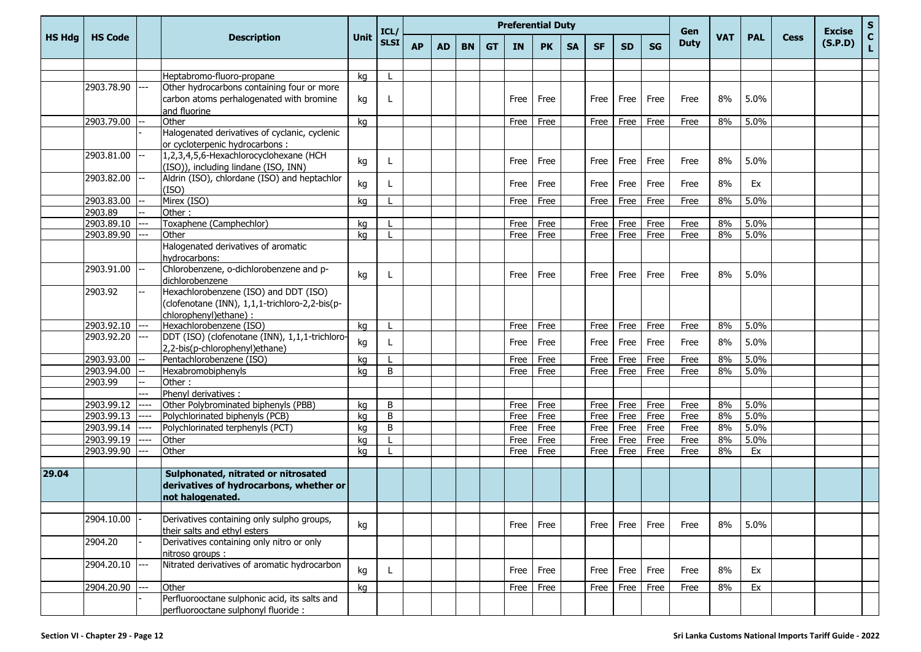|               |                                                                                                                      |      |                                                                                                                                                                                                                                                                                                                                                                                                            |                      | ICL/        |           |    |           |           | <b>Preferential Duty</b>             |                                              |           |                                              |                                              |                                              | Gen                                          |                                  |                                    |             | <b>Excise</b> | ${\sf s}$         |
|---------------|----------------------------------------------------------------------------------------------------------------------|------|------------------------------------------------------------------------------------------------------------------------------------------------------------------------------------------------------------------------------------------------------------------------------------------------------------------------------------------------------------------------------------------------------------|----------------------|-------------|-----------|----|-----------|-----------|--------------------------------------|----------------------------------------------|-----------|----------------------------------------------|----------------------------------------------|----------------------------------------------|----------------------------------------------|----------------------------------|------------------------------------|-------------|---------------|-------------------|
| <b>HS Hdg</b> | <b>HS Code</b>                                                                                                       |      | <b>Description</b>                                                                                                                                                                                                                                                                                                                                                                                         | <b>Unit</b>          | <b>SLSI</b> | <b>AP</b> | AD | <b>BN</b> | <b>GT</b> | <b>IN</b>                            | <b>PK</b>                                    | <b>SA</b> | <b>SF</b>                                    | <b>SD</b>                                    | <b>SG</b>                                    | <b>Duty</b>                                  | <b>VAT</b>                       | <b>PAL</b>                         | <b>Cess</b> | (S.P.D)       | $\mathbf c$<br>Ĺ. |
|               |                                                                                                                      |      |                                                                                                                                                                                                                                                                                                                                                                                                            |                      |             |           |    |           |           |                                      |                                              |           |                                              |                                              |                                              |                                              |                                  |                                    |             |               |                   |
|               |                                                                                                                      |      | Heptabromo-fluoro-propane                                                                                                                                                                                                                                                                                                                                                                                  | ka                   |             |           |    |           |           |                                      |                                              |           |                                              |                                              |                                              |                                              |                                  |                                    |             |               |                   |
|               | 2903.78.90                                                                                                           |      | Other hydrocarbons containing four or more                                                                                                                                                                                                                                                                                                                                                                 |                      |             |           |    |           |           |                                      |                                              |           |                                              |                                              |                                              |                                              |                                  |                                    |             |               |                   |
|               |                                                                                                                      |      | carbon atoms perhalogenated with bromine                                                                                                                                                                                                                                                                                                                                                                   | kg                   | L           |           |    |           |           | Free                                 | Free                                         |           | Free                                         | Free                                         | Free                                         | Free                                         | 8%                               | 5.0%                               |             |               |                   |
|               |                                                                                                                      |      | and fluorine                                                                                                                                                                                                                                                                                                                                                                                               |                      |             |           |    |           |           |                                      |                                              |           |                                              |                                              |                                              |                                              |                                  |                                    |             |               |                   |
|               | 2903.79.00                                                                                                           |      | Other                                                                                                                                                                                                                                                                                                                                                                                                      | kg                   |             |           |    |           |           | Free                                 | Free                                         |           | Free                                         | Free                                         | Free                                         | Free                                         | 8%                               | 5.0%                               |             |               |                   |
|               |                                                                                                                      |      | Halogenated derivatives of cyclanic, cyclenic<br>or cycloterpenic hydrocarbons :                                                                                                                                                                                                                                                                                                                           |                      |             |           |    |           |           |                                      |                                              |           |                                              |                                              |                                              |                                              |                                  |                                    |             |               |                   |
|               | 2903.81.00                                                                                                           |      | 1,2,3,4,5,6-Hexachlorocyclohexane (HCH<br>(ISO)), including lindane (ISO, INN)                                                                                                                                                                                                                                                                                                                             | kg                   | L           |           |    |           |           | Free                                 | Free                                         |           | Free                                         | Free                                         | Free                                         | Free                                         | 8%                               | 5.0%                               |             |               |                   |
|               | 2903.82.00                                                                                                           |      | Aldrin (ISO), chlordane (ISO) and heptachlor<br>(ISO)                                                                                                                                                                                                                                                                                                                                                      | kg                   | L           |           |    |           |           | Free                                 | Free                                         |           | Free                                         | Free                                         | Free                                         | Free                                         | 8%                               | Ex                                 |             |               |                   |
|               | 2903.83.00                                                                                                           |      | Mirex (ISO)                                                                                                                                                                                                                                                                                                                                                                                                | kg                   |             |           |    |           |           | Free                                 | Free                                         |           | Free                                         | Free                                         | Free                                         | Free                                         | 8%                               | 5.0%                               |             |               |                   |
|               | 2903.89                                                                                                              |      | Other:                                                                                                                                                                                                                                                                                                                                                                                                     |                      |             |           |    |           |           |                                      |                                              |           |                                              |                                              |                                              |                                              |                                  |                                    |             |               |                   |
|               | 2903.89.10                                                                                                           | ---  | Toxaphene (Camphechlor)                                                                                                                                                                                                                                                                                                                                                                                    | kq                   |             |           |    |           |           | Free                                 | Free                                         |           | Free                                         | Free                                         | Free                                         | Free                                         | 8%                               | 5.0%                               |             |               |                   |
|               | 2903.89.90                                                                                                           |      | Other                                                                                                                                                                                                                                                                                                                                                                                                      | kg                   |             |           |    |           |           | Free                                 | Free                                         |           | Free                                         | Free                                         | Free                                         | Free                                         | 8%                               | 5.0%                               |             |               |                   |
|               |                                                                                                                      |      | Halogenated derivatives of aromatic<br>hydrocarbons:                                                                                                                                                                                                                                                                                                                                                       |                      |             |           |    |           |           |                                      |                                              |           |                                              |                                              |                                              |                                              |                                  |                                    |             |               |                   |
|               | 2903.91.00                                                                                                           |      | Chlorobenzene, o-dichlorobenzene and p-<br>dichlorobenzene                                                                                                                                                                                                                                                                                                                                                 | kg                   | L           |           |    |           |           | Free                                 | Free                                         |           | Free                                         | Free                                         | Free                                         | Free                                         | 8%                               | 5.0%                               |             |               |                   |
|               | 2903.92                                                                                                              |      | Hexachlorobenzene (ISO) and DDT (ISO)<br>(clofenotane (INN), 1,1,1-trichloro-2,2-bis(p-                                                                                                                                                                                                                                                                                                                    |                      |             |           |    |           |           |                                      |                                              |           |                                              |                                              |                                              |                                              |                                  |                                    |             |               |                   |
|               |                                                                                                                      |      | chlorophenyl)ethane) :                                                                                                                                                                                                                                                                                                                                                                                     |                      |             |           |    |           |           |                                      |                                              |           |                                              |                                              |                                              |                                              |                                  |                                    |             |               |                   |
|               | 2903.92.10                                                                                                           | ---  | Hexachlorobenzene (ISO)                                                                                                                                                                                                                                                                                                                                                                                    | kg                   |             |           |    |           |           | Free                                 | Free                                         |           | Free                                         | Free                                         | Free                                         | Free                                         | 8%                               | 5.0%                               |             |               |                   |
|               |                                                                                                                      |      |                                                                                                                                                                                                                                                                                                                                                                                                            | kg                   | L           |           |    |           |           | Free                                 | Free                                         |           | Free                                         | Free                                         | Free                                         | Free                                         | 8%                               | 5.0%                               |             |               |                   |
|               | 2903.93.00                                                                                                           |      | Pentachlorobenzene (ISO)                                                                                                                                                                                                                                                                                                                                                                                   | kg                   |             |           |    |           |           | Free                                 | Free                                         |           | Free                                         | Free                                         | Free                                         | Free                                         | 8%                               | 5.0%                               |             |               |                   |
|               | 2903.94.00                                                                                                           |      | Hexabromobiphenyls                                                                                                                                                                                                                                                                                                                                                                                         | kq                   | B           |           |    |           |           | Free                                 | Free                                         |           | Free                                         | Free                                         | Free                                         | Free                                         | 8%                               | 5.0%                               |             |               |                   |
|               |                                                                                                                      |      |                                                                                                                                                                                                                                                                                                                                                                                                            |                      |             |           |    |           |           |                                      |                                              |           |                                              |                                              |                                              |                                              |                                  |                                    |             |               |                   |
|               |                                                                                                                      |      |                                                                                                                                                                                                                                                                                                                                                                                                            |                      |             |           |    |           |           |                                      |                                              |           |                                              |                                              |                                              |                                              |                                  |                                    |             |               |                   |
|               |                                                                                                                      | ---- |                                                                                                                                                                                                                                                                                                                                                                                                            | ka                   |             |           |    |           |           | Free                                 |                                              |           |                                              |                                              |                                              |                                              |                                  |                                    |             |               |                   |
|               |                                                                                                                      |      |                                                                                                                                                                                                                                                                                                                                                                                                            |                      |             |           |    |           |           |                                      |                                              |           |                                              |                                              |                                              |                                              |                                  |                                    |             |               |                   |
|               |                                                                                                                      |      |                                                                                                                                                                                                                                                                                                                                                                                                            |                      |             |           |    |           |           |                                      |                                              |           |                                              |                                              |                                              |                                              |                                  |                                    |             |               |                   |
|               |                                                                                                                      |      |                                                                                                                                                                                                                                                                                                                                                                                                            | kq                   |             |           |    |           |           |                                      |                                              |           |                                              |                                              |                                              |                                              |                                  |                                    |             |               |                   |
|               |                                                                                                                      |      |                                                                                                                                                                                                                                                                                                                                                                                                            |                      |             |           |    |           |           |                                      |                                              |           |                                              |                                              |                                              |                                              |                                  |                                    |             |               |                   |
| 29.04         |                                                                                                                      |      | Sulphonated, nitrated or nitrosated<br>derivatives of hydrocarbons, whether or                                                                                                                                                                                                                                                                                                                             |                      |             |           |    |           |           |                                      |                                              |           |                                              |                                              |                                              |                                              |                                  |                                    |             |               |                   |
|               |                                                                                                                      |      |                                                                                                                                                                                                                                                                                                                                                                                                            |                      |             |           |    |           |           |                                      |                                              |           |                                              |                                              |                                              |                                              |                                  |                                    |             |               |                   |
|               |                                                                                                                      |      |                                                                                                                                                                                                                                                                                                                                                                                                            |                      |             |           |    |           |           |                                      |                                              |           |                                              |                                              |                                              |                                              |                                  |                                    |             |               |                   |
|               |                                                                                                                      |      | their salts and ethyl esters                                                                                                                                                                                                                                                                                                                                                                               | kg                   |             |           |    |           |           | Free I                               | Free                                         |           | Free                                         | Free                                         | Free                                         | Free                                         | 8%                               | 5.0%                               |             |               |                   |
|               |                                                                                                                      |      | nitroso groups :                                                                                                                                                                                                                                                                                                                                                                                           |                      |             |           |    |           |           |                                      |                                              |           |                                              |                                              |                                              |                                              |                                  |                                    |             |               |                   |
|               | 2904.20.10                                                                                                           |      | Nitrated derivatives of aromatic hydrocarbon                                                                                                                                                                                                                                                                                                                                                               | kg                   | L           |           |    |           |           | Free                                 | Free                                         |           | Free                                         | Free                                         | Free                                         | Free                                         | 8%                               | Ex                                 |             |               |                   |
|               | 2904.20.90                                                                                                           |      | Other                                                                                                                                                                                                                                                                                                                                                                                                      |                      |             |           |    |           |           |                                      |                                              |           |                                              |                                              |                                              |                                              |                                  | Ex                                 |             |               |                   |
|               |                                                                                                                      |      | Perfluorooctane sulphonic acid, its salts and                                                                                                                                                                                                                                                                                                                                                              |                      |             |           |    |           |           |                                      |                                              |           |                                              |                                              |                                              |                                              |                                  |                                    |             |               |                   |
|               | 2903.92.20<br>2903.99<br>2903.99.12<br>2903.99.13<br>2903.99.14<br>2903.99.19<br>2903.99.90<br>2904.10.00<br>2904.20 |      | DDT (ISO) (clofenotane (INN), 1,1,1-trichloro-<br>2,2-bis(p-chlorophenyl)ethane)<br>Other:<br>Phenyl derivatives :<br>Other Polybrominated biphenyls (PBB)<br>Polychlorinated biphenyls (PCB)<br>Polychlorinated terphenyls (PCT)<br>Other<br>Other<br>not halogenated.<br>Derivatives containing only sulpho groups,<br>Derivatives containing only nitro or only<br>perfluorooctane sulphonyl fluoride : | kg<br>kg<br>kq<br>kg | B<br>B<br>B |           |    |           |           | Free<br>Free<br>Free<br>Free<br>Free | Free<br>Free<br>Free<br>Free<br>Free<br>Free |           | Free<br>Free<br>Free<br>Free<br>Free<br>Free | Free<br>Free<br>Free<br>Free<br>Free<br>Free | Free<br>Free<br>Free<br>Free<br>Free<br>Free | Free<br>Free<br>Free<br>Free<br>Free<br>Free | 8%<br>8%<br>8%<br>8%<br>8%<br>8% | 5.0%<br>5.0%<br>5.0%<br>5.0%<br>Ex |             |               |                   |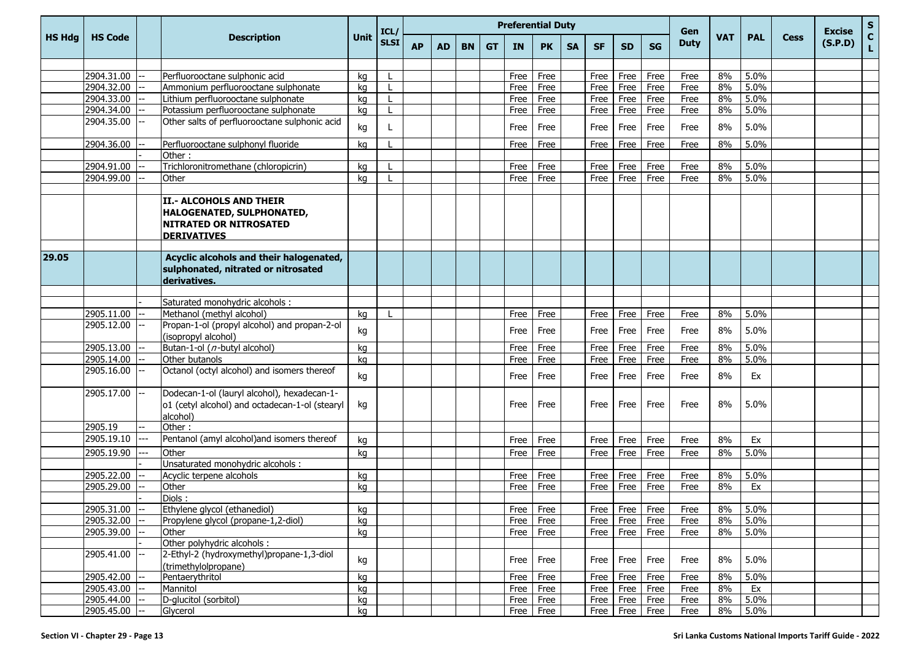|               |                |     |                                                                                                                    |             | ICL/         | <b>Preferential Duty</b> |     |           |           |           |           |           |           |                    |           | <b>Gen</b>  |            |            |             | <b>Excise</b> | $\frac{s}{c}$ |
|---------------|----------------|-----|--------------------------------------------------------------------------------------------------------------------|-------------|--------------|--------------------------|-----|-----------|-----------|-----------|-----------|-----------|-----------|--------------------|-----------|-------------|------------|------------|-------------|---------------|---------------|
| <b>HS Hdg</b> | <b>HS Code</b> |     | <b>Description</b>                                                                                                 | <b>Unit</b> | <b>SLSI</b>  | <b>AP</b>                | AD. | <b>BN</b> | <b>GT</b> | <b>IN</b> | <b>PK</b> | <b>SA</b> | <b>SF</b> | <b>SD</b>          | <b>SG</b> | <b>Duty</b> | <b>VAT</b> | <b>PAL</b> | <b>Cess</b> | (S.P.D)       | L             |
|               |                |     |                                                                                                                    |             |              |                          |     |           |           |           |           |           |           |                    |           |             |            |            |             |               |               |
|               | 2904.31.00     |     | Perfluorooctane sulphonic acid                                                                                     | ka          |              |                          |     |           |           | Free      | Free      |           | Free      | Free               | Free      | Free        | 8%         | 5.0%       |             |               |               |
|               | 2904.32.00     |     | Ammonium perfluorooctane sulphonate                                                                                | ka          |              |                          |     |           |           | Free      | Free      |           | Free      | Free               | Free      | Free        | 8%         | 5.0%       |             |               |               |
|               | 2904.33.00     |     | Lithium perfluorooctane sulphonate                                                                                 | kg          |              |                          |     |           |           | Free      | Free      |           | Free      | Free               | Free      | Free        | 8%         | 5.0%       |             |               |               |
|               | 2904.34.00     |     | Potassium perfluorooctane sulphonate                                                                               | kg          |              |                          |     |           |           | Free      | Free      |           | Free      | Free               | Free      | Free        | 8%         | 5.0%       |             |               |               |
|               | 2904.35.00     |     | Other salts of perfluorooctane sulphonic acid                                                                      | kg          | L            |                          |     |           |           | Free      | Free      |           | Free      | Free               | Free      | Free        | 8%         | 5.0%       |             |               |               |
|               | 2904.36.00     |     | Perfluorooctane sulphonyl fluoride                                                                                 | kg          |              |                          |     |           |           | Free      | Free      |           | Free      | Free               | Free      | Free        | 8%         | 5.0%       |             |               |               |
|               |                |     | Other:                                                                                                             |             |              |                          |     |           |           |           |           |           |           |                    |           |             |            |            |             |               |               |
|               | 2904.91.00     |     | Trichloronitromethane (chloropicrin)                                                                               | ka          |              |                          |     |           |           | Free      | Free      |           | Free      | Free               | Free      | Free        | 8%         | 5.0%       |             |               |               |
|               | 2904.99.00     |     | Other                                                                                                              | kg          | $\mathbf{I}$ |                          |     |           |           | Free      | Free      |           | Free      | Free               | Free      | Free        | 8%         | 5.0%       |             |               |               |
|               |                |     | II.- ALCOHOLS AND THEIR<br><b>HALOGENATED, SULPHONATED,</b><br><b>NITRATED OR NITROSATED</b><br><b>DERIVATIVES</b> |             |              |                          |     |           |           |           |           |           |           |                    |           |             |            |            |             |               |               |
| 29.05         |                |     | Acyclic alcohols and their halogenated,<br>sulphonated, nitrated or nitrosated                                     |             |              |                          |     |           |           |           |           |           |           |                    |           |             |            |            |             |               |               |
|               |                |     | derivatives.                                                                                                       |             |              |                          |     |           |           |           |           |           |           |                    |           |             |            |            |             |               |               |
|               |                |     |                                                                                                                    |             |              |                          |     |           |           |           |           |           |           |                    |           |             |            |            |             |               |               |
|               |                |     | Saturated monohydric alcohols :                                                                                    |             |              |                          |     |           |           |           |           |           |           |                    |           |             |            |            |             |               |               |
|               | 2905.11.00     |     | Methanol (methyl alcohol)                                                                                          | kg          |              |                          |     |           |           | Free      | Free      |           | Free      | Free               | Free      | Free        | 8%         | 5.0%       |             |               |               |
|               | 2905.12.00     |     | Propan-1-ol (propyl alcohol) and propan-2-ol<br>(isopropyl alcohol)                                                | kg          |              |                          |     |           |           | Free      | Free      |           | Free      | Free               | Free      | Free        | 8%         | 5.0%       |             |               |               |
|               | 2905.13.00     |     | Butan-1-ol (n-butyl alcohol)                                                                                       | kg          |              |                          |     |           |           | Free      | Free      |           | Free      | Free               | Free      | Free        | 8%         | 5.0%       |             |               |               |
|               | 2905.14.00     |     | Other butanols                                                                                                     | kg          |              |                          |     |           |           | Free      | Free      |           | Free      | Free               | Free      | Free        | 8%         | 5.0%       |             |               |               |
|               | 2905.16.00     |     | Octanol (octyl alcohol) and isomers thereof                                                                        | kg          |              |                          |     |           |           | Free      | Free      |           | Free      | Free               | Free      | Free        | 8%         | Ex         |             |               |               |
|               | 2905.17.00     |     | Dodecan-1-ol (lauryl alcohol), hexadecan-1-<br>o1 (cetyl alcohol) and octadecan-1-ol (stearyl<br>alcohol)          | kg          |              |                          |     |           |           | Free      | Free      |           | Free      | Free               | Free      | Free        | 8%         | 5.0%       |             |               |               |
|               | 2905.19        |     | Other:                                                                                                             |             |              |                          |     |           |           |           |           |           |           |                    |           |             |            |            |             |               |               |
|               | 2905.19.10     |     | Pentanol (amyl alcohol) and isomers thereof                                                                        | kg          |              |                          |     |           |           | Free      | Free      |           | Free      | Free               | Free      | Free        | 8%         | Ex         |             |               |               |
|               | 2905.19.90     | --- | Other                                                                                                              | ka          |              |                          |     |           |           | Free      | Free      |           | Free      | Free               | Free      | Free        | 8%         | 5.0%       |             |               |               |
|               |                |     | Unsaturated monohydric alcohols :                                                                                  |             |              |                          |     |           |           |           |           |           |           |                    |           |             |            |            |             |               |               |
|               | 2905.22.00     |     | Acyclic terpene alcohols                                                                                           | kg          |              |                          |     |           |           | Free      | Free      |           | Free      | Free               | Free      | Free        | 8%         | 5.0%       |             |               |               |
|               | 2905.29.00     |     | Other                                                                                                              | kg          |              |                          |     |           |           | Free      | Free      |           | Free      | Free               | Free      | Free        | 8%         | Ex         |             |               |               |
|               |                |     | Diols:                                                                                                             |             |              |                          |     |           |           |           |           |           |           |                    |           |             |            |            |             |               |               |
|               | 2905.31.00     |     | Ethylene glycol (ethanediol)                                                                                       | kg          |              |                          |     |           |           |           | Free Free |           |           | Free   Free   Free |           | Free        |            | 8% 5.0%    |             |               |               |
|               | 2905.32.00     |     | Propylene glycol (propane-1,2-diol)                                                                                | kg          |              |                          |     |           |           | Free      | Free      |           | Free      | Free               | Free      | Free        | 8%         | 5.0%       |             |               |               |
|               | 2905.39.00     |     | Other                                                                                                              | kg          |              |                          |     |           |           |           | Free Free |           | Free      | Free               | Free      | Free        | 8%         | 5.0%       |             |               |               |
|               |                |     | Other polyhydric alcohols :                                                                                        |             |              |                          |     |           |           |           |           |           |           |                    |           |             |            |            |             |               |               |
|               | 2905.41.00     |     | 2-Ethyl-2 (hydroxymethyl)propane-1,3-diol<br>(trimethylolpropane)                                                  | kg          |              |                          |     |           |           |           | Free Free |           | Free      | Free               | Free      | Free        | 8%         | 5.0%       |             |               |               |
|               | 2905.42.00     |     | Pentaerythritol                                                                                                    | kg          |              |                          |     |           |           | Free      | Free      |           | Free      | Free               | Free      | Free        | 8%         | 5.0%       |             |               |               |
|               | 2905.43.00     |     | Mannitol                                                                                                           | kg          |              |                          |     |           |           |           | Free Free |           | Free      | Free               | Free      | Free        | 8%         | Ex         |             |               |               |
|               | 2905.44.00     |     | D-glucitol (sorbitol)                                                                                              | kg          |              |                          |     |           |           |           | Free Free |           | Free      | Free               | Free      | Free        | 8%         | $5.0\%$    |             |               |               |
|               | 2905.45.00     | Щ.  | Glycerol                                                                                                           | kg          |              |                          |     |           |           |           | Free Free |           |           | Free   Free   Free |           | Free        | 8%         | 5.0%       |             |               |               |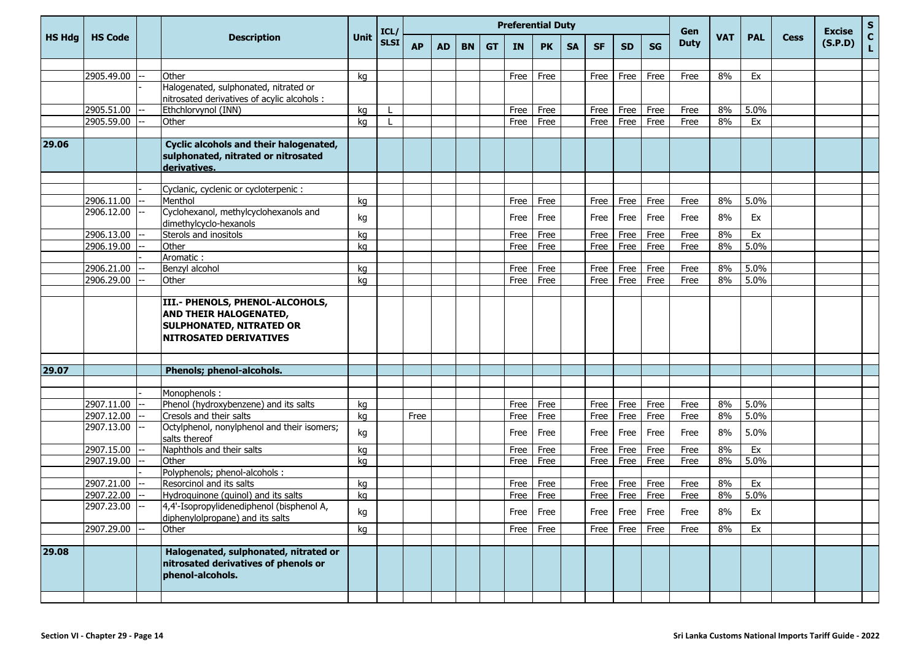|               |                          |    |                                                                                                                        |             | ICL/        |           |           |           |           | <b>Preferential Duty</b> |           |           |           |                    |           | Gen         |            |            |             | <b>Excise</b> | ${\sf s}$          |
|---------------|--------------------------|----|------------------------------------------------------------------------------------------------------------------------|-------------|-------------|-----------|-----------|-----------|-----------|--------------------------|-----------|-----------|-----------|--------------------|-----------|-------------|------------|------------|-------------|---------------|--------------------|
| <b>HS Hdg</b> | <b>HS Code</b>           |    | <b>Description</b>                                                                                                     | <b>Unit</b> | <b>SLSI</b> | <b>AP</b> | <b>AD</b> | <b>BN</b> | <b>GT</b> | <b>IN</b>                | <b>PK</b> | <b>SA</b> | <b>SF</b> | <b>SD</b>          | <b>SG</b> | <b>Duty</b> | <b>VAT</b> | <b>PAL</b> | <b>Cess</b> | (S.P.D)       | $\mathbf{C}$<br>Ĺ. |
|               |                          |    |                                                                                                                        |             |             |           |           |           |           |                          |           |           |           |                    |           |             |            |            |             |               |                    |
|               | 2905.49.00               | -- | Other                                                                                                                  | kg          |             |           |           |           |           | Free                     | Free      |           | Free      | Free               | Free      | Free        | 8%         | Ex         |             |               |                    |
|               |                          |    | Halogenated, sulphonated, nitrated or                                                                                  |             |             |           |           |           |           |                          |           |           |           |                    |           |             |            |            |             |               |                    |
|               | 2905.51.00               |    | nitrosated derivatives of acylic alcohols :<br>Ethchlorvynol (INN)                                                     | kg          |             |           |           |           |           | Free                     | Free      |           |           | Free Free          | Free      | Free        | 8%         | 5.0%       |             |               |                    |
|               | 2905.59.00               |    | Other                                                                                                                  | kg          |             |           |           |           |           | Free                     | Free      |           | Free      | Free               | Free      | Free        | 8%         | Ex         |             |               |                    |
|               |                          |    |                                                                                                                        |             |             |           |           |           |           |                          |           |           |           |                    |           |             |            |            |             |               |                    |
| 29.06         |                          |    | Cyclic alcohols and their halogenated,<br>sulphonated, nitrated or nitrosated<br>derivatives.                          |             |             |           |           |           |           |                          |           |           |           |                    |           |             |            |            |             |               |                    |
|               |                          |    |                                                                                                                        |             |             |           |           |           |           |                          |           |           |           |                    |           |             |            |            |             |               |                    |
|               |                          |    | Cyclanic, cyclenic or cycloterpenic :                                                                                  |             |             |           |           |           |           |                          |           |           |           |                    |           |             |            |            |             |               |                    |
|               | 2906.11.00<br>2906.12.00 |    | Menthol<br>Cyclohexanol, methylcyclohexanols and                                                                       | kg          |             |           |           |           |           | Free                     | Free      |           | Free      | Free               | Free      | Free        | 8%         | 5.0%       |             |               |                    |
|               |                          |    | dimethylcyclo-hexanols                                                                                                 | kg          |             |           |           |           |           | Free                     | Free      |           | Free      | Free               | Free      | Free        | 8%         | Ex         |             |               |                    |
|               | 2906.13.00               |    | Sterols and inositols                                                                                                  | kg          |             |           |           |           |           | Free                     | Free      |           | Free      | Free               | Free      | Free        | 8%         | Ex         |             |               |                    |
|               | 2906.19.00               |    | Other                                                                                                                  | kg          |             |           |           |           |           | Free                     | Free      |           | Free      | Free               | Free      | Free        | 8%         | 5.0%       |             |               |                    |
|               |                          |    | Aromatic:                                                                                                              |             |             |           |           |           |           |                          |           |           |           |                    |           |             |            |            |             |               |                    |
|               | 2906.21.00               |    | Benzyl alcohol                                                                                                         | kg          |             |           |           |           |           | Free                     | Free      |           | Free      | Free               | Free      | Free        | 8%         | 5.0%       |             |               |                    |
|               | 2906.29.00               |    | Other                                                                                                                  | kg          |             |           |           |           |           | Free                     | Free      |           | Free      | Free               | Free      | Free        | 8%         | 5.0%       |             |               |                    |
|               |                          |    | III.- PHENOLS, PHENOL-ALCOHOLS,<br>AND THEIR HALOGENATED,<br>SULPHONATED, NITRATED OR<br><b>NITROSATED DERIVATIVES</b> |             |             |           |           |           |           |                          |           |           |           |                    |           |             |            |            |             |               |                    |
| 29.07         |                          |    | Phenols; phenol-alcohols.                                                                                              |             |             |           |           |           |           |                          |           |           |           |                    |           |             |            |            |             |               |                    |
|               |                          |    |                                                                                                                        |             |             |           |           |           |           |                          |           |           |           |                    |           |             |            |            |             |               |                    |
|               |                          |    | Monophenols:                                                                                                           |             |             |           |           |           |           |                          |           |           |           |                    |           |             |            |            |             |               |                    |
|               | 2907.11.00               |    | Phenol (hydroxybenzene) and its salts                                                                                  | kg          |             |           |           |           |           | Free                     | Free      |           |           | $Free$   Free      | Free      | Free        | 8%         | 5.0%       |             |               |                    |
|               | 2907.12.00               |    | Cresols and their salts                                                                                                | kg          |             | Free      |           |           |           | Free                     | Free      |           | Free      | Free               | Free      | Free        | 8%         | 5.0%       |             |               |                    |
|               | 2907.13.00               |    | Octylphenol, nonylphenol and their isomers;<br>salts thereof                                                           | kg          |             |           |           |           |           | Free                     | Free      |           | Free      | Free               | Free      | Free        | 8%         | 5.0%       |             |               |                    |
|               | 2907.15.00               |    | Naphthols and their salts                                                                                              | kg          |             |           |           |           |           | Free                     | Free      |           | Free      | Free               | Free      | Free        | 8%         | Ex         |             |               |                    |
|               | 2907.19.00               |    | Other                                                                                                                  | kg          |             |           |           |           |           | Free                     | Free      |           | Free      | Free               | Free      | Free        | 8%         | 5.0%       |             |               |                    |
|               |                          |    | Polyphenols; phenol-alcohols :                                                                                         |             |             |           |           |           |           |                          |           |           |           |                    |           |             |            |            |             |               |                    |
|               | 2907.21.00               |    | Resorcinol and its salts                                                                                               | kg          |             |           |           |           |           | Free                     | Free      |           | Free      | Free               | Free      | Free        | 8%         | Ex         |             |               |                    |
|               | 2907.22.00               |    | Hydroquinone (quinol) and its salts                                                                                    | kg          |             |           |           |           |           | Free                     | Free      |           | Free      | Free               | Free      | Free        | 8%         | 5.0%       |             |               |                    |
|               | 2907.23.00               |    | 4,4'-Isopropylidenediphenol (bisphenol A,<br>diphenylolpropane) and its salts                                          | kg          |             |           |           |           |           |                          | Free Free |           |           | Free   Free   Free |           | Free        | 8%         | Ex         |             |               |                    |
|               | 2907.29.00               |    | Other                                                                                                                  | kg          |             |           |           |           |           |                          | Free Free |           |           | Free Free          | Free      | Free        | 8%         | Ex         |             |               |                    |
|               |                          |    |                                                                                                                        |             |             |           |           |           |           |                          |           |           |           |                    |           |             |            |            |             |               |                    |
| 29.08         |                          |    | Halogenated, sulphonated, nitrated or<br>nitrosated derivatives of phenols or<br>phenol-alcohols.                      |             |             |           |           |           |           |                          |           |           |           |                    |           |             |            |            |             |               |                    |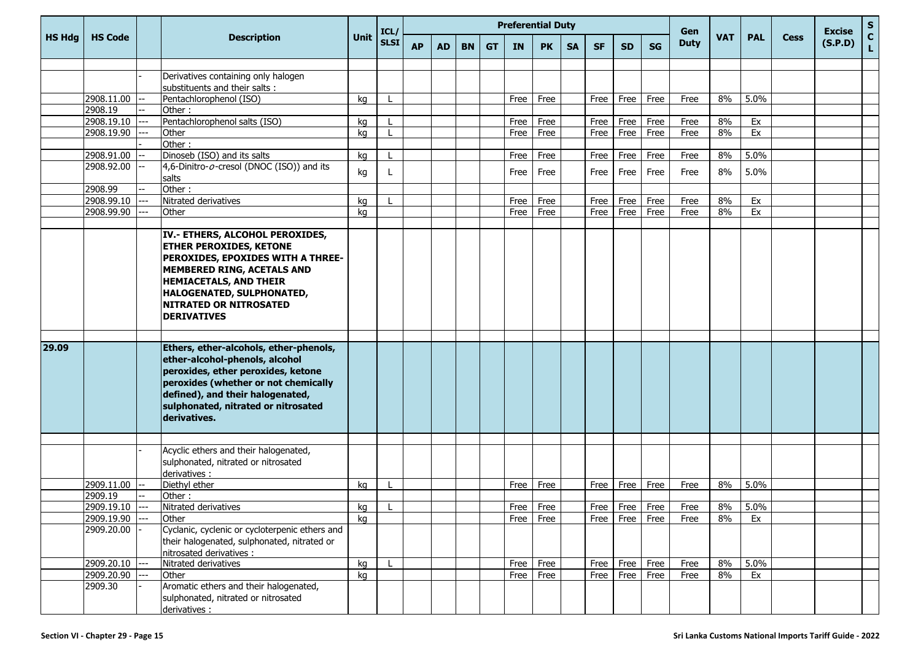|               |                          |                     |                                                         |             | ICL/        |           |           |           |           | <b>Preferential Duty</b> |           |           |           |                |                    | Gen         |            |            |             | <b>Excise</b> | $\mathbf S$                 |
|---------------|--------------------------|---------------------|---------------------------------------------------------|-------------|-------------|-----------|-----------|-----------|-----------|--------------------------|-----------|-----------|-----------|----------------|--------------------|-------------|------------|------------|-------------|---------------|-----------------------------|
| <b>HS Hdg</b> | <b>HS Code</b>           |                     | <b>Description</b>                                      | <b>Unit</b> | <b>SLSI</b> | <b>AP</b> | <b>AD</b> | <b>BN</b> | <b>GT</b> | IN                       | <b>PK</b> | <b>SA</b> | <b>SF</b> | <b>SD</b>      | <b>SG</b>          | <b>Duty</b> | <b>VAT</b> | <b>PAL</b> | <b>Cess</b> | (S.P.D)       | $\mathbf{C}$<br>$\mathbf L$ |
|               |                          |                     |                                                         |             |             |           |           |           |           |                          |           |           |           |                |                    |             |            |            |             |               |                             |
|               |                          |                     | Derivatives containing only halogen                     |             |             |           |           |           |           |                          |           |           |           |                |                    |             |            |            |             |               |                             |
|               |                          |                     | substituents and their salts :                          |             |             |           |           |           |           |                          |           |           |           |                |                    |             |            |            |             |               |                             |
|               | 2908.11.00               |                     | Pentachlorophenol (ISO)                                 | kg          |             |           |           |           |           | Free                     | Free      |           | Free      | Free           | Free               | Free        | 8%         | 5.0%       |             |               |                             |
|               | 2908.19                  |                     | Other:                                                  |             |             |           |           |           |           |                          |           |           |           |                |                    |             |            |            |             |               |                             |
|               | 2908.19.10               | $---$               | Pentachlorophenol salts (ISO)                           | kg          |             |           |           |           |           | Free                     | Free      |           | Free      | Free           | Free               | Free        | 8%         | Ex         |             |               |                             |
|               | 2908.19.90               |                     | Other<br>Other:                                         | kg          |             |           |           |           |           | Free                     | Free      |           | Free      | Free           | Free               | Free        | 8%         | Ex         |             |               |                             |
|               | 2908.91.00               |                     | Dinoseb (ISO) and its salts                             | kg          |             |           |           |           |           | Free                     | Free      |           | Free      | Free           | Free               | Free        | 8%         | 5.0%       |             |               |                             |
|               | 2908.92.00               |                     | 4,6-Dinitro- <i>o</i> -cresol (DNOC (ISO)) and its      |             |             |           |           |           |           |                          |           |           |           |                |                    |             |            |            |             |               |                             |
|               |                          |                     | salts                                                   | kg          |             |           |           |           |           | Free                     | Free      |           | Free      | Free           | Free               | Free        | 8%         | 5.0%       |             |               |                             |
|               | 2908.99                  |                     | Other:                                                  |             |             |           |           |           |           |                          |           |           |           |                |                    |             |            |            |             |               |                             |
|               | 2908.99.10               | $\qquad \qquad - -$ | Nitrated derivatives                                    | kg          |             |           |           |           |           | Free                     | Free      |           | Free      | Free           | Free               | Free        | 8%         | Ex         |             |               |                             |
|               | 2908.99.90               |                     | Other                                                   | kg          |             |           |           |           |           | Free                     | Free      |           | Free      | Free           | Free               | Free        | 8%         | Ex         |             |               |                             |
|               |                          |                     |                                                         |             |             |           |           |           |           |                          |           |           |           |                |                    |             |            |            |             |               |                             |
|               |                          |                     | IV.- ETHERS, ALCOHOL PEROXIDES,                         |             |             |           |           |           |           |                          |           |           |           |                |                    |             |            |            |             |               |                             |
|               |                          |                     | <b>ETHER PEROXIDES, KETONE</b>                          |             |             |           |           |           |           |                          |           |           |           |                |                    |             |            |            |             |               |                             |
|               |                          |                     | PEROXIDES, EPOXIDES WITH A THREE-                       |             |             |           |           |           |           |                          |           |           |           |                |                    |             |            |            |             |               |                             |
|               |                          |                     | MEMBERED RING, ACETALS AND                              |             |             |           |           |           |           |                          |           |           |           |                |                    |             |            |            |             |               |                             |
|               |                          |                     | <b>HEMIACETALS, AND THEIR</b>                           |             |             |           |           |           |           |                          |           |           |           |                |                    |             |            |            |             |               |                             |
|               |                          |                     | HALOGENATED, SULPHONATED,                               |             |             |           |           |           |           |                          |           |           |           |                |                    |             |            |            |             |               |                             |
|               |                          |                     | <b>NITRATED OR NITROSATED</b>                           |             |             |           |           |           |           |                          |           |           |           |                |                    |             |            |            |             |               |                             |
|               |                          |                     | <b>DERIVATIVES</b>                                      |             |             |           |           |           |           |                          |           |           |           |                |                    |             |            |            |             |               |                             |
|               |                          |                     |                                                         |             |             |           |           |           |           |                          |           |           |           |                |                    |             |            |            |             |               |                             |
| 29.09         |                          |                     | Ethers, ether-alcohols, ether-phenols,                  |             |             |           |           |           |           |                          |           |           |           |                |                    |             |            |            |             |               |                             |
|               |                          |                     | ether-alcohol-phenols, alcohol                          |             |             |           |           |           |           |                          |           |           |           |                |                    |             |            |            |             |               |                             |
|               |                          |                     | peroxides, ether peroxides, ketone                      |             |             |           |           |           |           |                          |           |           |           |                |                    |             |            |            |             |               |                             |
|               |                          |                     | peroxides (whether or not chemically                    |             |             |           |           |           |           |                          |           |           |           |                |                    |             |            |            |             |               |                             |
|               |                          |                     | defined), and their halogenated,                        |             |             |           |           |           |           |                          |           |           |           |                |                    |             |            |            |             |               |                             |
|               |                          |                     | sulphonated, nitrated or nitrosated                     |             |             |           |           |           |           |                          |           |           |           |                |                    |             |            |            |             |               |                             |
|               |                          |                     | derivatives.                                            |             |             |           |           |           |           |                          |           |           |           |                |                    |             |            |            |             |               |                             |
|               |                          |                     |                                                         |             |             |           |           |           |           |                          |           |           |           |                |                    |             |            |            |             |               |                             |
|               |                          |                     | Acyclic ethers and their halogenated,                   |             |             |           |           |           |           |                          |           |           |           |                |                    |             |            |            |             |               |                             |
|               |                          |                     | sulphonated, nitrated or nitrosated                     |             |             |           |           |           |           |                          |           |           |           |                |                    |             |            |            |             |               |                             |
|               |                          |                     | derivatives :                                           |             |             |           |           |           |           |                          |           |           |           |                |                    |             |            |            |             |               |                             |
|               | 2909.11.00               |                     | Diethyl ether                                           | kg          |             |           |           |           |           | Free                     | Free      |           | Free      | Free           | Free               | Free        | 8%         | 5.0%       |             |               |                             |
|               | 2909.19                  | --                  | Other:                                                  |             |             |           |           |           |           |                          |           |           |           |                |                    |             |            |            |             |               |                             |
|               | 2909.19.10<br>2909.19.90 | $ -----$            | Nitrated derivatives                                    | kg          | L.          |           |           |           |           | Free Free                |           |           |           |                | Free   Free   Free | Free        |            | 8% 5.0%    |             |               |                             |
|               | 2909.20.00               |                     | Other<br>Cyclanic, cyclenic or cycloterpenic ethers and | kg          |             |           |           |           |           | Free Free                |           |           |           | Free Free Free |                    | Free        | 8%         | Ex         |             |               |                             |
|               |                          |                     | their halogenated, sulphonated, nitrated or             |             |             |           |           |           |           |                          |           |           |           |                |                    |             |            |            |             |               |                             |
|               |                          |                     | nitrosated derivatives :                                |             |             |           |           |           |           |                          |           |           |           |                |                    |             |            |            |             |               |                             |
|               | 2909.20.10               | $\overline{a}$      | Nitrated derivatives                                    | kg          |             |           |           |           |           | Free Free                |           |           | Free      | Free           | Free               | Free        | 8%         | 5.0%       |             |               |                             |
|               | 2909.20.90               | $\frac{1}{2}$       | Other                                                   | kg          |             |           |           |           |           | Free                     | Free      |           | Free      | Free           | Free               | Free        | 8%         | Ex         |             |               |                             |
|               | 2909.30                  |                     | Aromatic ethers and their halogenated,                  |             |             |           |           |           |           |                          |           |           |           |                |                    |             |            |            |             |               |                             |
|               |                          |                     | sulphonated, nitrated or nitrosated                     |             |             |           |           |           |           |                          |           |           |           |                |                    |             |            |            |             |               |                             |
|               |                          |                     | derivatives :                                           |             |             |           |           |           |           |                          |           |           |           |                |                    |             |            |            |             |               |                             |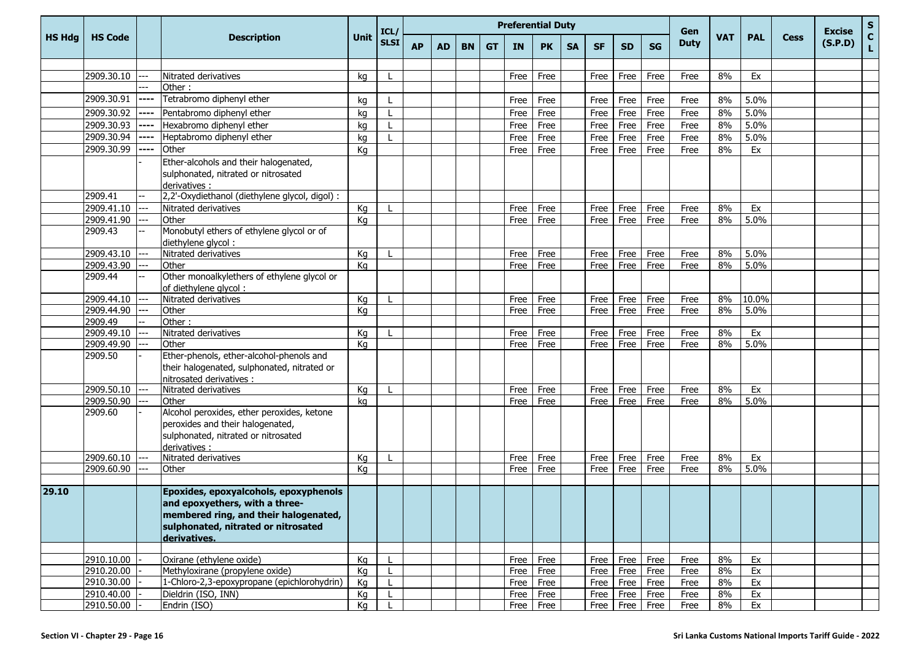|               |                       |      |                                                                                                                                                                         |             | ICL/        |           |     |           |    | <b>Preferential Duty</b> |           |           |           |                    |           | Gen         |            |            |             | <b>Excise</b> | ${\sf s}$ |
|---------------|-----------------------|------|-------------------------------------------------------------------------------------------------------------------------------------------------------------------------|-------------|-------------|-----------|-----|-----------|----|--------------------------|-----------|-----------|-----------|--------------------|-----------|-------------|------------|------------|-------------|---------------|-----------|
| <b>HS Hdg</b> | <b>HS Code</b>        |      | <b>Description</b>                                                                                                                                                      | <b>Unit</b> | <b>SLSI</b> | <b>AP</b> | AD. | <b>BN</b> | GT | <b>IN</b>                | <b>PK</b> | <b>SA</b> | <b>SF</b> | <b>SD</b>          | <b>SG</b> | <b>Duty</b> | <b>VAT</b> | <b>PAL</b> | <b>Cess</b> | (S.P.D)       | C<br>Ĺ.   |
|               |                       |      |                                                                                                                                                                         |             |             |           |     |           |    |                          |           |           |           |                    |           |             |            |            |             |               |           |
|               | 2909.30.10            |      | Nitrated derivatives                                                                                                                                                    | kg          |             |           |     |           |    | Free                     | Free      |           | Free      | Free               | Free      | Free        | 8%         | Ex         |             |               |           |
|               |                       |      | Other:                                                                                                                                                                  |             |             |           |     |           |    |                          |           |           |           |                    |           |             |            |            |             |               |           |
|               | 2909.30.91            | ---- | Tetrabromo diphenyl ether                                                                                                                                               | kg          |             |           |     |           |    | Free                     | Free      |           | Free      | Free               | Free      | Free        | 8%         | 5.0%       |             |               |           |
|               | 2909.30.92            |      | Pentabromo diphenyl ether                                                                                                                                               | kg          |             |           |     |           |    | Free                     | Free      |           | Free      | Free               | Free      | Free        | 8%         | 5.0%       |             |               |           |
|               | 2909.30.93            | ---- | Hexabromo diphenyl ether                                                                                                                                                | kg          |             |           |     |           |    | Free                     | Free      |           | Free      | Free               | Free      | Free        | 8%         | 5.0%       |             |               |           |
|               | 2909.30.94            |      | Heptabromo diphenyl ether                                                                                                                                               | kg          |             |           |     |           |    | Free                     | Free      |           | Free      | Free               | Free      | Free        | 8%         | 5.0%       |             |               |           |
|               | 2909.30.99            | ---- | Other                                                                                                                                                                   | Кq          |             |           |     |           |    | Free                     | Free      |           | Free      | Free               | Free      | Free        | 8%         | Ex         |             |               |           |
|               |                       |      | Ether-alcohols and their halogenated,                                                                                                                                   |             |             |           |     |           |    |                          |           |           |           |                    |           |             |            |            |             |               |           |
|               |                       |      | sulphonated, nitrated or nitrosated                                                                                                                                     |             |             |           |     |           |    |                          |           |           |           |                    |           |             |            |            |             |               |           |
|               |                       |      | derivatives :                                                                                                                                                           |             |             |           |     |           |    |                          |           |           |           |                    |           |             |            |            |             |               |           |
|               | 2909.41               |      | 2,2'-Oxydiethanol (diethylene glycol, digol) :                                                                                                                          |             |             |           |     |           |    |                          |           |           |           |                    |           |             |            |            |             |               |           |
|               | 2909.41.10            | ---  | Nitrated derivatives                                                                                                                                                    | Кg          |             |           |     |           |    | Free                     | Free      |           | Free      | Free               | Free      | Free        | 8%         | Ex         |             |               |           |
|               | 2909.41.90<br>2909.43 |      | Other<br>Monobutyl ethers of ethylene glycol or of                                                                                                                      | Кq          |             |           |     |           |    | Free                     | Free      |           | Free      | Free               | Free      | Free        | 8%         | 5.0%       |             |               |           |
|               |                       |      | diethylene glycol:                                                                                                                                                      |             |             |           |     |           |    |                          |           |           |           |                    |           |             |            |            |             |               |           |
|               | 2909.43.10            |      | Nitrated derivatives                                                                                                                                                    | Кq          |             |           |     |           |    | Free                     | Free      |           |           | Free   Free   Free |           | Free        | 8%         | 5.0%       |             |               |           |
|               | 2909.43.90            |      | Other                                                                                                                                                                   | Kg          |             |           |     |           |    | Free                     | Free      |           | Free      | Free               | Free      | Free        | 8%         | 5.0%       |             |               |           |
|               | 2909.44               |      | Other monoalkylethers of ethylene glycol or<br>of diethylene glycol:                                                                                                    |             |             |           |     |           |    |                          |           |           |           |                    |           |             |            |            |             |               |           |
|               | 2909.44.10            |      | Nitrated derivatives                                                                                                                                                    | Kg          |             |           |     |           |    | Free                     | Free      |           |           | $Free$   Free      | Free      | Free        | 8%         | 10.0%      |             |               |           |
|               | 2909.44.90            |      | Other                                                                                                                                                                   | Кa          |             |           |     |           |    | Free                     | Free      |           | Free      | Free               | Free      | Free        | 8%         | 5.0%       |             |               |           |
|               | 2909.49               |      | Other:                                                                                                                                                                  |             |             |           |     |           |    |                          |           |           |           |                    |           |             |            |            |             |               |           |
|               | 2909.49.10            | ---  | Nitrated derivatives                                                                                                                                                    | Кq          |             |           |     |           |    | Free                     | Free      |           | Free      | Free               | Free      | Free        | 8%         | Ex         |             |               |           |
|               | 2909.49.90            |      | Other                                                                                                                                                                   | Кq          |             |           |     |           |    | Free                     | Free      |           | Free      | Free               | Free      | Free        | 8%         | 5.0%       |             |               |           |
|               | 2909.50               |      | Ether-phenols, ether-alcohol-phenols and<br>their halogenated, sulphonated, nitrated or<br>nitrosated derivatives :                                                     |             |             |           |     |           |    |                          |           |           |           |                    |           |             |            |            |             |               |           |
|               | 2909.50.10            |      | Nitrated derivatives                                                                                                                                                    | Ka          |             |           |     |           |    | Free                     | Free      |           |           | $Free$ Free        | Free      | Free        | 8%         | Ex         |             |               |           |
|               | 2909.50.90            |      | Other                                                                                                                                                                   | kg          |             |           |     |           |    | Free                     | Free      |           | Free      | Free               | Free      | Free        | 8%         | 5.0%       |             |               |           |
|               | 2909.60               |      | Alcohol peroxides, ether peroxides, ketone                                                                                                                              |             |             |           |     |           |    |                          |           |           |           |                    |           |             |            |            |             |               |           |
|               |                       |      | peroxides and their halogenated,                                                                                                                                        |             |             |           |     |           |    |                          |           |           |           |                    |           |             |            |            |             |               |           |
|               |                       |      | sulphonated, nitrated or nitrosated                                                                                                                                     |             |             |           |     |           |    |                          |           |           |           |                    |           |             |            |            |             |               |           |
|               |                       |      | derivatives :                                                                                                                                                           |             |             |           |     |           |    |                          |           |           |           |                    |           |             |            |            |             |               |           |
|               | 2909.60.10            |      | Nitrated derivatives                                                                                                                                                    | Кq          |             |           |     |           |    | Free                     | Free      |           | Free      | Free               | Free      | Free        | 8%         | Ex         |             |               |           |
|               | 2909.60.90            |      | Other                                                                                                                                                                   | Кa          |             |           |     |           |    | Free                     | Free      |           | Free      | Free               | Free      | Free        | 8%         | 5.0%       |             |               |           |
| 29.10         |                       |      | Epoxides, epoxyalcohols, epoxyphenols<br>and epoxyethers, with a three-<br>membered ring, and their halogenated,<br>sulphonated, nitrated or nitrosated<br>derivatives. |             |             |           |     |           |    |                          |           |           |           |                    |           |             |            |            |             |               |           |
|               |                       |      |                                                                                                                                                                         |             |             |           |     |           |    |                          |           |           |           |                    |           |             |            |            |             |               |           |
|               | 2910.10.00            |      | Oxirane (ethylene oxide)                                                                                                                                                | Kg          |             |           |     |           |    | Free                     | Free      |           |           | $Free$   Free      | Free      | Free        | 8%         | Ex         |             |               |           |
|               | 2910.20.00            |      | Methyloxirane (propylene oxide)                                                                                                                                         | Kg          |             |           |     |           |    | Free Free                |           |           |           | Free   Free   Free |           | Free        | 8%         | Ex         |             |               |           |
|               | 2910.30.00            |      | 1-Chloro-2,3-epoxypropane (epichlorohydrin)                                                                                                                             | Кg          |             |           |     |           |    | Free Free                |           |           |           | Free   Free   Free |           | Free        | 8%         | Ex         |             |               |           |
|               | 2910.40.00            |      | Dieldrin (ISO, INN)                                                                                                                                                     | Kg          |             |           |     |           |    | Free                     | Free      |           |           | Free Free Free     |           | Free        | 8%         | Ex         |             |               |           |
|               | 2910.50.00            |      | Endrin (ISO)                                                                                                                                                            | Kg          |             |           |     |           |    |                          | Free Free |           |           | Free   Free   Free |           | Free        | 8%         | Ex         |             |               |           |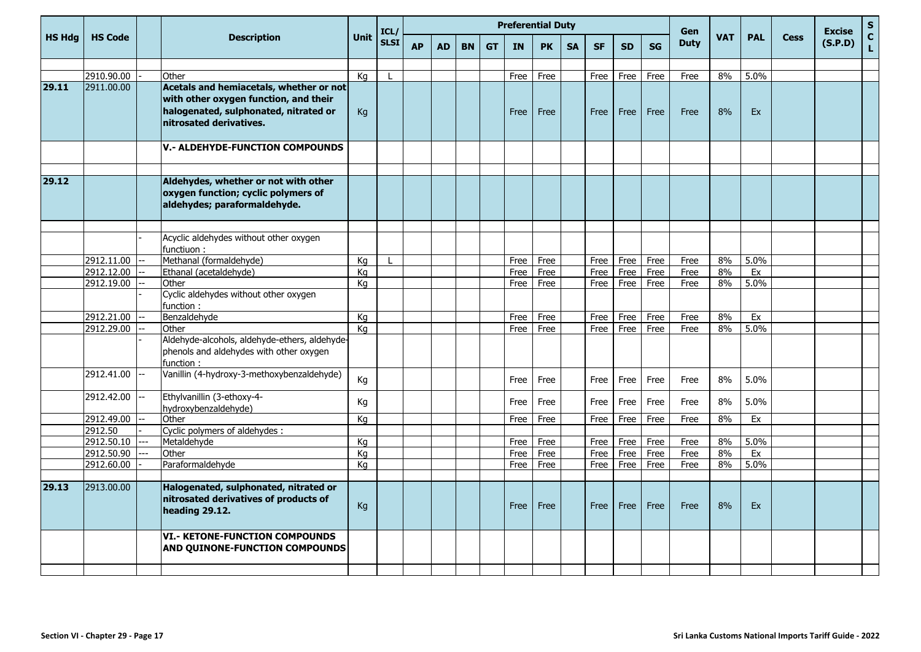|               |                          |                                                                                                                                                      |             | ICL/        |           |     |           |           |           | <b>Preferential Duty</b> |           |           |           |              | Gen         |            |            |             | <b>Excise</b> | $\mathbf S$        |
|---------------|--------------------------|------------------------------------------------------------------------------------------------------------------------------------------------------|-------------|-------------|-----------|-----|-----------|-----------|-----------|--------------------------|-----------|-----------|-----------|--------------|-------------|------------|------------|-------------|---------------|--------------------|
| <b>HS Hda</b> | <b>HS Code</b>           | <b>Description</b>                                                                                                                                   | <b>Unit</b> | <b>SLSI</b> | <b>AP</b> | AD. | <b>BN</b> | <b>GT</b> | <b>IN</b> | <b>PK</b>                | <b>SA</b> | <b>SF</b> | <b>SD</b> | <b>SG</b>    | <b>Duty</b> | <b>VAT</b> | <b>PAL</b> | <b>Cess</b> | (S.P.D)       | $\mathbf{C}$<br>L. |
|               |                          |                                                                                                                                                      |             |             |           |     |           |           |           |                          |           |           |           |              |             |            |            |             |               |                    |
|               | 2910.90.00               | Other                                                                                                                                                | Кq          |             |           |     |           |           | Free      | Free                     |           | Free      | Free      | Free         | Free        | 8%         | 5.0%       |             |               |                    |
| 29.11         | 2911.00.00               | Acetals and hemiacetals, whether or not<br>with other oxygen function, and their<br>halogenated, sulphonated, nitrated or<br>nitrosated derivatives. | Kg          |             |           |     |           |           | Free      | Free                     |           | Free      | Free      | Free         | Free        | 8%         | Ex         |             |               |                    |
|               |                          | V.- ALDEHYDE-FUNCTION COMPOUNDS                                                                                                                      |             |             |           |     |           |           |           |                          |           |           |           |              |             |            |            |             |               |                    |
| 29.12         |                          | Aldehydes, whether or not with other<br>oxygen function; cyclic polymers of<br>aldehydes; paraformaldehyde.                                          |             |             |           |     |           |           |           |                          |           |           |           |              |             |            |            |             |               |                    |
|               |                          |                                                                                                                                                      |             |             |           |     |           |           |           |                          |           |           |           |              |             |            |            |             |               |                    |
|               |                          | Acyclic aldehydes without other oxygen<br>functiuon:                                                                                                 |             |             |           |     |           |           |           |                          |           |           |           |              |             |            |            |             |               |                    |
|               | 2912.11.00               | Methanal (formaldehyde)                                                                                                                              | Kq          |             |           |     |           |           | Free      | Free                     |           | Free      | Free      | Free         | Free        | 8%         | 5.0%       |             |               |                    |
|               | 2912.12.00               | Ethanal (acetaldehyde)                                                                                                                               | Kg          |             |           |     |           |           | Free      | Free                     |           | Free      | Free      | Free         | Free        | 8%         | Ex         |             |               |                    |
|               | 2912.19.00               | Other<br>Cyclic aldehydes without other oxygen<br>function :                                                                                         | Kg          |             |           |     |           |           | Free      | Free                     |           | Free      | Free      | Free         | Free        | 8%         | 5.0%       |             |               |                    |
|               | 2912.21.00               | Benzaldehyde                                                                                                                                         | Kg          |             |           |     |           |           | Free      | Free                     |           | Free      | Free      | Free         | Free        | 8%         | Ex         |             |               |                    |
|               | 2912.29.00               | Other                                                                                                                                                | Kg          |             |           |     |           |           | Free      | Free                     |           | Free      | Free      | Free         | Free        | 8%         | 5.0%       |             |               |                    |
|               |                          | Aldehyde-alcohols, aldehyde-ethers, aldehyde-<br>phenols and aldehydes with other oxygen<br>function:                                                |             |             |           |     |           |           |           |                          |           |           |           |              |             |            |            |             |               |                    |
|               | 2912.41.00               | Vanillin (4-hydroxy-3-methoxybenzaldehyde)                                                                                                           | Kg          |             |           |     |           |           | Free      | Free                     |           | Free      | Free      | Free         | Free        | 8%         | 5.0%       |             |               |                    |
|               | 2912.42.00               | Ethylvanillin (3-ethoxy-4-<br>hydroxybenzaldehyde)                                                                                                   | Kg          |             |           |     |           |           | Free      | Free                     |           | Free      | Free      | Free         | Free        | 8%         | 5.0%       |             |               |                    |
|               | 2912.49.00               | Other                                                                                                                                                | Kg          |             |           |     |           |           | Free      | Free                     |           | Free      | Free      | Free         | Free        | 8%         | Ex         |             |               |                    |
|               | 2912.50                  | Cyclic polymers of aldehydes :                                                                                                                       |             |             |           |     |           |           |           |                          |           |           |           |              |             |            |            |             |               |                    |
|               | 2912.50.10               | Metaldehyde                                                                                                                                          | Kq          |             |           |     |           |           | Free      | Free                     |           | Free      | Free      | Free         | Free        | 8%         | 5.0%       |             |               |                    |
|               | 2912.50.90<br>2912.60.00 | Other<br>Paraformaldehyde                                                                                                                            | Kg          |             |           |     |           |           | Free      | Free                     |           | Free      | Free      | Free<br>Free | Free        | 8%<br>8%   | Ex<br>5.0% |             |               |                    |
|               |                          |                                                                                                                                                      | Кq          |             |           |     |           |           | Free      | Free                     |           | Free      | Free      |              | Free        |            |            |             |               |                    |
| 29.13         | 2913.00.00               | Halogenated, sulphonated, nitrated or<br>nitrosated derivatives of products of<br>heading 29.12.                                                     | Kg          |             |           |     |           |           | Free      | Free                     |           | Free      | Free      | Free         | Free        | 8%         | Ex         |             |               |                    |
|               |                          | <b>VI.- KETONE-FUNCTION COMPOUNDS</b><br><b>AND QUINONE-FUNCTION COMPOUNDS</b>                                                                       |             |             |           |     |           |           |           |                          |           |           |           |              |             |            |            |             |               |                    |
|               |                          |                                                                                                                                                      |             |             |           |     |           |           |           |                          |           |           |           |              |             |            |            |             |               |                    |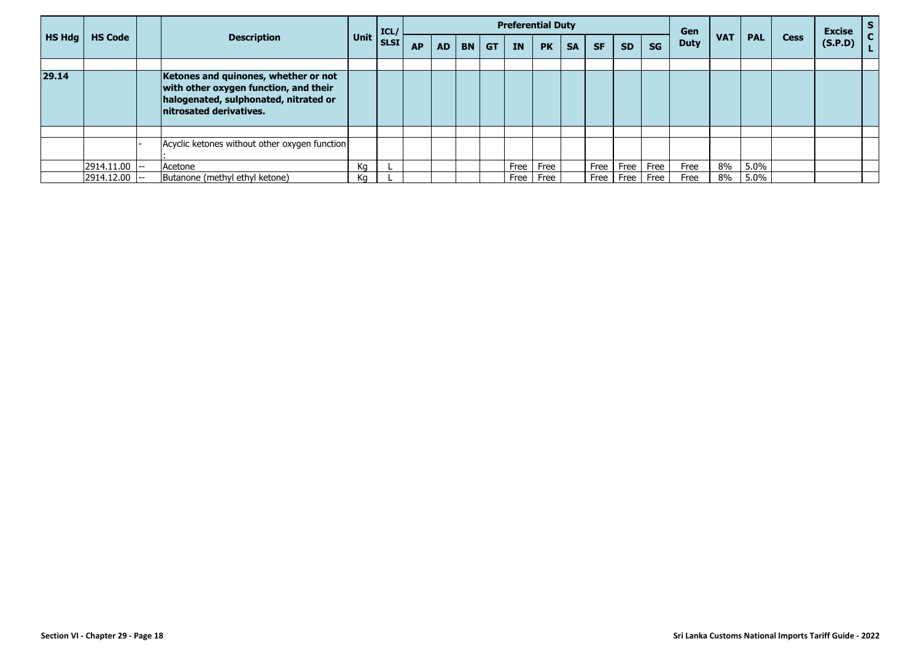|               |                |                                                                                                                                                    |    |                          |           |           |           |           |           | <b>Preferential Duty</b> |           |           |           |           | Gen         |            |            |             | <b>Excise</b> |  |
|---------------|----------------|----------------------------------------------------------------------------------------------------------------------------------------------------|----|--------------------------|-----------|-----------|-----------|-----------|-----------|--------------------------|-----------|-----------|-----------|-----------|-------------|------------|------------|-------------|---------------|--|
| <b>HS Hdg</b> | <b>HS Code</b> | <b>Description</b>                                                                                                                                 |    | Unit ICL/<br><b>SLSI</b> | <b>AP</b> | <b>AD</b> | <b>BN</b> | <b>GT</b> | <b>IN</b> | <b>PK</b>                | <b>SA</b> | <b>SF</b> | <b>SD</b> | <b>SG</b> | <b>Duty</b> | <b>VAT</b> | <b>PAL</b> | <b>Cess</b> | (S.P.D)       |  |
|               |                |                                                                                                                                                    |    |                          |           |           |           |           |           |                          |           |           |           |           |             |            |            |             |               |  |
| 29.14         |                | Ketones and quinones, whether or not<br>with other oxygen function, and their<br>halogenated, sulphonated, nitrated or<br>Initrosated derivatives. |    |                          |           |           |           |           |           |                          |           |           |           |           |             |            |            |             |               |  |
|               |                | Acyclic ketones without other oxygen function                                                                                                      |    |                          |           |           |           |           |           |                          |           |           |           |           |             |            |            |             |               |  |
|               | 2914.11.00     | Acetone                                                                                                                                            | Кa |                          |           |           |           |           | Free      | Free                     |           | Free      | Free      | Free      | Free        | 8%         | $5.0\%$    |             |               |  |
|               | 2914.12.00     | Butanone (methyl ethyl ketone)                                                                                                                     | Кa |                          |           |           |           |           | Free      | Free                     |           | Free      | Free      | Free      | Free        | 8%         | $5.0\%$    |             |               |  |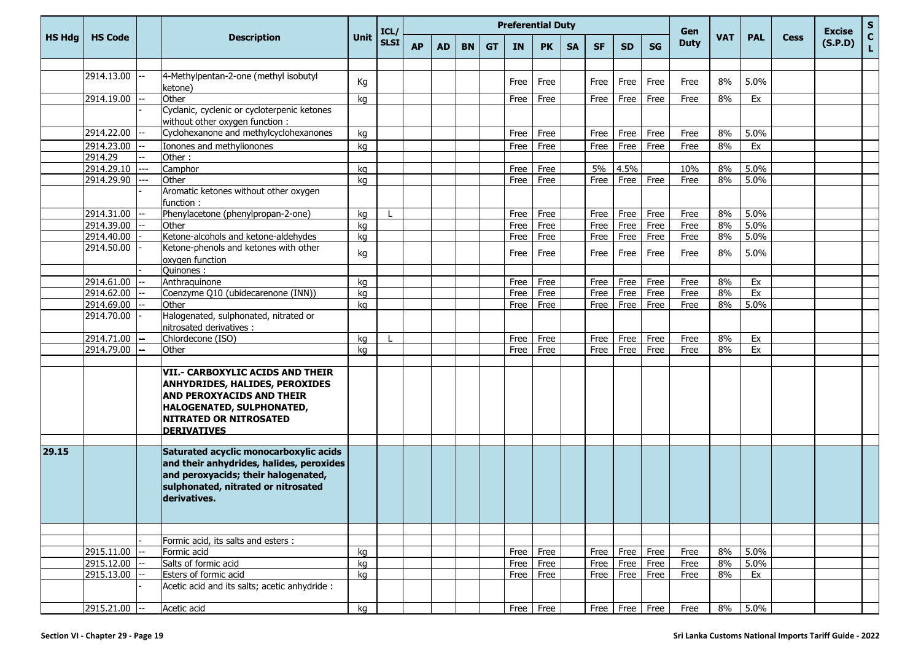|               |                |     |                                                                                                                                                                                                   |          | ICL/        |           |           |           |           | <b>Preferential Duty</b> |              |           |              |                    |              | Gen          |            |            |             | <b>Excise</b> | $\mathbf{s}$ |
|---------------|----------------|-----|---------------------------------------------------------------------------------------------------------------------------------------------------------------------------------------------------|----------|-------------|-----------|-----------|-----------|-----------|--------------------------|--------------|-----------|--------------|--------------------|--------------|--------------|------------|------------|-------------|---------------|--------------|
| <b>HS Hdg</b> | <b>HS Code</b> |     | <b>Description</b>                                                                                                                                                                                | Unit     | <b>SLSI</b> | <b>AP</b> | <b>AD</b> | <b>BN</b> | <b>GT</b> | <b>IN</b>                | <b>PK</b>    | <b>SA</b> | <b>SF</b>    | <b>SD</b>          | <b>SG</b>    | <b>Duty</b>  | <b>VAT</b> | <b>PAL</b> | <b>Cess</b> | (S.P.D)       | $\mathbf{C}$ |
|               |                |     |                                                                                                                                                                                                   |          |             |           |           |           |           |                          |              |           |              |                    |              |              |            |            |             |               |              |
|               | 2914.13.00     |     | 4-Methylpentan-2-one (methyl isobutyl                                                                                                                                                             | Кg       |             |           |           |           |           | Free                     | Free         |           | Free         | Free               | Free         | Free         | 8%         | 5.0%       |             |               |              |
|               |                |     | ketone)                                                                                                                                                                                           |          |             |           |           |           |           |                          |              |           |              |                    |              |              |            |            |             |               |              |
|               | 2914.19.00     |     | Other                                                                                                                                                                                             | kg       |             |           |           |           |           | Free                     | Free         |           | Free         | Free               | Free         | Free         | 8%         | Ex         |             |               |              |
|               |                |     | Cyclanic, cyclenic or cycloterpenic ketones                                                                                                                                                       |          |             |           |           |           |           |                          |              |           |              |                    |              |              |            |            |             |               |              |
|               |                |     | without other oxygen function :                                                                                                                                                                   |          |             |           |           |           |           |                          |              |           |              |                    |              |              |            |            |             |               |              |
|               | 2914.22.00     |     | Cyclohexanone and methylcyclohexanones                                                                                                                                                            | kg       |             |           |           |           |           | Free                     | Free         |           | Free         | Free               | Free         | Free         | 8%         | 5.0%       |             |               |              |
|               | 2914.23.00     |     | Ionones and methylionones                                                                                                                                                                         | kg       |             |           |           |           |           | Free                     | Free         |           | Free         | Free               | Free         | Free         | 8%         | Ex         |             |               |              |
|               | 2914.29        |     | Other:                                                                                                                                                                                            |          |             |           |           |           |           |                          |              |           |              |                    |              |              |            |            |             |               |              |
|               | 2914.29.10     | --- | Camphor                                                                                                                                                                                           | kg       |             |           |           |           |           | Free                     | Free         |           | 5%           | 4.5%               |              | 10%          | 8%         | 5.0%       |             |               |              |
|               | 2914.29.90     |     | Other                                                                                                                                                                                             | kg       |             |           |           |           |           | Free                     | Free         |           | Free         | Free               | Free         | Free         | 8%         | 5.0%       |             |               |              |
|               |                |     | Aromatic ketones without other oxygen                                                                                                                                                             |          |             |           |           |           |           |                          |              |           |              |                    |              |              |            |            |             |               |              |
|               | 2914.31.00     |     | function:<br>Phenylacetone (phenylpropan-2-one)                                                                                                                                                   |          |             |           |           |           |           | Free                     |              |           |              |                    |              |              |            | 5.0%       |             |               |              |
|               | 2914.39.00     |     | Other                                                                                                                                                                                             | kg<br>kg |             |           |           |           |           | Free                     | Free<br>Free |           | Free<br>Free | Free<br>Free       | Free<br>Free | Free<br>Free | 8%<br>8%   | 5.0%       |             |               |              |
|               | 2914.40.00     |     | Ketone-alcohols and ketone-aldehydes                                                                                                                                                              | kg       |             |           |           |           |           | Free                     | Free         |           | Free         | Free               | Free         | Free         | 8%         | 5.0%       |             |               |              |
|               | 2914.50.00     |     | Ketone-phenols and ketones with other                                                                                                                                                             |          |             |           |           |           |           |                          |              |           |              |                    |              |              |            |            |             |               |              |
|               |                |     | oxygen function                                                                                                                                                                                   | kg       |             |           |           |           |           | Free                     | Free         |           | Free         | Free               | Free         | Free         | 8%         | 5.0%       |             |               |              |
|               |                |     | Quinones:                                                                                                                                                                                         |          |             |           |           |           |           |                          |              |           |              |                    |              |              |            |            |             |               |              |
|               | 2914.61.00     |     | Anthraquinone                                                                                                                                                                                     | kg       |             |           |           |           |           | Free                     | Free         |           | Free         | Free               | Free         | Free         | 8%         | Ex         |             |               |              |
|               | 2914.62.00     |     | Coenzyme Q10 (ubidecarenone (INN))                                                                                                                                                                | kg       |             |           |           |           |           | Free                     | Free         |           | Free         | <b>Free</b>        | Free         | Free         | 8%         | Ex         |             |               |              |
|               | 2914.69.00     |     | Other                                                                                                                                                                                             | kg       |             |           |           |           |           | Free                     | Free         |           | Free         | Free               | Free         | Free         | 8%         | 5.0%       |             |               |              |
|               | 2914.70.00     |     | Halogenated, sulphonated, nitrated or                                                                                                                                                             |          |             |           |           |           |           |                          |              |           |              |                    |              |              |            |            |             |               |              |
|               |                |     | nitrosated derivatives :                                                                                                                                                                          |          |             |           |           |           |           |                          |              |           |              |                    |              |              |            |            |             |               |              |
|               | 2914.71.00     |     | Chlordecone (ISO)                                                                                                                                                                                 | kg       |             |           |           |           |           | Free                     | Free         |           | Free         | Free               | Free         | Free         | 8%         | Ex         |             |               |              |
|               | 2914.79.00     |     | Other                                                                                                                                                                                             | kg       |             |           |           |           |           | <b>Free</b>              | Free         |           | Free         | Free               | Free         | Free         | 8%         | Ex         |             |               |              |
|               |                |     | VII.- CARBOXYLIC ACIDS AND THEIR<br><b>ANHYDRIDES, HALIDES, PEROXIDES</b><br><b>AND PEROXYACIDS AND THEIR</b><br>HALOGENATED, SULPHONATED,<br><b>NITRATED OR NITROSATED</b><br><b>DERIVATIVES</b> |          |             |           |           |           |           |                          |              |           |              |                    |              |              |            |            |             |               |              |
|               |                |     |                                                                                                                                                                                                   |          |             |           |           |           |           |                          |              |           |              |                    |              |              |            |            |             |               |              |
| 29.15         |                |     | Saturated acyclic monocarboxylic acids<br>and their anhydrides, halides, peroxides<br>and peroxyacids; their halogenated,<br>sulphonated, nitrated or nitrosated<br>derivatives.                  |          |             |           |           |           |           |                          |              |           |              |                    |              |              |            |            |             |               |              |
|               |                |     |                                                                                                                                                                                                   |          |             |           |           |           |           |                          |              |           |              |                    |              |              |            |            |             |               |              |
|               |                |     | Formic acid, its salts and esters :                                                                                                                                                               |          |             |           |           |           |           |                          |              |           |              |                    |              |              |            |            |             |               |              |
|               | 2915.11.00     |     | Formic acid                                                                                                                                                                                       | kg       |             |           |           |           |           | Free                     | Free         |           | Free         | Free               | Free         | Free         | 8%         | 5.0%       |             |               |              |
|               | 2915.12.00     |     | Salts of formic acid                                                                                                                                                                              | kg       |             |           |           |           |           | Free                     | Free         |           | Free         | Free               | Free         | Free         | 8%         | 5.0%       |             |               |              |
|               | 2915.13.00     |     | Esters of formic acid                                                                                                                                                                             | kg       |             |           |           |           |           | Free Free                |              |           | Free         | Free               | Free         | Free         | 8%         | Ex         |             |               |              |
|               |                |     | Acetic acid and its salts; acetic anhydride :                                                                                                                                                     |          |             |           |           |           |           |                          |              |           |              |                    |              |              |            |            |             |               |              |
|               | 2915.21.00 --  |     | Acetic acid                                                                                                                                                                                       | kg       |             |           |           |           |           | Free Free                |              |           |              | Free   Free   Free |              | Free         | 8%         | 5.0%       |             |               |              |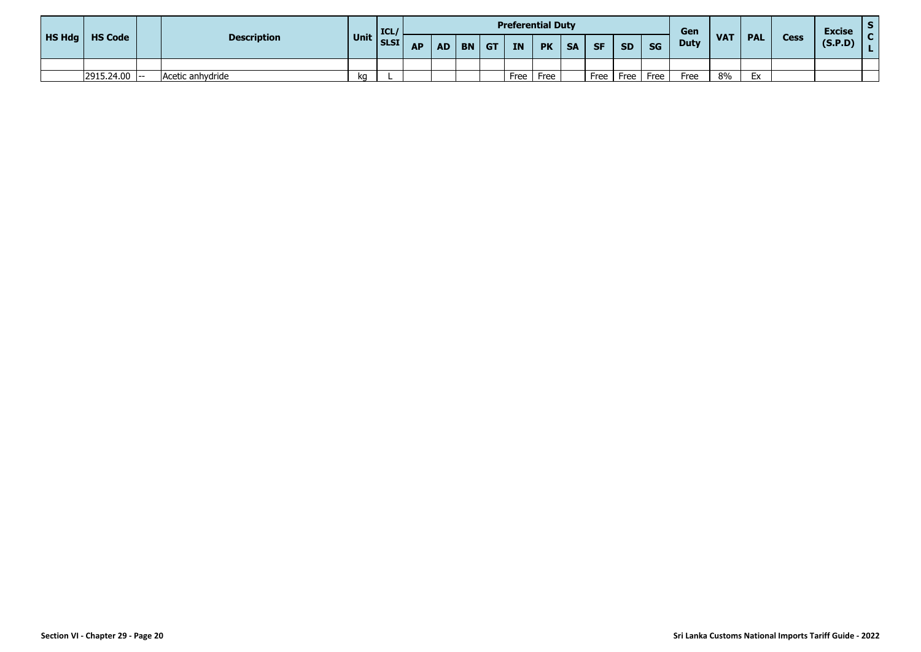|                         |                    |      | TCL         |           |    |           |           | <b>Preferential Duty</b> |           |           |           |           |      | Gen         |            |            |             | <b>Excise</b> |  |
|-------------------------|--------------------|------|-------------|-----------|----|-----------|-----------|--------------------------|-----------|-----------|-----------|-----------|------|-------------|------------|------------|-------------|---------------|--|
| <b>HS Hdg</b>   HS Code | <b>Description</b> | Unit | <b>SLSI</b> | <b>AP</b> | AD | <b>BN</b> | <b>GT</b> | IN                       | <b>PK</b> | <b>SA</b> | <b>SF</b> | <b>SD</b> | SG   | <b>Duty</b> | <b>VAT</b> | <b>PAL</b> | <b>Cess</b> | (S.P.D)       |  |
|                         |                    |      |             |           |    |           |           |                          |           |           |           |           |      |             |            |            |             |               |  |
| $2915.24.00$ --         | Acetic anhydride   | ka   |             |           |    |           |           | Free                     | Free      |           | Free I    | Free      | Free | Free        | 8%         | Ex         |             |               |  |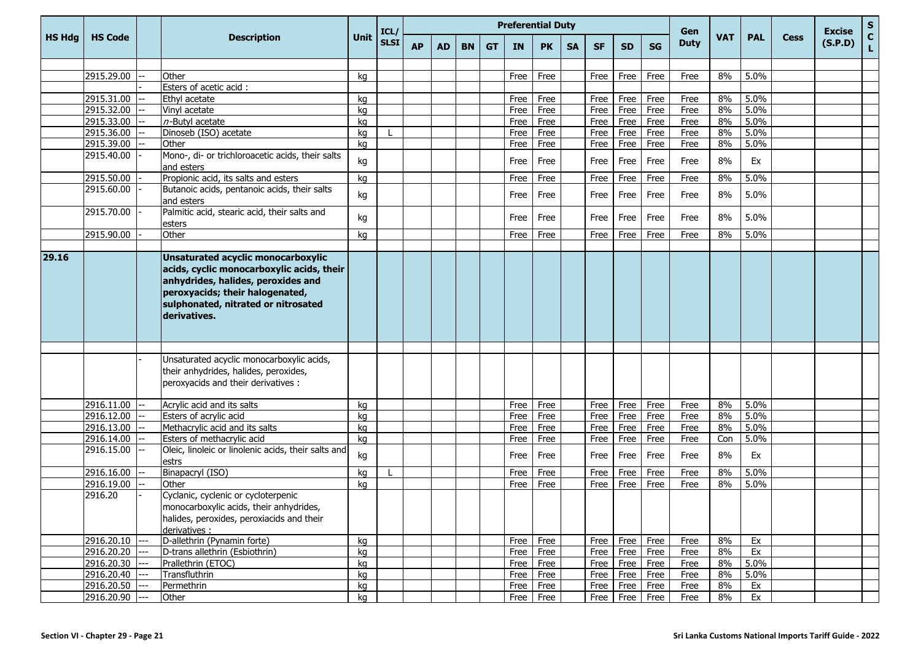|               |                |                          |                                                                                                                                                                                                                 |             | ICL/        |           |     |           |           | <b>Preferential Duty</b> |           |           |           |                    |           | Gen         |            |            |             | <b>Excise</b> | $\mathbf{s}$       |
|---------------|----------------|--------------------------|-----------------------------------------------------------------------------------------------------------------------------------------------------------------------------------------------------------------|-------------|-------------|-----------|-----|-----------|-----------|--------------------------|-----------|-----------|-----------|--------------------|-----------|-------------|------------|------------|-------------|---------------|--------------------|
| <b>HS Hdg</b> | <b>HS Code</b> |                          | <b>Description</b>                                                                                                                                                                                              | <b>Unit</b> | <b>SLSI</b> | <b>AP</b> | AD. | <b>BN</b> | <b>GT</b> | <b>IN</b>                | <b>PK</b> | <b>SA</b> | <b>SF</b> | <b>SD</b>          | <b>SG</b> | <b>Duty</b> | <b>VAT</b> | <b>PAL</b> | <b>Cess</b> | (S.P.D)       | $\mathbf{C}$<br>Ĺ. |
|               |                |                          |                                                                                                                                                                                                                 |             |             |           |     |           |           |                          |           |           |           |                    |           |             |            |            |             |               |                    |
|               | 2915.29.00     |                          | Other                                                                                                                                                                                                           | kg          |             |           |     |           |           | Free                     | Free      |           | Free      | Free               | Free      | Free        | 8%         | 5.0%       |             |               |                    |
|               |                |                          | Esters of acetic acid:                                                                                                                                                                                          |             |             |           |     |           |           |                          |           |           |           |                    |           |             |            |            |             |               |                    |
|               | 2915.31.00     |                          | Ethyl acetate                                                                                                                                                                                                   | kg          |             |           |     |           |           | Free                     | Free      |           | Free      | Free               | Free      | Free        | 8%         | 5.0%       |             |               |                    |
|               | 2915.32.00     |                          | Vinyl acetate                                                                                                                                                                                                   | kg          |             |           |     |           |           | Free                     | Free      |           | Free      | Free               | Free      | Free        | 8%         | 5.0%       |             |               |                    |
|               | 2915.33.00     |                          | $n$ -Butyl acetate                                                                                                                                                                                              | kg          |             |           |     |           |           | Free                     | Free      |           | Free      | Free               | Free      | Free        | 8%         | 5.0%       |             |               |                    |
|               | 2915.36.00     |                          | Dinoseb (ISO) acetate                                                                                                                                                                                           | kg          |             |           |     |           |           | Free                     | Free      |           | Free      | Free               | Free      | Free        | 8%         | 5.0%       |             |               |                    |
|               | 2915.39.00     |                          | Other                                                                                                                                                                                                           | kg          |             |           |     |           |           | Free                     | Free      |           | Free      | Free               | Free      | Free        | 8%         | 5.0%       |             |               |                    |
|               | 2915.40.00     |                          | Mono-, di- or trichloroacetic acids, their salts<br>and esters                                                                                                                                                  | kg          |             |           |     |           |           | Free                     | Free      |           | Free      | Free               | Free      | Free        | 8%         | Ex         |             |               |                    |
|               | 2915.50.00     |                          | Propionic acid, its salts and esters                                                                                                                                                                            | kg          |             |           |     |           |           | Free                     | Free      |           | Free      | Free               | Free      | Free        | 8%         | 5.0%       |             |               |                    |
|               | 2915.60.00     |                          | Butanoic acids, pentanoic acids, their salts<br>and esters                                                                                                                                                      | kg          |             |           |     |           |           | Free                     | Free      |           | Free      | Free               | Free      | Free        | 8%         | 5.0%       |             |               |                    |
|               | 2915.70.00     |                          | Palmitic acid, stearic acid, their salts and<br>esters                                                                                                                                                          | kg          |             |           |     |           |           | Free                     | Free      |           | Free      | Free               | Free      | Free        | 8%         | 5.0%       |             |               |                    |
|               | 2915.90.00     |                          | Other                                                                                                                                                                                                           | kg          |             |           |     |           |           | Free                     | Free      |           | Free      | Free               | Free      | Free        | 8%         | 5.0%       |             |               |                    |
|               |                |                          |                                                                                                                                                                                                                 |             |             |           |     |           |           |                          |           |           |           |                    |           |             |            |            |             |               |                    |
| 29.16         |                |                          | Unsaturated acyclic monocarboxylic<br>acids, cyclic monocarboxylic acids, their<br>anhydrides, halides, peroxides and<br>peroxyacids; their halogenated,<br>sulphonated, nitrated or nitrosated<br>derivatives. |             |             |           |     |           |           |                          |           |           |           |                    |           |             |            |            |             |               |                    |
|               |                |                          | Unsaturated acyclic monocarboxylic acids,                                                                                                                                                                       |             |             |           |     |           |           |                          |           |           |           |                    |           |             |            |            |             |               |                    |
|               |                |                          | their anhydrides, halides, peroxides,<br>peroxyacids and their derivatives :                                                                                                                                    |             |             |           |     |           |           |                          |           |           |           |                    |           |             |            |            |             |               |                    |
|               | 2916.11.00     |                          | Acrylic acid and its salts                                                                                                                                                                                      | kg          |             |           |     |           |           | Free                     | Free      |           | Free      | Free               | Free      | Free        | 8%         | 5.0%       |             |               |                    |
|               | 2916.12.00     |                          | Esters of acrylic acid                                                                                                                                                                                          | kg          |             |           |     |           |           | Free                     | Free      |           | Free      | Free               | Free      | Free        | 8%         | 5.0%       |             |               |                    |
|               | 2916.13.00     |                          | Methacrylic acid and its salts                                                                                                                                                                                  | kg          |             |           |     |           |           | Free                     | Free      |           | Free      | Free               | Free      | Free        | 8%         | 5.0%       |             |               |                    |
|               | 2916.14.00     |                          | Esters of methacrylic acid                                                                                                                                                                                      | kg          |             |           |     |           |           | Free                     | Free      |           | Free      | Free               | Free      | Free        | Con        | 5.0%       |             |               |                    |
|               | 2916.15.00     |                          | Oleic, linoleic or linolenic acids, their salts and<br>estrs                                                                                                                                                    | kg          |             |           |     |           |           | Free                     | Free      |           | Free      | Free               | Free      | Free        | 8%         | Ex         |             |               |                    |
|               | 2916.16.00     |                          | Binapacryl (ISO)                                                                                                                                                                                                | kg          |             |           |     |           |           | Free                     | Free      |           | Free      | Free               | Free      | Free        | 8%         | 5.0%       |             |               |                    |
|               | 2916.19.00     |                          | Other                                                                                                                                                                                                           | kg          |             |           |     |           |           | Free                     | Free      |           | Free      | Free               | Free      | Free        | 8%         | 5.0%       |             |               |                    |
|               | 2916.20        |                          | Cyclanic, cyclenic or cycloterpenic                                                                                                                                                                             |             |             |           |     |           |           |                          |           |           |           |                    |           |             |            |            |             |               |                    |
|               |                |                          | monocarboxylic acids, their anhydrides,                                                                                                                                                                         |             |             |           |     |           |           |                          |           |           |           |                    |           |             |            |            |             |               |                    |
|               |                |                          | halides, peroxides, peroxiacids and their                                                                                                                                                                       |             |             |           |     |           |           |                          |           |           |           |                    |           |             |            |            |             |               |                    |
|               |                |                          | derivatives :                                                                                                                                                                                                   |             |             |           |     |           |           |                          |           |           |           |                    |           |             |            |            |             |               |                    |
|               | 2916.20.10     | $\qquad \qquad - -$      | D-allethrin (Pynamin forte)                                                                                                                                                                                     | kg          |             |           |     |           |           | Free Free                |           |           |           | Free Free          | Free      | Free        | 8%         | Ex         |             |               |                    |
|               | 2916.20.20     | $\overline{\phantom{a}}$ | D-trans allethrin (Esbiothrin)                                                                                                                                                                                  | kg          |             |           |     |           |           | Free Free                |           |           |           | Free Free          | Free      | Free        | 8%         | Ex         |             |               |                    |
|               | 2916.20.30 --- |                          | Prallethrin (ETOC)                                                                                                                                                                                              | kg          |             |           |     |           |           | Free Free                |           |           |           | Free Free          | Free      | Free        | 8%         | 5.0%       |             |               |                    |
|               | 2916.20.40 --- |                          | Transfluthrin                                                                                                                                                                                                   | kg          |             |           |     |           |           | Free Free                |           |           |           | Free Free          | Free      | Free        | 8%         | 5.0%       |             |               |                    |
|               | 2916.20.50     | $\qquad \qquad - -$      | Permethrin                                                                                                                                                                                                      | kg          |             |           |     |           |           | Free Free                |           |           |           | Free Free Free     |           | Free        | 8%         | Ex         |             |               |                    |
|               | 2916.20.90 --- |                          | Other                                                                                                                                                                                                           | kg          |             |           |     |           |           |                          | Free Free |           |           | Free   Free   Free |           | Free        | 8%         | Ex         |             |               |                    |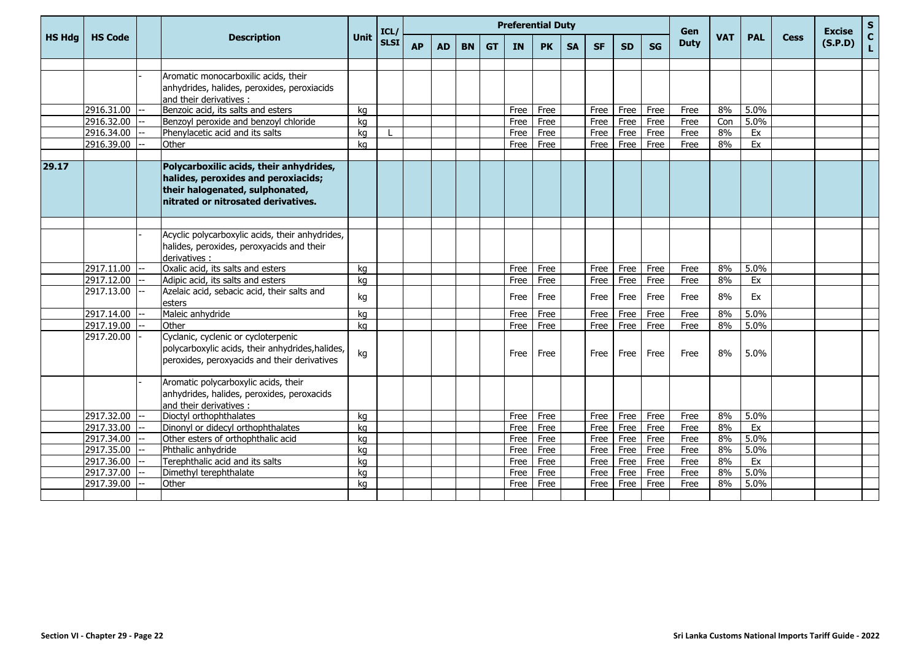|               |                          |                                                                                                                                                          |             | ICL/        |           |    |           |           | <b>Preferential Duty</b> |           |           |           |           |           | Gen         |            |            |      | <b>Excise</b> | $\mathbf{s}$                |
|---------------|--------------------------|----------------------------------------------------------------------------------------------------------------------------------------------------------|-------------|-------------|-----------|----|-----------|-----------|--------------------------|-----------|-----------|-----------|-----------|-----------|-------------|------------|------------|------|---------------|-----------------------------|
| <b>HS Hdg</b> | <b>HS Code</b>           | <b>Description</b>                                                                                                                                       | <b>Unit</b> | <b>SLSI</b> | <b>AP</b> | AD | <b>BN</b> | <b>GT</b> | IN                       | <b>PK</b> | <b>SA</b> | <b>SF</b> | <b>SD</b> | <b>SG</b> | <b>Duty</b> | <b>VAT</b> | <b>PAL</b> | Cess | (S.P.D)       | $\mathbf{C}$<br>$\mathbf L$ |
|               |                          |                                                                                                                                                          |             |             |           |    |           |           |                          |           |           |           |           |           |             |            |            |      |               |                             |
|               |                          | Aromatic monocarboxilic acids, their                                                                                                                     |             |             |           |    |           |           |                          |           |           |           |           |           |             |            |            |      |               |                             |
|               |                          | anhydrides, halides, peroxides, peroxiacids                                                                                                              |             |             |           |    |           |           |                          |           |           |           |           |           |             |            |            |      |               |                             |
|               |                          | and their derivatives:                                                                                                                                   |             |             |           |    |           |           |                          |           |           |           |           |           |             |            |            |      |               |                             |
|               | 2916.31.00               | Benzoic acid, its salts and esters                                                                                                                       | ka          |             |           |    |           |           | Free                     | Free      |           | Free      | Free      | Free      | Free        | 8%         | 5.0%       |      |               |                             |
|               | 2916.32.00               | Benzoyl peroxide and benzoyl chloride                                                                                                                    | kg          |             |           |    |           |           | Free                     | Free      |           | Free      | Free      | Free      | Free        | Con        | 5.0%       |      |               |                             |
|               | 2916.34.00               | Phenylacetic acid and its salts                                                                                                                          | ka          |             |           |    |           |           | Free                     | Free      |           | Free      | Free      | Free      | Free        | 8%         | Ex         |      |               |                             |
|               | 2916.39.00               | Other                                                                                                                                                    | kg          |             |           |    |           |           | Free                     | Free      |           | Free      | Free      | Free      | Free        | 8%         | Ex         |      |               |                             |
| 29.17         |                          | Polycarboxilic acids, their anhydrides,<br>halides, peroxides and peroxiacids;<br>their halogenated, sulphonated,<br>nitrated or nitrosated derivatives. |             |             |           |    |           |           |                          |           |           |           |           |           |             |            |            |      |               |                             |
|               |                          |                                                                                                                                                          |             |             |           |    |           |           |                          |           |           |           |           |           |             |            |            |      |               |                             |
|               |                          | Acyclic polycarboxylic acids, their anhydrides,                                                                                                          |             |             |           |    |           |           |                          |           |           |           |           |           |             |            |            |      |               |                             |
|               |                          | halides, peroxides, peroxyacids and their                                                                                                                |             |             |           |    |           |           |                          |           |           |           |           |           |             |            |            |      |               |                             |
|               |                          | derivatives:                                                                                                                                             |             |             |           |    |           |           |                          |           |           |           |           |           |             |            |            |      |               |                             |
|               | 2917.11.00<br>2917.12.00 | Oxalic acid, its salts and esters                                                                                                                        | kg          |             |           |    |           |           | Free                     | Free      |           | Free      | Free      | Free      | Free        | 8%<br>8%   | 5.0%<br>Ex |      |               |                             |
|               | 2917.13.00               | Adipic acid, its salts and esters<br>Azelaic acid, sebacic acid, their salts and                                                                         | ka          |             |           |    |           |           | Free                     | Free      |           | Free      | Free      | Free      | Free        |            |            |      |               |                             |
|               |                          | esters                                                                                                                                                   | kg          |             |           |    |           |           | Free                     | Free      |           | Free      | Free      | Free      | Free        | 8%         | Ex         |      |               |                             |
|               | 2917.14.00               | Maleic anhydride                                                                                                                                         | kg          |             |           |    |           |           | Free                     | Free      |           | Free      | Free      | Free      | Free        | 8%         | 5.0%       |      |               |                             |
|               | 2917.19.00               | Other                                                                                                                                                    | kg          |             |           |    |           |           | Free                     | Free      |           | Free      | Free      | Free      | Free        | 8%         | 5.0%       |      |               |                             |
|               | 2917.20.00               | Cyclanic, cyclenic or cycloterpenic<br>polycarboxylic acids, their anhydrides, halides,<br>peroxides, peroxyacids and their derivatives                  | kg          |             |           |    |           |           | Free                     | Free      |           | Free      | Free      | Free      | Free        | 8%         | 5.0%       |      |               |                             |
|               |                          | Aromatic polycarboxylic acids, their<br>anhydrides, halides, peroxides, peroxacids<br>and their derivatives :                                            |             |             |           |    |           |           |                          |           |           |           |           |           |             |            |            |      |               |                             |
|               | 2917.32.00               | Dioctyl orthophthalates                                                                                                                                  | kg          |             |           |    |           |           | Free                     | Free      |           | Free      | Free      | Free      | Free        | 8%         | 5.0%       |      |               |                             |
|               | 2917.33.00               | Dinonyl or didecyl orthophthalates                                                                                                                       | ka          |             |           |    |           |           | Free                     | Free      |           | Free      | Free      | Free      | Free        | 8%         | Ex         |      |               |                             |
|               | 2917.34.00               | Other esters of orthophthalic acid                                                                                                                       | kg          |             |           |    |           |           | Free                     | Free      |           | Free      | Free      | Free      | Free        | 8%         | 5.0%       |      |               |                             |
|               | 2917.35.00               | Phthalic anhydride                                                                                                                                       | kg          |             |           |    |           |           | Free                     | Free      |           | Free      | Free      | Free      | Free        | 8%         | 5.0%       |      |               |                             |
|               | 2917.36.00               | Terephthalic acid and its salts                                                                                                                          | kg          |             |           |    |           |           | Free                     | Free      |           | Free      | Free      | Free      | Free        | 8%         | Ex         |      |               |                             |
|               | 2917.37.00               | Dimethyl terephthalate                                                                                                                                   | kg          |             |           |    |           |           | Free                     | Free      |           | Free      | Free      | Free      | Free        | 8%         | 5.0%       |      |               |                             |
|               | 2917.39.00               | Other                                                                                                                                                    | kg          |             |           |    |           |           | Free                     | Free      |           | Free      | Free      | Free      | Free        | 8%         | 5.0%       |      |               |                             |
|               |                          |                                                                                                                                                          |             |             |           |    |           |           |                          |           |           |           |           |           |             |            |            |      |               |                             |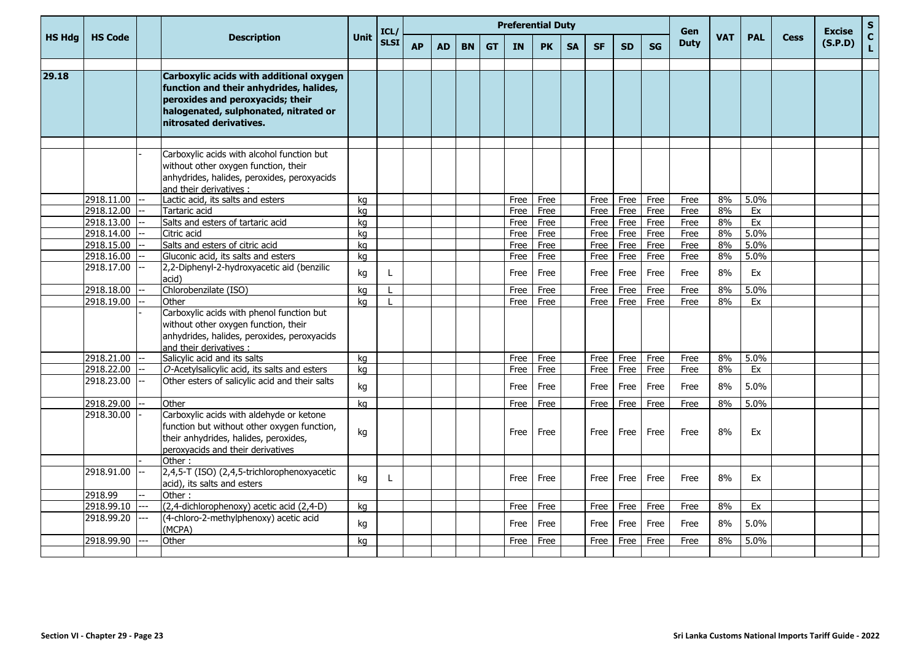|               |                          |     |                                                                                                                                                                                            |             | ICL/         |           |     |           |           |              | <b>Preferential Duty</b> |           |              |              |              | Gen          |            |              |             | <b>Excise</b> | $\mathbf S$                  |
|---------------|--------------------------|-----|--------------------------------------------------------------------------------------------------------------------------------------------------------------------------------------------|-------------|--------------|-----------|-----|-----------|-----------|--------------|--------------------------|-----------|--------------|--------------|--------------|--------------|------------|--------------|-------------|---------------|------------------------------|
| <b>HS Hdg</b> | <b>HS Code</b>           |     | <b>Description</b>                                                                                                                                                                         | <b>Unit</b> | <b>SLSI</b>  | <b>AP</b> | AD. | <b>BN</b> | <b>GT</b> | <b>IN</b>    | <b>PK</b>                | <b>SA</b> | <b>SF</b>    | <b>SD</b>    | <b>SG</b>    | <b>Duty</b>  | <b>VAT</b> | <b>PAL</b>   | <b>Cess</b> | (S.P.D)       | $\mathbf{C}$<br>$\mathbf{L}$ |
| 29.18         |                          |     | Carboxylic acids with additional oxygen<br>function and their anhydrides, halides,<br>peroxides and peroxyacids; their<br>halogenated, sulphonated, nitrated or<br>nitrosated derivatives. |             |              |           |     |           |           |              |                          |           |              |              |              |              |            |              |             |               |                              |
|               |                          |     |                                                                                                                                                                                            |             |              |           |     |           |           |              |                          |           |              |              |              |              |            |              |             |               |                              |
|               |                          |     | Carboxylic acids with alcohol function but<br>without other oxygen function, their<br>anhydrides, halides, peroxides, peroxyacids<br>and their derivatives:                                |             |              |           |     |           |           |              |                          |           |              |              |              |              |            |              |             |               |                              |
|               | 2918.11.00               |     | Lactic acid, its salts and esters                                                                                                                                                          | kg          |              |           |     |           |           | Free         | Free                     |           | Free         | Free         | Free         | Free         | 8%         | 5.0%         |             |               |                              |
|               | 2918.12.00               |     | Tartaric acid                                                                                                                                                                              | kg          |              |           |     |           |           | Free         | Free                     |           | Free         | Free         | Free         | Free         | 8%         | Ex           |             |               |                              |
|               | 2918.13.00               |     | Salts and esters of tartaric acid                                                                                                                                                          | kg          |              |           |     |           |           | Free         | Free                     |           | Free         | Free         | Free         | Free         | 8%         | Ex           |             |               |                              |
|               | 2918.14.00               |     | Citric acid                                                                                                                                                                                | kg          |              |           |     |           |           | Free         | Free                     |           | Free         | Free         | Free         | Free         | 8%         | 5.0%         |             |               |                              |
|               | 2918.15.00<br>2918.16.00 |     | Salts and esters of citric acid<br>Gluconic acid, its salts and esters                                                                                                                     | kg<br>kg    |              |           |     |           |           | Free<br>Free | Free<br>Free             |           | Free<br>Free | Free<br>Free | Free<br>Free | Free<br>Free | 8%<br>8%   | 5.0%<br>5.0% |             |               |                              |
|               | 2918.17.00               |     | 2,2-Diphenyl-2-hydroxyacetic aid (benzilic<br>acid)                                                                                                                                        | kg          | L            |           |     |           |           | Free         | Free                     |           | Free         | Free         | Free         | Free         | 8%         | Ex           |             |               |                              |
|               | 2918.18.00               |     | Chlorobenzilate (ISO)                                                                                                                                                                      | kg          |              |           |     |           |           | Free         | Free                     |           | Free         | Free         | Free         | Free         | 8%         | 5.0%         |             |               |                              |
|               | 2918.19.00               |     | Other                                                                                                                                                                                      | ka          |              |           |     |           |           | Free         | Free                     |           | Free         | Free         | Free         | Free         | 8%         | Ex           |             |               |                              |
|               |                          |     | Carboxylic acids with phenol function but<br>without other oxygen function, their<br>anhydrides, halides, peroxides, peroxyacids<br>and their derivatives :                                |             |              |           |     |           |           |              |                          |           |              |              |              |              |            |              |             |               |                              |
|               | 2918.21.00               |     | Salicylic acid and its salts                                                                                                                                                               | kg          |              |           |     |           |           | Free         | Free                     |           | Free         | Free         | Free         | Free         | 8%         | 5.0%         |             |               |                              |
|               | 2918.22.00               |     | O-Acetylsalicylic acid, its salts and esters                                                                                                                                               | kg          |              |           |     |           |           | Free         | Free                     |           | Free         | Free         | Free         | Free         | 8%         | Ex           |             |               |                              |
|               | 2918.23.00               |     | Other esters of salicylic acid and their salts                                                                                                                                             | kg          |              |           |     |           |           | Free         | Free                     |           | Free         | Free         | Free         | Free         | 8%         | 5.0%         |             |               |                              |
|               | 2918.29.00               |     | Other                                                                                                                                                                                      | kg          |              |           |     |           |           | Free         | Free                     |           | Free         | Free         | Free         | Free         | 8%         | 5.0%         |             |               |                              |
|               | 2918.30.00               |     | Carboxylic acids with aldehyde or ketone<br>function but without other oxygen function,<br>their anhydrides, halides, peroxides,<br>peroxyacids and their derivatives                      | kg          |              |           |     |           |           | Free         | Free                     |           | Free         | Free         | Free         | Free         | 8%         | Ex           |             |               |                              |
|               |                          |     | Other:                                                                                                                                                                                     |             |              |           |     |           |           |              |                          |           |              |              |              |              |            |              |             |               |                              |
|               | 2918.91.00               | --  | 2,4,5-T (ISO) (2,4,5-trichlorophenoxyacetic<br>acid), its salts and esters                                                                                                                 | kg          | $\mathbf{I}$ |           |     |           |           | Free         | Free                     |           | Free         | Free         | Free         | Free         | 8%         | Ex           |             |               |                              |
|               | 2918.99                  |     | Other:                                                                                                                                                                                     |             |              |           |     |           |           |              |                          |           |              |              |              |              |            |              |             |               |                              |
|               | 2918.99.10<br>2918.99.20 | --- | (2,4-dichlorophenoxy) acetic acid (2,4-D)                                                                                                                                                  | kg          |              |           |     |           |           | Free         | Free                     |           | Free         | Free         | Free         | Free         | 8%         | Ex           |             |               |                              |
|               |                          |     | (4-chloro-2-methylphenoxy) acetic acid<br>(MCPA)                                                                                                                                           | kg          |              |           |     |           |           | Free         | Free                     |           | Free         | Free         | Free         | Free         | 8%         | 5.0%         |             |               |                              |
|               | 2918.99.90               | --- | Other                                                                                                                                                                                      | kg          |              |           |     |           |           | Free         | Free                     |           | Free         | Free         | Free         | Free         | 8%         | 5.0%         |             |               |                              |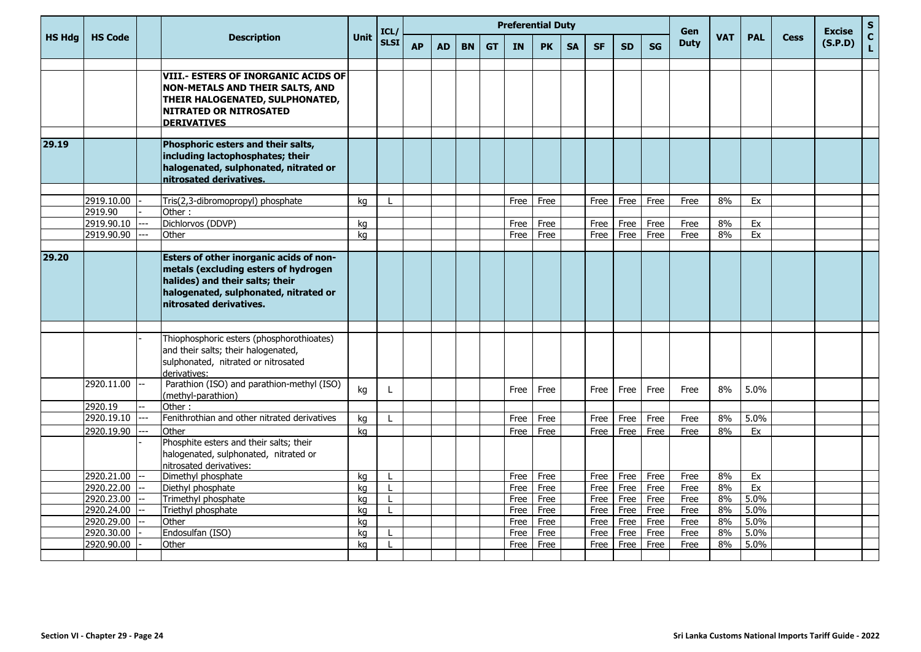|               |                |     |                                                                                                                                                                                        |             | ICL/         |           |     |           |           | <b>Preferential Duty</b> |           |           |           |           |           | Gen         |            |            |             | <b>Excise</b> | $\mathbf{s}$       |
|---------------|----------------|-----|----------------------------------------------------------------------------------------------------------------------------------------------------------------------------------------|-------------|--------------|-----------|-----|-----------|-----------|--------------------------|-----------|-----------|-----------|-----------|-----------|-------------|------------|------------|-------------|---------------|--------------------|
| <b>HS Hdg</b> | <b>HS Code</b> |     | <b>Description</b>                                                                                                                                                                     | <b>Unit</b> | <b>SLSI</b>  | <b>AP</b> | AD. | <b>BN</b> | <b>GT</b> | <b>IN</b>                | <b>PK</b> | <b>SA</b> | <b>SF</b> | <b>SD</b> | <b>SG</b> | <b>Duty</b> | <b>VAT</b> | <b>PAL</b> | <b>Cess</b> | (S.P.D)       | $\mathbf{C}$<br>L. |
|               |                |     | <b>VIII.- ESTERS OF INORGANIC ACIDS OF</b><br><b>NON-METALS AND THEIR SALTS, AND</b><br>THEIR HALOGENATED, SULPHONATED,<br><b>NITRATED OR NITROSATED</b><br><b>DERIVATIVES</b>         |             |              |           |     |           |           |                          |           |           |           |           |           |             |            |            |             |               |                    |
| 29.19         |                |     | Phosphoric esters and their salts,<br>including lactophosphates; their<br>halogenated, sulphonated, nitrated or<br>nitrosated derivatives.                                             |             |              |           |     |           |           |                          |           |           |           |           |           |             |            |            |             |               |                    |
|               | 2919.10.00     |     | Tris(2,3-dibromopropyl) phosphate                                                                                                                                                      | kg          |              |           |     |           |           | Free                     | Free      |           | Free      | Free      | Free      | Free        | 8%         | Ex         |             |               |                    |
|               | 2919.90        |     | Other:                                                                                                                                                                                 |             |              |           |     |           |           |                          |           |           |           |           |           |             |            |            |             |               |                    |
|               | 2919.90.10     | --- | Dichlorvos (DDVP)                                                                                                                                                                      | ka          |              |           |     |           |           | Free                     | Free      |           | Free      | Free      | Free      | Free        | 8%         | Ex         |             |               |                    |
|               | 2919.90.90     |     | Other                                                                                                                                                                                  | kg          |              |           |     |           |           | Free                     | Free      |           | Free      | Free      | Free      | Free        | 8%         | Ex         |             |               |                    |
|               |                |     |                                                                                                                                                                                        |             |              |           |     |           |           |                          |           |           |           |           |           |             |            |            |             |               |                    |
| 29.20         |                |     | Esters of other inorganic acids of non-<br>metals (excluding esters of hydrogen<br>halides) and their salts; their<br>halogenated, sulphonated, nitrated or<br>nitrosated derivatives. |             |              |           |     |           |           |                          |           |           |           |           |           |             |            |            |             |               |                    |
|               |                |     |                                                                                                                                                                                        |             |              |           |     |           |           |                          |           |           |           |           |           |             |            |            |             |               |                    |
|               |                |     | Thiophosphoric esters (phosphorothioates)<br>and their salts; their halogenated,<br>sulphonated, nitrated or nitrosated<br>derivatives:                                                |             |              |           |     |           |           |                          |           |           |           |           |           |             |            |            |             |               |                    |
|               | 2920.11.00     |     | Parathion (ISO) and parathion-methyl (ISO)<br>(methyl-parathion)                                                                                                                       | kg          | L            |           |     |           |           | Free                     | Free      |           | Free      | Free      | Free      | Free        | 8%         | 5.0%       |             |               |                    |
|               | 2920.19        |     | Other:                                                                                                                                                                                 |             |              |           |     |           |           |                          |           |           |           |           |           |             |            |            |             |               |                    |
|               | 2920.19.10     |     | Fenithrothian and other nitrated derivatives                                                                                                                                           | kg          | L            |           |     |           |           | Free                     | Free      |           | Free      | Free      | Free      | Free        | 8%         | 5.0%       |             |               |                    |
|               | 2920.19.90     |     | Other<br>Phosphite esters and their salts; their<br>halogenated, sulphonated, nitrated or<br>nitrosated derivatives:                                                                   | ka          |              |           |     |           |           | Free                     | Free      |           | Free      | Free      | Free      | Free        | 8%         | Ex         |             |               |                    |
|               | 2920.21.00     |     | Dimethyl phosphate                                                                                                                                                                     | kg          |              |           |     |           |           | Free                     | Free      |           | Free      | Free      | Free      | Free        | 8%         | Ex         |             |               |                    |
|               | 2920.22.00     |     | Diethyl phosphate                                                                                                                                                                      | kg          | $\mathbf{I}$ |           |     |           |           | Free                     | Free      |           | Free      | Free      | Free      | Free        | 8%         | Ex         |             |               |                    |
|               | 2920.23.00     |     | Trimethyl phosphate                                                                                                                                                                    | kg          | $\mathbf{L}$ |           |     |           |           | Free                     | Free      |           | Free      | Free      | Free      | Free        | 8%         | 5.0%       |             |               |                    |
|               | 2920.24.00     |     | Triethyl phosphate                                                                                                                                                                     | kg          |              |           |     |           |           | Free                     | Free      |           | Free      | Free      | Free      | Free        | 8%         | 5.0%       |             |               |                    |
|               | 2920.29.00     |     | Other                                                                                                                                                                                  | kg          |              |           |     |           |           | Free                     | Free      |           | Free      | Free      | Free      | Free        | 8%         | 5.0%       |             |               |                    |
|               | 2920.30.00     |     | Endosulfan (ISO)                                                                                                                                                                       | kg          |              |           |     |           |           | Free                     | Free      |           | Free      | Free      | Free      | Free        | 8%<br>8%   | 5.0%       |             |               |                    |
|               | 2920.90.00     |     | Other                                                                                                                                                                                  | kq          |              |           |     |           |           | Free                     | Free      |           | Free      | Free      | Free      | Free        |            | 5.0%       |             |               |                    |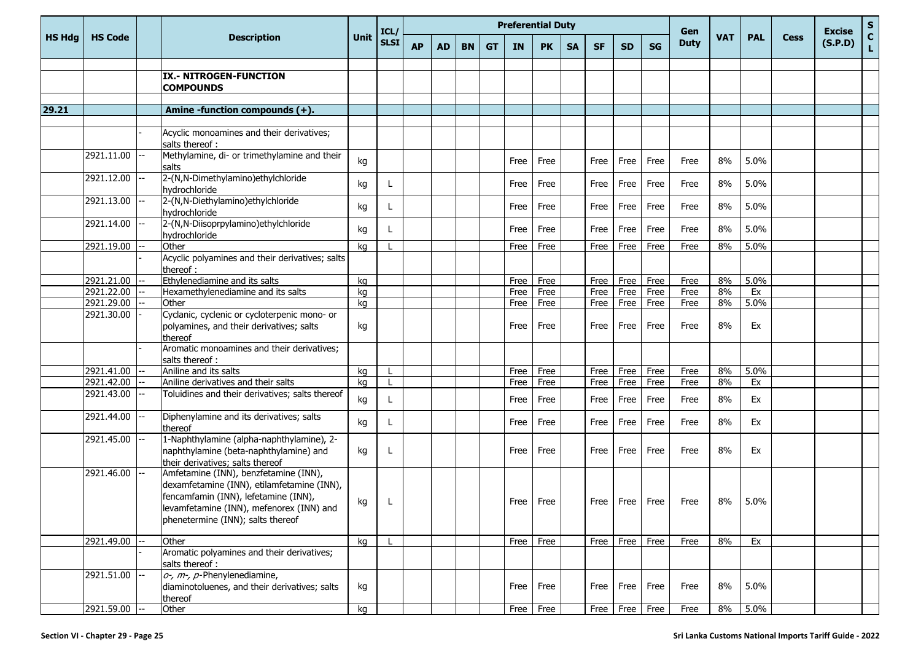|               |                |                                                                                                                                                                                                              |             | ICL/        |           |           |           |           |           | <b>Preferential Duty</b> |           |           |                    |           | Gen                       |            |            |             | <b>Excise</b> | $\mathsf{s}$                |
|---------------|----------------|--------------------------------------------------------------------------------------------------------------------------------------------------------------------------------------------------------------|-------------|-------------|-----------|-----------|-----------|-----------|-----------|--------------------------|-----------|-----------|--------------------|-----------|---------------------------|------------|------------|-------------|---------------|-----------------------------|
| <b>HS Hdg</b> | <b>HS Code</b> | <b>Description</b>                                                                                                                                                                                           | <b>Unit</b> | <b>SLSI</b> | <b>AP</b> | <b>AD</b> | <b>BN</b> | <b>GT</b> | <b>IN</b> | <b>PK</b>                | <b>SA</b> | <b>SF</b> | <b>SD</b>          | <b>SG</b> | <b>Duty</b>               | <b>VAT</b> | <b>PAL</b> | <b>Cess</b> | (S.P.D)       | $\mathbf{C}$<br>$\mathbf L$ |
|               |                | <b>IX.- NITROGEN-FUNCTION</b><br><b>COMPOUNDS</b>                                                                                                                                                            |             |             |           |           |           |           |           |                          |           |           |                    |           |                           |            |            |             |               |                             |
| 29.21         |                | Amine -function compounds (+).                                                                                                                                                                               |             |             |           |           |           |           |           |                          |           |           |                    |           |                           |            |            |             |               |                             |
|               |                |                                                                                                                                                                                                              |             |             |           |           |           |           |           |                          |           |           |                    |           |                           |            |            |             |               |                             |
|               |                | Acyclic monoamines and their derivatives;<br>salts thereof :                                                                                                                                                 |             |             |           |           |           |           |           |                          |           |           |                    |           |                           |            |            |             |               |                             |
|               | 2921.11.00     | Methylamine, di- or trimethylamine and their<br>salts                                                                                                                                                        | kg          |             |           |           |           |           | Free      | Free                     |           | Free      | Free               | Free      | Free                      | 8%         | 5.0%       |             |               |                             |
|               | 2921.12.00     | 2-(N,N-Dimethylamino)ethylchloride<br>hydrochloride                                                                                                                                                          | kg          |             |           |           |           |           | Free      | Free                     |           | Free      | Free               | Free      | Free                      | 8%         | 5.0%       |             |               |                             |
|               | 2921.13.00     | 2-(N,N-Diethylamino)ethylchloride<br>hydrochloride                                                                                                                                                           | kg          |             |           |           |           |           | Free      | Free                     |           | Free      | Free               | Free      | Free                      | 8%         | 5.0%       |             |               |                             |
|               | 2921.14.00     | 2-(N,N-Diisoprpylamino)ethylchloride<br>hydrochloride                                                                                                                                                        | kg          |             |           |           |           |           | Free      | Free                     |           | Free      | Free               | Free      | Free                      | 8%         | 5.0%       |             |               |                             |
|               | 2921.19.00     | Other                                                                                                                                                                                                        | ka          |             |           |           |           |           | Free      | Free                     |           | Free      | Free               | Free      | Free                      | 8%         | 5.0%       |             |               |                             |
|               |                | Acyclic polyamines and their derivatives; salts<br>thereof:                                                                                                                                                  |             |             |           |           |           |           |           |                          |           |           |                    |           |                           |            |            |             |               |                             |
|               | 2921.21.00     | Ethylenediamine and its salts                                                                                                                                                                                | kg          |             |           |           |           |           | Free      | Free                     |           | Free      | Free               | Free      | Free                      | 8%         | 5.0%       |             |               |                             |
|               | 2921.22.00     | Hexamethylenediamine and its salts                                                                                                                                                                           | kg          |             |           |           |           |           | Free      | Free                     |           | Free      | Free               | Free      | Free                      | 8%         | Ex         |             |               |                             |
|               | 2921.29.00     | Other                                                                                                                                                                                                        | kg          |             |           |           |           |           | Free      | Free                     |           | Free      | Free               | Free      | Free                      | 8%         | 5.0%       |             |               |                             |
|               | 2921.30.00     | Cyclanic, cyclenic or cycloterpenic mono- or<br>polyamines, and their derivatives; salts<br>thereof                                                                                                          | kg          |             |           |           |           |           | Free      | Free                     |           | Free      | Free               | Free      | Free                      | 8%         | Ex         |             |               |                             |
|               |                | Aromatic monoamines and their derivatives;<br>salts thereof :                                                                                                                                                |             |             |           |           |           |           |           |                          |           |           |                    |           |                           |            |            |             |               |                             |
|               | 2921.41.00     | Aniline and its salts                                                                                                                                                                                        | kg          |             |           |           |           |           | Free      | Free                     |           | Free      | Free               | Free      | Free                      | 8%         | 5.0%       |             |               |                             |
|               | 2921.42.00     | Aniline derivatives and their salts                                                                                                                                                                          | kg          |             |           |           |           |           | Free      | Free                     |           | Free      | Free               | Free      | Free                      | 8%         | Ex         |             |               |                             |
|               | 2921.43.00     | Toluidines and their derivatives; salts thereof                                                                                                                                                              | kg          |             |           |           |           |           | Free      | Free                     |           | Free      | Free               | Free      | Free                      | 8%         | Ex         |             |               |                             |
|               | 2921.44.00     | Diphenylamine and its derivatives; salts<br>thereof                                                                                                                                                          | kg          |             |           |           |           |           | Free      | Free                     |           | Free      | Free               | Free      | Free                      | 8%         | Ex         |             |               |                             |
|               | 2921.45.00     | 1-Naphthylamine (alpha-naphthylamine), 2-<br>naphthylamine (beta-naphthylamine) and<br>their derivatives; salts thereof                                                                                      | kg          |             |           |           |           |           | Free      | Free                     |           | Free      | Free               | Free      | Free                      | 8%         | Ex         |             |               |                             |
|               | 2921.46.00     | Amfetamine (INN), benzfetamine (INN),<br>dexamfetamine (INN), etilamfetamine (INN),<br>fencamfamin (INN), lefetamine (INN),<br>levamfetamine (INN), mefenorex (INN) and<br>phenetermine (INN); salts thereof | kg          | ┗           |           |           |           |           | Free      | Free                     |           |           |                    |           | Free   Free   Free   Free | 8%         | 5.0%       |             |               |                             |
|               | 2921.49.00     | Other                                                                                                                                                                                                        | kg          |             |           |           |           |           |           | Free Free                |           |           | Free   Free   Free |           | Free                      | 8%         | Ex         |             |               |                             |
|               |                | Aromatic polyamines and their derivatives;<br>salts thereof :                                                                                                                                                |             |             |           |           |           |           |           |                          |           |           |                    |           |                           |            |            |             |               |                             |
|               | 2921.51.00     | $o7$ , $m7$ , $p$ -Phenylenediamine,<br>diaminotoluenes, and their derivatives; salts<br>thereof                                                                                                             | kg          |             |           |           |           |           | Free      | Free                     |           |           | Free   Free   Free |           | Free                      | 8%         | 5.0%       |             |               |                             |
|               | 2921.59.00     | Other                                                                                                                                                                                                        | kg          |             |           |           |           |           |           | Free Free                |           |           | Free Free Free     |           | Free                      |            | 8% 5.0%    |             |               |                             |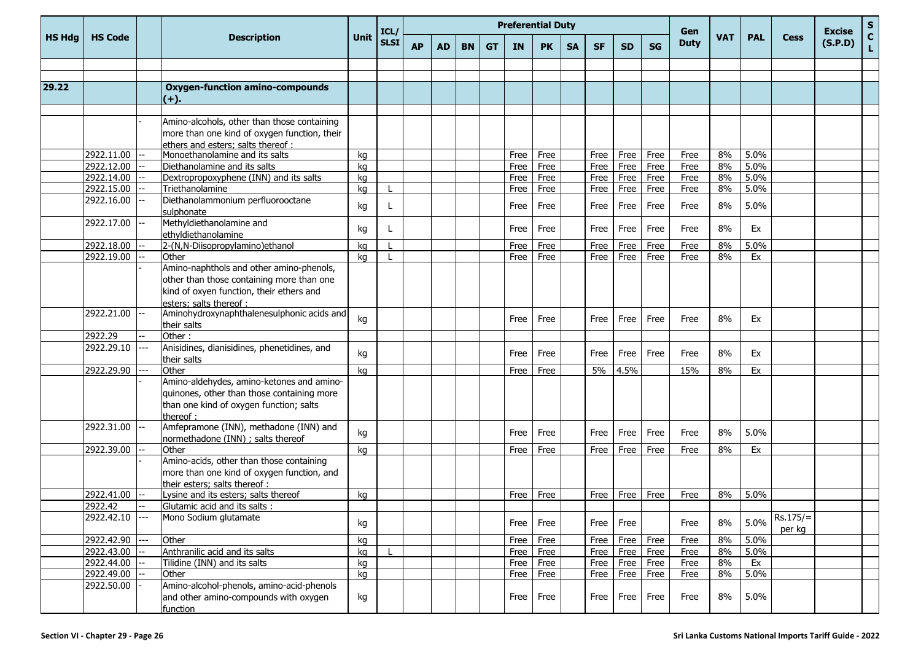|               |                |          |                                                                                                                                                              |      | ICL/        |           |           |           |           |      | <b>Preferential Duty</b> |           |           |           |           | Gen         |            |            |                      | <b>Excise</b> | S.           |
|---------------|----------------|----------|--------------------------------------------------------------------------------------------------------------------------------------------------------------|------|-------------|-----------|-----------|-----------|-----------|------|--------------------------|-----------|-----------|-----------|-----------|-------------|------------|------------|----------------------|---------------|--------------|
| <b>HS Hdg</b> | <b>HS Code</b> |          | <b>Description</b>                                                                                                                                           | Unit | <b>SLSI</b> | <b>AP</b> | <b>AD</b> | <b>BN</b> | <b>GT</b> | IN.  | <b>PK</b>                | <b>SA</b> | <b>SF</b> | <b>SD</b> | <b>SG</b> | <b>Duty</b> | <b>VAT</b> | <b>PAL</b> | <b>Cess</b>          | (S.P.D)       | $\mathbf{C}$ |
|               |                |          |                                                                                                                                                              |      |             |           |           |           |           |      |                          |           |           |           |           |             |            |            |                      |               |              |
| 29.22         |                |          | <b>Oxygen-function amino-compounds</b><br>$(+).$                                                                                                             |      |             |           |           |           |           |      |                          |           |           |           |           |             |            |            |                      |               |              |
|               |                |          |                                                                                                                                                              |      |             |           |           |           |           |      |                          |           |           |           |           |             |            |            |                      |               |              |
|               |                |          | Amino-alcohols, other than those containing<br>more than one kind of oxygen function, their<br>ethers and esters; salts thereof:                             |      |             |           |           |           |           |      |                          |           |           |           |           |             |            |            |                      |               |              |
|               | 2922.11.00     |          | Monoethanolamine and its salts                                                                                                                               | ka   |             |           |           |           |           | Free | Free                     |           | Free      | Free      | Free      | Free        | 8%         | 5.0%       |                      |               |              |
|               | 2922.12.00     |          | Diethanolamine and its salts                                                                                                                                 | kg   |             |           |           |           |           | Free | Free                     |           | Free      | Free      | Free      | Free        | 8%         | 5.0%       |                      |               |              |
|               | 2922.14.00     |          | Dextropropoxyphene (INN) and its salts                                                                                                                       | kg   |             |           |           |           |           | Free | Free                     |           | Free      | Free      | Free      | Free        | 8%         | 5.0%       |                      |               |              |
|               | 2922.15.00     |          | Triethanolamine                                                                                                                                              | kg   |             |           |           |           |           | Free | Free                     |           | Free      | Free      | Free      | Free        | 8%         | 5.0%       |                      |               |              |
|               | 2922.16.00     |          | Diethanolammonium perfluorooctane<br>sulphonate                                                                                                              | kg   |             |           |           |           |           | Free | Free                     |           | Free      | Free      | Free      | Free        | 8%         | 5.0%       |                      |               |              |
|               | 2922.17.00     |          | Methyldiethanolamine and<br>ethyldiethanolamine                                                                                                              | kg   |             |           |           |           |           | Free | Free                     |           | Free      | Free      | Free      | Free        | 8%         | Ex         |                      |               |              |
|               | 2922.18.00     |          | 2-(N,N-Diisopropylamino) ethanol                                                                                                                             | kg   |             |           |           |           |           | Free | Free                     |           | Free      | Free      | Free      | Free        | 8%         | 5.0%       |                      |               |              |
|               | 2922.19.00     |          | Other                                                                                                                                                        | ka   |             |           |           |           |           | Free | Free                     |           | Free      | Free      | Free      | Free        | 8%         | Ex         |                      |               |              |
|               |                |          | Amino-naphthols and other amino-phenols,<br>other than those containing more than one<br>kind of oxyen function, their ethers and<br>esters: salts thereof : |      |             |           |           |           |           |      |                          |           |           |           |           |             |            |            |                      |               |              |
|               | 2922.21.00     |          | Aminohydroxynaphthalenesulphonic acids and<br>their salts                                                                                                    | kg   |             |           |           |           |           | Free | Free                     |           | Free      | Free      | Free      | Free        | 8%         | Ex         |                      |               |              |
|               | 2922.29        |          | Other:                                                                                                                                                       |      |             |           |           |           |           |      |                          |           |           |           |           |             |            |            |                      |               |              |
|               | 2922.29.10     | ---      | Anisidines, dianisidines, phenetidines, and<br>their salts                                                                                                   | kg   |             |           |           |           |           | Free | Free                     |           | Free      | Free      | Free      | Free        | 8%         | Ex         |                      |               |              |
|               | 2922.29.90     | <u>.</u> | Other                                                                                                                                                        | kg   |             |           |           |           |           | Free | Free                     |           | 5%        | 4.5%      |           | 15%         | 8%         | Ex         |                      |               |              |
|               |                |          | Amino-aldehydes, amino-ketones and amino-<br>quinones, other than those containing more<br>than one kind of oxygen function; salts<br>thereof:               |      |             |           |           |           |           |      |                          |           |           |           |           |             |            |            |                      |               |              |
|               | 2922.31.00     |          | Amfepramone (INN), methadone (INN) and<br>normethadone (INN) ; salts thereof                                                                                 | kg   |             |           |           |           |           | Free | Free                     |           | Free      | Free      | Free      | Free        | 8%         | 5.0%       |                      |               |              |
|               | 2922.39.00     |          | Other                                                                                                                                                        | kg   |             |           |           |           |           | Free | Free                     |           | Free      | Free      | Free      | Free        | 8%         | Ex         |                      |               |              |
|               |                |          | Amino-acids, other than those containing<br>more than one kind of oxygen function, and<br>their esters; salts thereof :                                      |      |             |           |           |           |           |      |                          |           |           |           |           |             |            |            |                      |               |              |
|               | 2922.41.00     |          | Lysine and its esters; salts thereof                                                                                                                         | kg   |             |           |           |           |           | Free | Free                     |           | Free      | Free      | Free      | Free        | 8%         | 5.0%       |                      |               |              |
|               | 2922.42        | --       | Glutamic acid and its salts :                                                                                                                                |      |             |           |           |           |           |      |                          |           |           |           |           |             |            |            |                      |               |              |
|               | 2922.42.10     | ---      | Mono Sodium glutamate                                                                                                                                        | kg   |             |           |           |           |           | Free | Free                     |           | Free      | Free      |           | Free        | 8%         | 5.0%       | $Rs.175/=$<br>per kg |               |              |
|               | 2922.42.90     | ---      | Other                                                                                                                                                        | kg   |             |           |           |           |           | Free | Free                     |           | Free      | Free      | Free      | Free        | 8%         | 5.0%       |                      |               |              |
|               | 2922.43.00     |          | Anthranilic acid and its salts                                                                                                                               | kg   |             |           |           |           |           | Free | Free                     |           | Free      | Free      | Free      | Free        | 8%         | 5.0%       |                      |               |              |
|               | 2922.44.00     |          | Tilidine (INN) and its salts                                                                                                                                 | kg   |             |           |           |           |           | Free | Free                     |           | Free      | Free      | Free      | Free        | 8%         | Ex         |                      |               |              |
|               | 2922.49.00     |          | Other                                                                                                                                                        | kg   |             |           |           |           |           | Free | Free                     |           | Free      | Free      | Free      | Free        | 8%         | 5.0%       |                      |               |              |
|               | 2922.50.00     |          | Amino-alcohol-phenols, amino-acid-phenols<br>and other amino-compounds with oxygen<br>function                                                               | kg   |             |           |           |           |           | Free | Free                     |           | Free      | Free      | Free      | Free        | 8%         | 5.0%       |                      |               |              |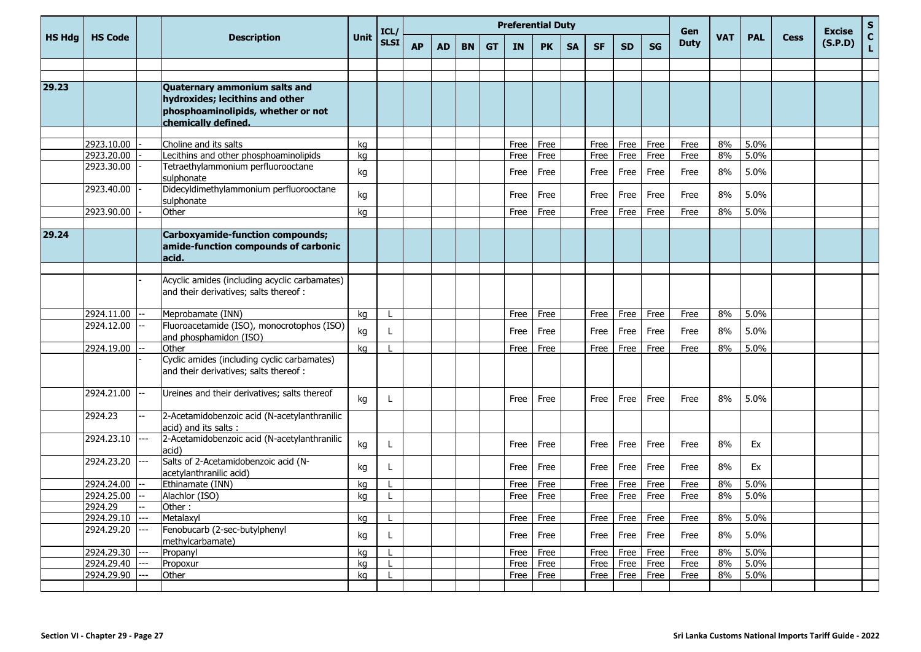|               |                          |     |                                                                                                                                      |          | ICL/        |           |           |           |           |              | <b>Preferential Duty</b> |           |              |              |              | Gen          |            |              |             | <b>Excise</b> | ${\sf s}$         |
|---------------|--------------------------|-----|--------------------------------------------------------------------------------------------------------------------------------------|----------|-------------|-----------|-----------|-----------|-----------|--------------|--------------------------|-----------|--------------|--------------|--------------|--------------|------------|--------------|-------------|---------------|-------------------|
| <b>HS Hdg</b> | <b>HS Code</b>           |     | <b>Description</b>                                                                                                                   | Unit     | <b>SLSI</b> | <b>AP</b> | <b>AD</b> | <b>BN</b> | <b>GT</b> | <b>IN</b>    | <b>PK</b>                | <b>SA</b> | <b>SF</b>    | <b>SD</b>    | <b>SG</b>    | <b>Duty</b>  | <b>VAT</b> | <b>PAL</b>   | <b>Cess</b> | (S.P.D)       | $\mathbf{C}$<br>L |
|               |                          |     |                                                                                                                                      |          |             |           |           |           |           |              |                          |           |              |              |              |              |            |              |             |               |                   |
| 29.23         |                          |     | <b>Quaternary ammonium salts and</b><br>hydroxides; lecithins and other<br>phosphoaminolipids, whether or not<br>chemically defined. |          |             |           |           |           |           |              |                          |           |              |              |              |              |            |              |             |               |                   |
|               | 2923.10.00               |     | Choline and its salts                                                                                                                | kg       |             |           |           |           |           | Free         | Free                     |           | Free         | Free         | Free         | Free         | 8%         | 5.0%         |             |               |                   |
|               | 2923.20.00               |     | Lecithins and other phosphoaminolipids                                                                                               | kg       |             |           |           |           |           | Free         | Free                     |           | Free         | Free         | Free         | Free         | 8%         | 5.0%         |             |               |                   |
|               | 2923.30.00               |     | Tetraethylammonium perfluorooctane<br>sulphonate                                                                                     | kg       |             |           |           |           |           | Free         | Free                     |           | Free         | Free         | Free         | Free         | 8%         | 5.0%         |             |               |                   |
|               | 2923.40.00               |     | Didecyldimethylammonium perfluorooctane<br>sulphonate                                                                                | kg       |             |           |           |           |           | Free         | Free                     |           | Free         | Free         | Free         | Free         | 8%         | 5.0%         |             |               |                   |
|               | 2923.90.00               |     | Other                                                                                                                                | kg       |             |           |           |           |           | Free         | Free                     |           | Free         | Free         | Free         | Free         | 8%         | 5.0%         |             |               |                   |
| 29.24         |                          |     | <b>Carboxyamide-function compounds;</b><br>amide-function compounds of carbonic<br>acid.                                             |          |             |           |           |           |           |              |                          |           |              |              |              |              |            |              |             |               |                   |
|               |                          |     | Acyclic amides (including acyclic carbamates)<br>and their derivatives; salts thereof :                                              |          |             |           |           |           |           |              |                          |           |              |              |              |              |            |              |             |               |                   |
|               | 2924.11.00               |     | Meprobamate (INN)                                                                                                                    | kg       |             |           |           |           |           | Free         | Free                     |           | Free         | Free         | Free         | Free         | 8%         | 5.0%         |             |               |                   |
|               | 2924.12.00               |     | Fluoroacetamide (ISO), monocrotophos (ISO)<br>and phosphamidon (ISO)                                                                 | kg       |             |           |           |           |           | Free         | Free                     |           | Free         | Free         | Free         | Free         | 8%         | 5.0%         |             |               |                   |
|               | 2924.19.00               |     | Other<br>Cyclic amides (including cyclic carbamates)<br>and their derivatives; salts thereof :                                       | kg       |             |           |           |           |           | Free         | Free                     |           | Free         | Free         | Free         | Free         | 8%         | 5.0%         |             |               |                   |
|               | 2924.21.00               |     | Ureines and their derivatives; salts thereof                                                                                         | kg       |             |           |           |           |           | Free         | Free                     |           | Free         | Free         | Free         | Free         | 8%         | 5.0%         |             |               |                   |
|               | 2924.23                  |     | 2-Acetamidobenzoic acid (N-acetylanthranilic<br>acid) and its salts:                                                                 |          |             |           |           |           |           |              |                          |           |              |              |              |              |            |              |             |               |                   |
|               | 2924.23.10               | --- | 2-Acetamidobenzoic acid (N-acetylanthranilic<br>acid)                                                                                | kg       |             |           |           |           |           | Free         | Free                     |           | Free         | Free         | Free         | Free         | 8%         | Ex           |             |               |                   |
|               | 2924.23.20               | --- | Salts of 2-Acetamidobenzoic acid (N-<br>acetylanthranilic acid)                                                                      | kg       |             |           |           |           |           | Free         | Free                     |           | Free         | Free         | Free         | Free         | 8%         | Ex           |             |               |                   |
|               | 2924.24.00               |     | Ethinamate (INN)                                                                                                                     | kg       |             |           |           |           |           | Free         | Free                     |           | Free         | Free         | Free         | Free         | 8%         | 5.0%         |             |               |                   |
|               | 2924.25.00               |     | Alachlor (ISO)                                                                                                                       | kg       |             |           |           |           |           | Free         | Free                     |           | Free         | Free         | Free         | Free         | 8%         | 5.0%         |             |               |                   |
|               | 2924.29                  |     | Other:                                                                                                                               |          |             |           |           |           |           |              |                          |           |              |              |              |              |            |              |             |               |                   |
|               | 2924.29.10<br>2924.29.20 | --- | Metalaxyl<br>Fenobucarb (2-sec-butylphenyl<br>methylcarbamate)                                                                       | kg<br>kg |             |           |           |           |           | Free<br>Free | Free<br>Free             |           | Free<br>Free | Free<br>Free | Free<br>Free | Free<br>Free | 8%<br>8%   | 5.0%<br>5.0% |             |               |                   |
|               | 2924.29.30               | --- | Propanyl                                                                                                                             | kg       |             |           |           |           |           | Free         | Free                     |           | Free         | Free         | Free         | Free         | 8%         | 5.0%         |             |               |                   |
|               | 2924.29.40               |     | Propoxur                                                                                                                             | kg       |             |           |           |           |           | Free         | Free                     |           | Free         | Free         | Free         | Free         | 8%         | 5.0%         |             |               |                   |
|               | 2924.29.90               |     | Other                                                                                                                                | kg       |             |           |           |           |           | Free         | Free                     |           | Free         | Free         | Free         | Free         | 8%         | 5.0%         |             |               |                   |
|               |                          |     |                                                                                                                                      |          |             |           |           |           |           |              |                          |           |              |              |              |              |            |              |             |               |                   |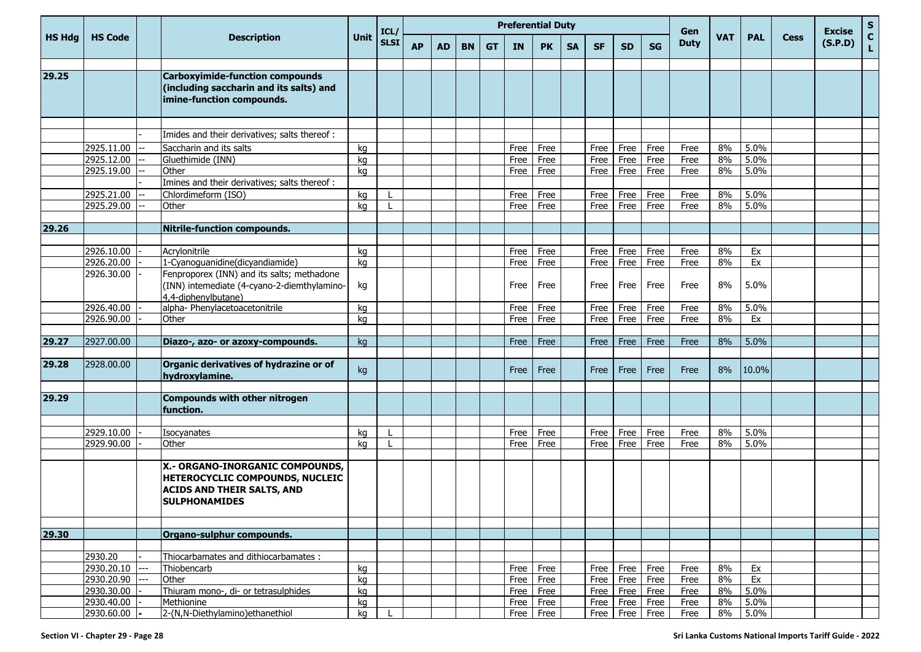|               |                          |     |                                                                                                                                        |             | ICL/        |           |     |           |           | <b>Preferential Duty</b> |              |           |              |                    |              | Gen          |            |            |             | <b>Excise</b> | ${\sf s}$                    |
|---------------|--------------------------|-----|----------------------------------------------------------------------------------------------------------------------------------------|-------------|-------------|-----------|-----|-----------|-----------|--------------------------|--------------|-----------|--------------|--------------------|--------------|--------------|------------|------------|-------------|---------------|------------------------------|
| <b>HS Hdg</b> | <b>HS Code</b>           |     | <b>Description</b>                                                                                                                     | <b>Unit</b> | <b>SLSI</b> | <b>AP</b> | AD. | <b>BN</b> | <b>GT</b> | <b>IN</b>                | <b>PK</b>    | <b>SA</b> | <b>SF</b>    | <b>SD</b>          | <b>SG</b>    | <b>Duty</b>  | <b>VAT</b> | <b>PAL</b> | <b>Cess</b> | (S.P.D)       | $\mathbf{C}$<br>$\mathbf{L}$ |
| 29.25         |                          |     | <b>Carboxyimide-function compounds</b><br>(including saccharin and its salts) and<br>imine-function compounds.                         |             |             |           |     |           |           |                          |              |           |              |                    |              |              |            |            |             |               |                              |
|               |                          |     | Imides and their derivatives; salts thereof :                                                                                          |             |             |           |     |           |           |                          |              |           |              |                    |              |              |            |            |             |               |                              |
|               | 2925.11.00               |     | Saccharin and its salts                                                                                                                |             |             |           |     |           |           |                          |              |           | Free         | Free               | Free         | Free         | 8%         | 5.0%       |             |               |                              |
|               | 2925.12.00               |     | Gluethimide (INN)                                                                                                                      | kq<br>kg    |             |           |     |           |           | Free<br>Free             | Free<br>Free |           | Free         | Free               | Free         | Free         | 8%         | 5.0%       |             |               |                              |
|               | 2925.19.00               |     | Other                                                                                                                                  | kg          |             |           |     |           |           | Free                     | Free         |           | Free         | Free               | Free         | Free         | 8%         | 5.0%       |             |               |                              |
|               |                          |     | Imines and their derivatives; salts thereof :                                                                                          |             |             |           |     |           |           |                          |              |           |              |                    |              |              |            |            |             |               |                              |
|               | 2925.21.00               |     | Chlordimeform (ISO)                                                                                                                    | kg          |             |           |     |           |           | Free                     | Free         |           | Free         | Free               | Free         | Free         | 8%         | 5.0%       |             |               |                              |
|               | 2925.29.00               |     | Other                                                                                                                                  | kg          |             |           |     |           |           | Free                     | Free         |           | Free         | Free               | Free         | Free         | 8%         | 5.0%       |             |               |                              |
|               |                          |     |                                                                                                                                        |             |             |           |     |           |           |                          |              |           |              |                    |              |              |            |            |             |               |                              |
| 29.26         |                          |     | Nitrile-function compounds.                                                                                                            |             |             |           |     |           |           |                          |              |           |              |                    |              |              |            |            |             |               |                              |
|               |                          |     |                                                                                                                                        |             |             |           |     |           |           |                          |              |           |              |                    |              |              |            |            |             |               |                              |
|               | 2926.10.00               |     | Acrylonitrile                                                                                                                          | kg          |             |           |     |           |           | Free                     | Free         |           | Free         | Free               | Free         | Free         | 8%         | Ex         |             |               |                              |
|               | 2926.20.00<br>2926.30.00 |     | 1-Cyanoguanidine(dicyandiamide)<br>Fenproporex (INN) and its salts; methadone<br>(INN) intemediate (4-cyano-2-diemthylamino-           | kg<br>kg    |             |           |     |           |           | Free<br>Free             | Free<br>Free |           | Free<br>Free | Free<br>Free       | Free<br>Free | Free<br>Free | 8%<br>8%   | Ex<br>5.0% |             |               |                              |
|               |                          |     | 4,4-diphenylbutane)                                                                                                                    |             |             |           |     |           |           |                          |              |           |              |                    |              |              |            |            |             |               |                              |
|               | 2926.40.00               |     | alpha- Phenylacetoacetonitrile                                                                                                         | kg          |             |           |     |           |           | Free                     | Free         |           | Free         | Free               | Free         | Free         | 8%         | 5.0%       |             |               |                              |
|               | 2926.90.00               |     | Other                                                                                                                                  | ka          |             |           |     |           |           | Free                     | Free         |           | Free         | Free               | Free         | Free         | 8%         | Ex         |             |               |                              |
|               |                          |     |                                                                                                                                        |             |             |           |     |           |           |                          |              |           |              |                    |              |              |            |            |             |               |                              |
| 29.27         | 2927.00.00               |     | Diazo-, azo- or azoxy-compounds.                                                                                                       | kg          |             |           |     |           |           | Free                     | Free         |           | Free         | Free               | Free         | Free         | 8%         | 5.0%       |             |               |                              |
| 29.28         | 2928.00.00               |     | Organic derivatives of hydrazine or of<br>hydroxylamine.                                                                               | kg          |             |           |     |           |           | Free                     | Free         |           | Free         | Free               | Free         | Free         | 8%         | 10.0%      |             |               |                              |
| 29.29         |                          |     | <b>Compounds with other nitrogen</b><br>function.                                                                                      |             |             |           |     |           |           |                          |              |           |              |                    |              |              |            |            |             |               |                              |
|               | 2929.10.00               |     | Isocyanates                                                                                                                            | kg          |             |           |     |           |           | Free                     | Free         |           | Free         | Free               | Free         | Free         | 8%         | 5.0%       |             |               |                              |
|               | 2929.90.00               |     | Other                                                                                                                                  | kq          |             |           |     |           |           | Free                     | Free         |           | Free         | Free               | Free         | Free         | 8%         | 5.0%       |             |               |                              |
|               |                          |     |                                                                                                                                        |             |             |           |     |           |           |                          |              |           |              |                    |              |              |            |            |             |               |                              |
|               |                          |     | X.- ORGANO-INORGANIC COMPOUNDS,<br><b>HETEROCYCLIC COMPOUNDS, NUCLEIC</b><br><b>ACIDS AND THEIR SALTS, AND</b><br><b>SULPHONAMIDES</b> |             |             |           |     |           |           |                          |              |           |              |                    |              |              |            |            |             |               |                              |
|               |                          |     |                                                                                                                                        |             |             |           |     |           |           |                          |              |           |              |                    |              |              |            |            |             |               |                              |
| 29.30         |                          |     | Organo-sulphur compounds.                                                                                                              |             |             |           |     |           |           |                          |              |           |              |                    |              |              |            |            |             |               |                              |
|               | 2930.20                  |     | Thiocarbamates and dithiocarbamates :                                                                                                  |             |             |           |     |           |           |                          |              |           |              |                    |              |              |            |            |             |               |                              |
|               | 2930.20.10               | --- | Thiobencarb                                                                                                                            | kg          |             |           |     |           |           | Free                     | Free         |           |              | Free   Free   Free |              | Free         | 8%         | Ex         |             |               |                              |
|               | 2930.20.90               |     | Other                                                                                                                                  | kg          |             |           |     |           |           | Free Free                |              |           |              | Free   Free   Free |              | Free         | 8%         | Ex         |             |               |                              |
|               | 2930.30.00               |     | Thiuram mono-, di- or tetrasulphides                                                                                                   | kg          |             |           |     |           |           | Free Free                |              |           |              | Free Free Free     |              | Free         | 8%         | 5.0%       |             |               |                              |
|               | 2930.40.00               |     | Methionine                                                                                                                             | kg          |             |           |     |           |           | Free Free                |              |           |              | Free Free Free     |              | Free         | 8%         | 5.0%       |             |               |                              |
|               | 2930.60.00               |     | 2-(N,N-Diethylamino) ethanethiol                                                                                                       | kg          |             |           |     |           |           |                          | Free Free    |           |              | Free   Free   Free |              | Free         | 8%         | 5.0%       |             |               |                              |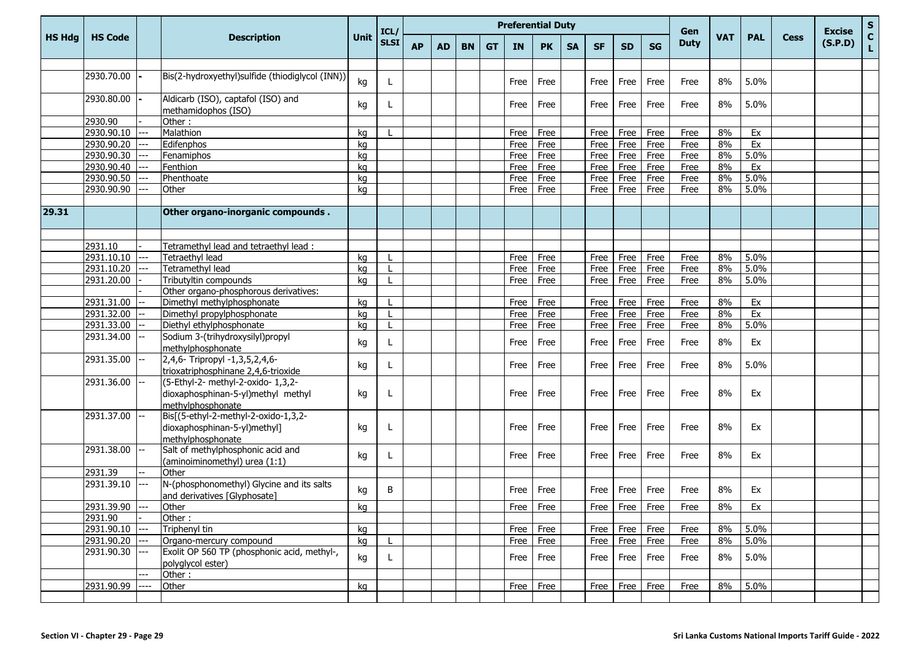|               |                    |                                                                                                |                                                                                               |      | ICL/         |           |     |           |           | <b>Preferential Duty</b> |           |           |             |           |                | Gen         |            |            |             | <b>Excise</b> | $\mathbf S$        |
|---------------|--------------------|------------------------------------------------------------------------------------------------|-----------------------------------------------------------------------------------------------|------|--------------|-----------|-----|-----------|-----------|--------------------------|-----------|-----------|-------------|-----------|----------------|-------------|------------|------------|-------------|---------------|--------------------|
| <b>HS Hdg</b> | <b>HS Code</b>     |                                                                                                | <b>Description</b>                                                                            | Unit | <b>SLSI</b>  | <b>AP</b> | AD. | <b>BN</b> | <b>GT</b> | <b>IN</b>                | <b>PK</b> | <b>SA</b> | <b>SF</b>   | <b>SD</b> | <b>SG</b>      | <b>Duty</b> | <b>VAT</b> | <b>PAL</b> | <b>Cess</b> | (S.P.D)       | $\mathbf{C}$<br>L. |
|               |                    |                                                                                                |                                                                                               |      |              |           |     |           |           |                          |           |           |             |           |                |             |            |            |             |               |                    |
|               | 2930.70.00         |                                                                                                | Bis(2-hydroxyethyl)sulfide (thiodiglycol (INN))                                               | kg   | L            |           |     |           |           | Free                     | Free      |           | Free        | Free      | Free           | Free        | 8%         | 5.0%       |             |               |                    |
|               | 2930.80.00         |                                                                                                | Aldicarb (ISO), captafol (ISO) and<br>methamidophos (ISO)                                     | kg   |              |           |     |           |           | Free                     | Free      |           | Free        | Free      | Free           | Free        | 8%         | 5.0%       |             |               |                    |
|               | 2930.90            |                                                                                                | Other:                                                                                        |      |              |           |     |           |           |                          |           |           |             |           |                |             |            |            |             |               |                    |
|               | 2930.90.10         |                                                                                                | Malathion                                                                                     | kg   |              |           |     |           |           | Free                     | Free      |           | Free        | Free      | Free           | Free        | 8%         | Ex         |             |               |                    |
|               | 2930.90.20         | ---                                                                                            | Edifenphos                                                                                    | kg   |              |           |     |           |           | Free                     | Free      |           | Free        | Free      | Free           | Free        | 8%         | Ex         |             |               |                    |
|               | 2930.90.30         |                                                                                                | Fenamiphos                                                                                    | kg   |              |           |     |           |           | Free                     | Free      |           | Free        | Free      | Free           | Free        | 8%         | 5.0%       |             |               |                    |
|               | 2930.90.40         |                                                                                                | Fenthion                                                                                      | kg   |              |           |     |           |           | Free                     | Free      |           | Free        | Free      | Free           | Free        | 8%         | Ex         |             |               |                    |
|               | 2930.90.50         | ---                                                                                            | Phenthoate                                                                                    | kg   |              |           |     |           |           | Free                     | Free      |           | Free        | Free      | Free           | Free        | 8%         | 5.0%       |             |               |                    |
|               | 2930.90.90         |                                                                                                | Other                                                                                         | kg   |              |           |     |           |           | Free                     | Free      |           | Free        | Free      | Free           | Free        | 8%         | 5.0%       |             |               |                    |
|               |                    |                                                                                                |                                                                                               |      |              |           |     |           |           |                          |           |           |             |           |                |             |            |            |             |               |                    |
| 29.31         |                    |                                                                                                | Other organo-inorganic compounds.                                                             |      |              |           |     |           |           |                          |           |           |             |           |                |             |            |            |             |               |                    |
|               |                    |                                                                                                |                                                                                               |      |              |           |     |           |           |                          |           |           |             |           |                |             |            |            |             |               |                    |
|               | 2931.10            |                                                                                                | Tetramethyl lead and tetraethyl lead:                                                         |      |              |           |     |           |           |                          |           |           |             |           |                |             |            |            |             |               |                    |
|               | 2931.10.10         | $\hspace{0.05cm}---$                                                                           | <b>Tetraethyl lead</b>                                                                        | kg   |              |           |     |           |           | Free                     | Free      |           | Free        | Free      | Free           | Free        | 8%         | 5.0%       |             |               |                    |
|               | 2931.10.20         |                                                                                                | Tetramethyl lead                                                                              | kg   |              |           |     |           |           | Free                     | Free      |           | Free        | Free      | Free           | Free        | 8%         | 5.0%       |             |               |                    |
|               | 2931.20.00         |                                                                                                | Tributyltin compounds                                                                         | kg   |              |           |     |           |           | Free                     | Free      |           | Free        | Free      | Free           | Free        | 8%         | 5.0%       |             |               |                    |
|               |                    |                                                                                                | Other organo-phosphorous derivatives:                                                         |      |              |           |     |           |           |                          |           |           |             |           |                |             |            |            |             |               |                    |
|               | 2931.31.00         |                                                                                                | Dimethyl methylphosphonate                                                                    | kg   |              |           |     |           |           | Free                     | Free      |           | Free        | Free      | Free           | Free        | 8%         | Ex         |             |               |                    |
|               | 2931.32.00         |                                                                                                | Dimethyl propylphosphonate                                                                    | kg   |              |           |     |           |           | Free                     | Free      |           | Free        | Free      | Free           | Free        | 8%         | Ex         |             |               |                    |
|               | 2931.33.00         |                                                                                                | Diethyl ethylphosphonate                                                                      | kg   |              |           |     |           |           | Free                     | Free      |           | Free        | Free      | Free           | Free        | 8%         | 5.0%       |             |               |                    |
|               | 2931.34.00         |                                                                                                | Sodium 3-(trihydroxysilyl)propyl<br>methylphosphonate                                         | kg   |              |           |     |           |           | Free                     | Free      |           | Free        | Free      | Free           | Free        | 8%         | Ex         |             |               |                    |
|               | 2931.35.00         |                                                                                                | 2,4,6- Tripropyl -1,3,5,2,4,6-<br>trioxatriphosphinane 2,4,6-trioxide                         | kg   | $\mathbf{L}$ |           |     |           |           | Free                     | Free      |           | Free        | Free      | Free           | Free        | 8%         | 5.0%       |             |               |                    |
|               | 2931.36.00         |                                                                                                | (5-Ethyl-2- methyl-2-oxido- 1,3,2-<br>dioxaphosphinan-5-yl)methyl methyl<br>methylphosphonate | kg   |              |           |     |           |           | Free                     | Free      |           | Free        | Free      | Free           | Free        | 8%         | Ex         |             |               |                    |
|               | 2931.37.00         |                                                                                                | Bis[(5-ethyl-2-methyl-2-oxido-1,3,2-<br>dioxaphosphinan-5-yl)methyl]<br>methylphosphonate     | kg   |              |           |     |           |           | Free                     | Free      |           | Free        | Free      | Free           | Free        | 8%         | Ex         |             |               |                    |
|               | 2931.38.00         |                                                                                                | Salt of methylphosphonic acid and<br>(aminoiminomethyl) urea (1:1)                            | kg   |              |           |     |           |           | Free                     | Free      |           | Free        | Free      | Free           | Free        | 8%         | Ex         |             |               |                    |
|               | 2931.39            |                                                                                                | Other                                                                                         |      |              |           |     |           |           |                          |           |           |             |           |                |             |            |            |             |               |                    |
|               | 2931.39.10         | $\qquad \qquad - -$                                                                            | N-(phosphonomethyl) Glycine and its salts<br>and derivatives [Glyphosate]                     | kg   | В            |           |     |           |           | Free                     | Free      |           | Free        | Free      | Free           | Free        | 8%         | Ex         |             |               |                    |
|               | 2931.39.90         |                                                                                                | Other                                                                                         | kg   |              |           |     |           |           |                          | Free Free |           |             |           | Free Free Free | Free        | 8%         | Ex         |             |               |                    |
|               | 2931.90            |                                                                                                | Other:                                                                                        |      |              |           |     |           |           |                          |           |           |             |           |                |             |            |            |             |               |                    |
|               | $2931.90.10$ $---$ |                                                                                                | Triphenyl tin                                                                                 | kg   |              |           |     |           |           | Free Free                |           |           | Free        | Free      | Free           | Free        | 8%         | 5.0%       |             |               |                    |
|               | 2931.90.20         | $\frac{1}{2} \left( \frac{1}{2} \right) \left( \frac{1}{2} \right) \left( \frac{1}{2} \right)$ | Organo-mercury compound                                                                       | kg   |              |           |     |           |           | Free Free                |           |           | Free        | Free      | Free           | Free        | 8%         | 5.0%       |             |               |                    |
|               | 2931.90.30         | $---$                                                                                          | Exolit OP 560 TP (phosphonic acid, methyl-,<br>polyglycol ester)                              | kg   | L            |           |     |           |           | Free Free                |           |           | Free        | Free      | Free           | Free        | 8%         | 5.0%       |             |               |                    |
|               |                    | $ -$                                                                                           | Other:                                                                                        |      |              |           |     |           |           |                          |           |           |             |           |                |             |            |            |             |               |                    |
|               | 2931.90.99         |                                                                                                | Other                                                                                         | kg   |              |           |     |           |           | Free Free                |           |           | <b>Free</b> | Free Free |                | Free        | 8%         | 5.0%       |             |               |                    |
|               |                    |                                                                                                |                                                                                               |      |              |           |     |           |           |                          |           |           |             |           |                |             |            |            |             |               |                    |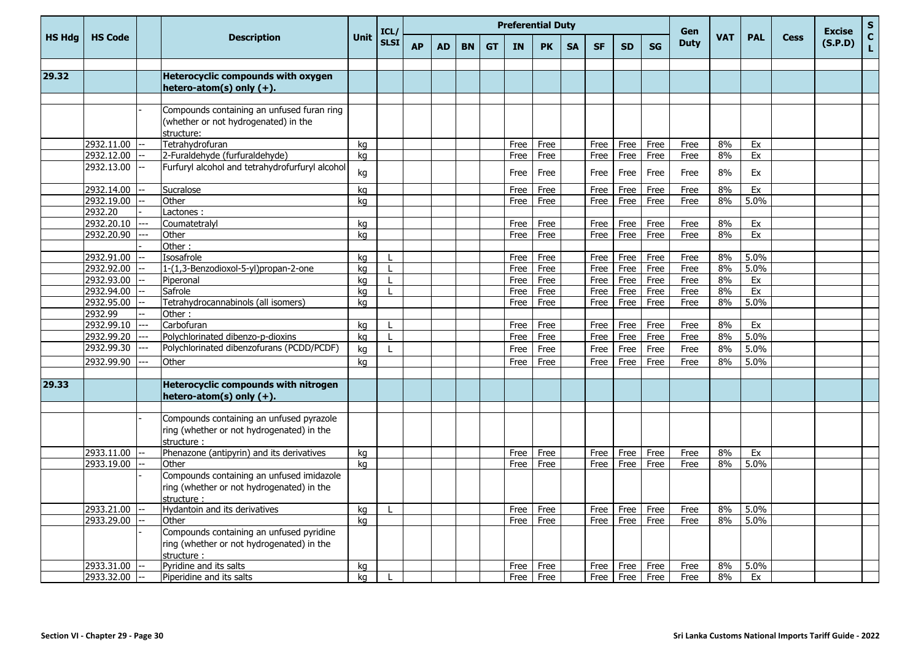|               |                |                |                                                                                                      |             | ICL/         |           |           |           |    | <b>Preferential Duty</b> |           |           |           |           |           | Gen         |     |            |             | <b>Excise</b> | $\mathbf S$        |
|---------------|----------------|----------------|------------------------------------------------------------------------------------------------------|-------------|--------------|-----------|-----------|-----------|----|--------------------------|-----------|-----------|-----------|-----------|-----------|-------------|-----|------------|-------------|---------------|--------------------|
| <b>HS Hdg</b> | <b>HS Code</b> |                | <b>Description</b>                                                                                   | <b>Unit</b> | <b>SLSI</b>  | <b>AP</b> | <b>AD</b> | <b>BN</b> | GT | <b>IN</b>                | <b>PK</b> | <b>SA</b> | <b>SF</b> | <b>SD</b> | <b>SG</b> | <b>Duty</b> | VAT | <b>PAL</b> | <b>Cess</b> | (S.P.D)       | $\mathbf{C}$<br>L. |
| 29.32         |                |                | Heterocyclic compounds with oxygen<br>hetero-atom(s) only $(+)$ .                                    |             |              |           |           |           |    |                          |           |           |           |           |           |             |     |            |             |               |                    |
|               |                |                |                                                                                                      |             |              |           |           |           |    |                          |           |           |           |           |           |             |     |            |             |               |                    |
|               |                |                | Compounds containing an unfused furan ring<br>(whether or not hydrogenated) in the<br>structure:     |             |              |           |           |           |    |                          |           |           |           |           |           |             |     |            |             |               |                    |
|               | 2932.11.00     |                | Tetrahydrofuran                                                                                      | kg          |              |           |           |           |    | Free                     | Free      |           | Free      | Free      | Free      | Free        | 8%  | Ex         |             |               |                    |
|               | 2932.12.00     |                | 2-Furaldehyde (furfuraldehyde)                                                                       | kg          |              |           |           |           |    | Free                     | Free      |           | Free      | Free      | Free      | Free        | 8%  | Ex         |             |               |                    |
|               | 2932.13.00     |                | Furfuryl alcohol and tetrahydrofurfuryl alcohol                                                      | kg          |              |           |           |           |    | Free                     | Free      |           | Free      | Free      | Free      | Free        | 8%  | Ex         |             |               |                    |
|               | 2932.14.00     |                | Sucralose                                                                                            | kg          |              |           |           |           |    | Free                     | Free      |           | Free      | Free      | Free      | Free        | 8%  | Ex         |             |               |                    |
|               | 2932.19.00     |                | Other                                                                                                | kg          |              |           |           |           |    | Free                     | Free      |           | Free      | Free      | Free      | Free        | 8%  | 5.0%       |             |               |                    |
|               | 2932.20        |                | Lactones:                                                                                            |             |              |           |           |           |    |                          |           |           |           |           |           |             |     |            |             |               |                    |
|               | 2932.20.10     | $\overline{a}$ | Coumatetralyl                                                                                        | kg          |              |           |           |           |    | Free                     | Free      |           | Free      | Free      | Free      | Free        | 8%  | Ex         |             |               |                    |
|               | 2932.20.90     |                | Other                                                                                                | kg          |              |           |           |           |    | Free                     | Free      |           | Free      | Free      | Free      | Free        | 8%  | Ex         |             |               |                    |
|               |                |                | Other:                                                                                               |             |              |           |           |           |    |                          |           |           |           |           |           |             |     |            |             |               |                    |
|               | 2932.91.00     |                | Isosafrole                                                                                           | kg          | L            |           |           |           |    | Free                     | Free      |           | Free      | Free      | Free      | Free        | 8%  | 5.0%       |             |               |                    |
|               | 2932.92.00     |                | 1-(1,3-Benzodioxol-5-yl)propan-2-one                                                                 | kg          | $\mathbf{L}$ |           |           |           |    | Free                     | Free      |           | Free      | Free      | Free      | Free        | 8%  | 5.0%       |             |               |                    |
|               | 2932.93.00     |                | Piperonal                                                                                            | kg          | L            |           |           |           |    | Free                     | Free      |           | Free      | Free      | Free      | Free        | 8%  | Ex         |             |               |                    |
|               | 2932.94.00     |                | Safrole                                                                                              | kg          | L            |           |           |           |    | Free                     | Free      |           | Free      | Free      | Free      | Free        | 8%  | Ex         |             |               |                    |
|               | 2932.95.00     |                | Tetrahydrocannabinols (all isomers)                                                                  | kg          |              |           |           |           |    | Free                     | Free      |           | Free      | Free      | Free      | Free        | 8%  | 5.0%       |             |               |                    |
|               | 2932.99        |                | Other:                                                                                               |             |              |           |           |           |    |                          |           |           |           |           |           |             |     |            |             |               |                    |
|               | 2932.99.10     | ---            | Carbofuran                                                                                           | ka          | L            |           |           |           |    | Free                     | Free      |           | Free      | Free      | Free      | Free        | 8%  | Ex         |             |               |                    |
|               | 2932.99.20     | ---            | Polychlorinated dibenzo-p-dioxins                                                                    | kg          | L            |           |           |           |    | Free                     | Free      |           | Free      | Free      | Free      | Free        | 8%  | 5.0%       |             |               |                    |
|               | 2932.99.30     |                | Polychlorinated dibenzofurans (PCDD/PCDF)                                                            | kg          | L            |           |           |           |    | Free                     | Free      |           | Free      | Free      | Free      | Free        | 8%  | 5.0%       |             |               |                    |
|               | 2932.99.90     |                | Other                                                                                                | kg          |              |           |           |           |    | Free                     | Free      |           | Free      | Free      | Free      | Free        | 8%  | 5.0%       |             |               |                    |
| 29.33         |                |                | <b>Heterocyclic compounds with nitrogen</b><br>hetero-atom(s) only $(+)$ .                           |             |              |           |           |           |    |                          |           |           |           |           |           |             |     |            |             |               |                    |
|               |                |                |                                                                                                      |             |              |           |           |           |    |                          |           |           |           |           |           |             |     |            |             |               |                    |
|               |                |                | Compounds containing an unfused pyrazole<br>ring (whether or not hydrogenated) in the<br>structure:  |             |              |           |           |           |    |                          |           |           |           |           |           |             |     |            |             |               |                    |
|               | 2933.11.00     |                | Phenazone (antipyrin) and its derivatives                                                            | kg          |              |           |           |           |    | Free                     | Free      |           | Free      | Free      | Free      | Free        | 8%  | Ex         |             |               |                    |
|               | 2933.19.00     |                | Other                                                                                                | ka          |              |           |           |           |    | Free                     | Free      |           | Free      | Free      | Free      | Free        | 8%  | 5.0%       |             |               |                    |
|               |                |                | Compounds containing an unfused imidazole<br>ring (whether or not hydrogenated) in the<br>structure: |             |              |           |           |           |    |                          |           |           |           |           |           |             |     |            |             |               |                    |
|               | 2933.21.00     |                | Hydantoin and its derivatives                                                                        | kg          |              |           |           |           |    | Free                     | Free      |           | Free      | Free      | Free      | Free        | 8%  | 5.0%       |             |               |                    |
|               | 2933.29.00     |                | Other                                                                                                | ka          |              |           |           |           |    | Free                     | Free      |           | Free      | Free      | Free      | Free        | 8%  | 5.0%       |             |               |                    |
|               |                |                | Compounds containing an unfused pyridine<br>ring (whether or not hydrogenated) in the<br>structure:  |             |              |           |           |           |    |                          |           |           |           |           |           |             |     |            |             |               |                    |
|               | 2933.31.00     |                | Pyridine and its salts                                                                               | kg          |              |           |           |           |    | Free                     | Free      |           | Free      | Free      | Free      | Free        | 8%  | 5.0%       |             |               |                    |
|               | 2933.32.00     | --             | Piperidine and its salts                                                                             | ka          |              |           |           |           |    | Free                     | Free      |           | Free      | Free      | Free      | Free        | 8%  | Ex         |             |               |                    |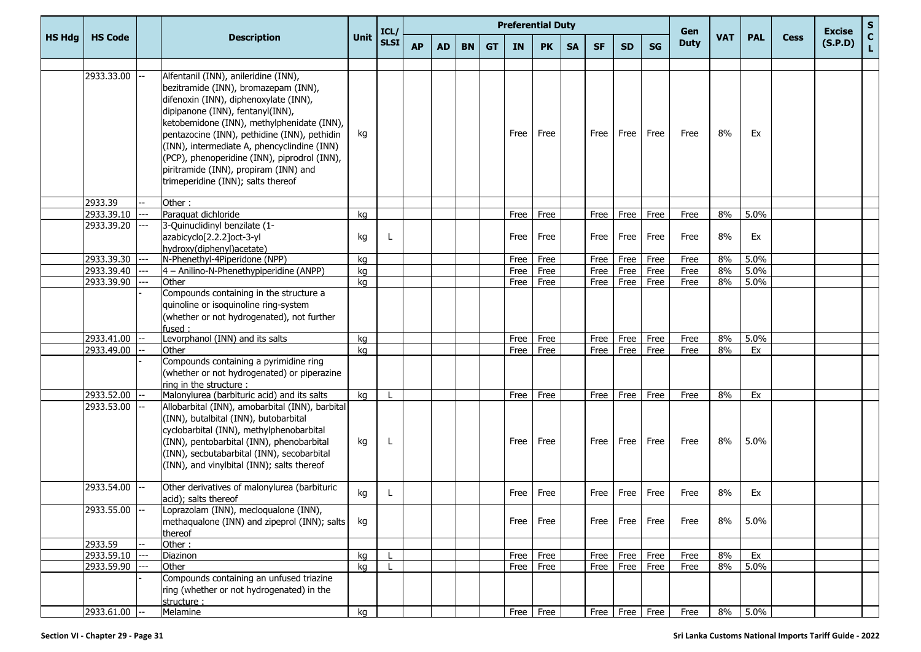|               |                |                                                                                                                                                                                                                                                                                                                                                                                                                                       |             | ICL/         |           |           |           |           | <b>Preferential Duty</b> |           |           |           |           |           | Gen         |            |            |             | <b>Excise</b> | S                           |
|---------------|----------------|---------------------------------------------------------------------------------------------------------------------------------------------------------------------------------------------------------------------------------------------------------------------------------------------------------------------------------------------------------------------------------------------------------------------------------------|-------------|--------------|-----------|-----------|-----------|-----------|--------------------------|-----------|-----------|-----------|-----------|-----------|-------------|------------|------------|-------------|---------------|-----------------------------|
| <b>HS Hdg</b> | <b>HS Code</b> | <b>Description</b>                                                                                                                                                                                                                                                                                                                                                                                                                    | <b>Unit</b> | <b>SLSI</b>  | <b>AP</b> | <b>AD</b> | <b>BN</b> | <b>GT</b> | <b>IN</b>                | <b>PK</b> | <b>SA</b> | <b>SF</b> | <b>SD</b> | <b>SG</b> | <b>Duty</b> | <b>VAT</b> | <b>PAL</b> | <b>Cess</b> | (S.P.D)       | $\mathbf{C}$<br>$\mathbf L$ |
|               | 2933.33.00     | Alfentanil (INN), anileridine (INN),<br>bezitramide (INN), bromazepam (INN),<br>difenoxin (INN), diphenoxylate (INN),<br>dipipanone (INN), fentanyl(INN),<br>ketobemidone (INN), methylphenidate (INN),<br>pentazocine (INN), pethidine (INN), pethidin<br>(INN), intermediate A, phencyclindine (INN)<br>(PCP), phenoperidine (INN), piprodrol (INN),<br>piritramide (INN), propiram (INN) and<br>trimeperidine (INN); salts thereof | kg          |              |           |           |           |           | Free                     | Free      |           | Free      | Free      | Free      | Free        | 8%         | Ex         |             |               |                             |
|               | 2933.39        | Other:                                                                                                                                                                                                                                                                                                                                                                                                                                |             |              |           |           |           |           |                          |           |           |           |           |           |             |            |            |             |               |                             |
|               | 2933.39.10     | Paraquat dichloride                                                                                                                                                                                                                                                                                                                                                                                                                   | kg          |              |           |           |           |           | Free                     | Free      |           | Free      | Free      | Free      | Free        | 8%         | 5.0%       |             |               |                             |
|               | 2933.39.20     | 3-Quinuclidinyl benzilate (1-<br>azabicyclo[2.2.2]oct-3-yl<br>hydroxy(diphenyl)acetate)                                                                                                                                                                                                                                                                                                                                               | kg          |              |           |           |           |           | Free                     | Free      |           | Free      | Free      | Free      | Free        | 8%         | Ex         |             |               |                             |
|               | 2933.39.30     | N-Phenethyl-4Piperidone (NPP)                                                                                                                                                                                                                                                                                                                                                                                                         | kg          |              |           |           |           |           | Free                     | Free      |           | Free      | Free      | Free      | Free        | 8%         | 5.0%       |             |               |                             |
|               | 2933.39.40     | 4 - Anilino-N-Phenethypiperidine (ANPP)                                                                                                                                                                                                                                                                                                                                                                                               | kg          |              |           |           |           |           | Free                     | Free      |           | Free      | Free      | Free      | Free        | 8%         | 5.0%       |             |               |                             |
|               | 2933.39.90     | Other                                                                                                                                                                                                                                                                                                                                                                                                                                 | kg          |              |           |           |           |           | Free                     | Free      |           | Free      | Free      | Free      | Free        | 8%         | 5.0%       |             |               |                             |
|               |                | Compounds containing in the structure a<br>quinoline or isoquinoline ring-system<br>(whether or not hydrogenated), not further<br>fused:                                                                                                                                                                                                                                                                                              |             |              |           |           |           |           |                          |           |           |           |           |           |             |            |            |             |               |                             |
|               | 2933.41.00     | Levorphanol (INN) and its salts                                                                                                                                                                                                                                                                                                                                                                                                       | kg          |              |           |           |           |           | Free                     | Free      |           | Free      | Free      | Free      | Free        | 8%         | 5.0%       |             |               |                             |
|               | 2933.49.00     | Other<br>Compounds containing a pyrimidine ring<br>(whether or not hydrogenated) or piperazine<br>ring in the structure :                                                                                                                                                                                                                                                                                                             | kg          |              |           |           |           |           | Free                     | Free      |           | Free      | Free      | Free      | Free        | 8%         | Ex         |             |               |                             |
|               | 2933.52.00     | Malonylurea (barbituric acid) and its salts                                                                                                                                                                                                                                                                                                                                                                                           | kg          |              |           |           |           |           | Free                     | Free      |           | Free      | Free      | Free      | Free        | 8%         | Ex         |             |               |                             |
|               | 2933.53.00     | Allobarbital (INN), amobarbital (INN), barbital<br>(INN), butalbital (INN), butobarbital<br>cyclobarbital (INN), methylphenobarbital<br>(INN), pentobarbital (INN), phenobarbital<br>(INN), secbutabarbital (INN), secobarbital<br>(INN), and vinylbital (INN); salts thereof                                                                                                                                                         | kg          | I.           |           |           |           |           | Free                     | Free      |           | Free      | Free      | Free      | Free        | 8%         | 5.0%       |             |               |                             |
|               | 2933.54.00     | Other derivatives of malonylurea (barbituric<br>acid); salts thereof                                                                                                                                                                                                                                                                                                                                                                  | kg          |              |           |           |           |           | Free                     | Free      |           | Free      | Free      | Free      | Free        | 8%         | Ex         |             |               |                             |
|               | 2933.55.00     | Loprazolam (INN), mecloqualone (INN),<br>methaqualone (INN) and zipeprol (INN); salts<br>thereof                                                                                                                                                                                                                                                                                                                                      | kg          |              |           |           |           |           | Free                     | Free      |           | Free      | Free      | Free      | Free        | 8%         | 5.0%       |             |               |                             |
|               | 2933.59        | Other:                                                                                                                                                                                                                                                                                                                                                                                                                                |             |              |           |           |           |           |                          |           |           |           |           |           |             |            |            |             |               |                             |
|               | 2933.59.10     | Diazinon                                                                                                                                                                                                                                                                                                                                                                                                                              | kg          | L            |           |           |           |           | Free                     | Free      |           | Free      | Free      | Free      | Free        | 8%         | Ex         |             |               |                             |
|               | 2933.59.90     | Other<br>Compounds containing an unfused triazine<br>ring (whether or not hydrogenated) in the<br>structure :                                                                                                                                                                                                                                                                                                                         | kg          | $\mathbf{I}$ |           |           |           |           |                          | Free Free |           | Free      | Free      | Free      | Free        | 8%         | 5.0%       |             |               |                             |
|               | 2933.61.00     | Melamine                                                                                                                                                                                                                                                                                                                                                                                                                              | kg          |              |           |           |           |           |                          | Free Free |           | Free      |           | Free Free | Free        | 8%         | 5.0%       |             |               |                             |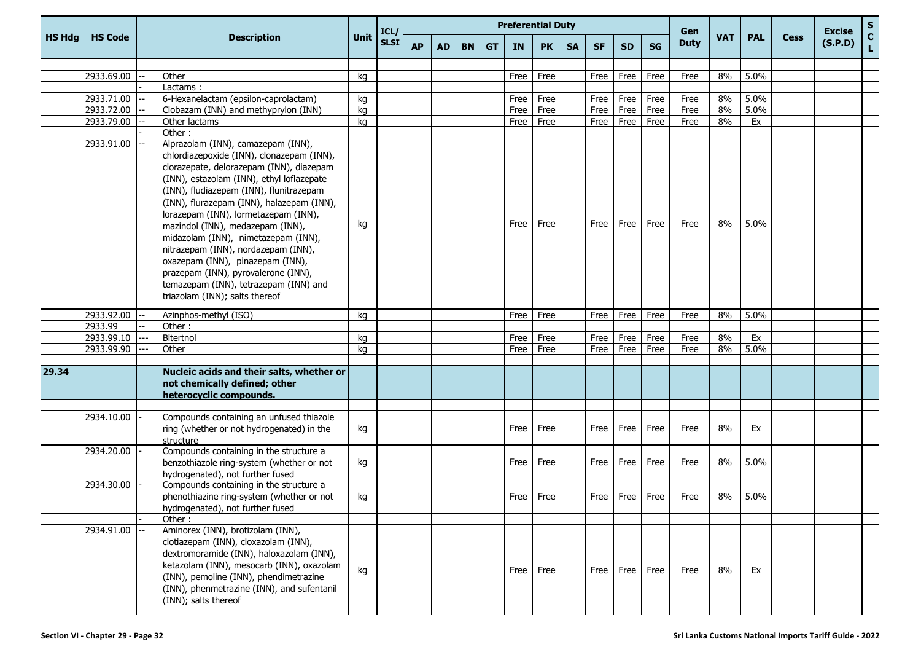|               |                |                                                                                                                                                                                                                                                                                                                                                                                                                                                                                                                                                                                            |             | ICL/        |           |           |           |           | <b>Preferential Duty</b> |           |           |           |           |           | Gen         |            |            |             | <b>Excise</b> | ${\sf s}$                   |
|---------------|----------------|--------------------------------------------------------------------------------------------------------------------------------------------------------------------------------------------------------------------------------------------------------------------------------------------------------------------------------------------------------------------------------------------------------------------------------------------------------------------------------------------------------------------------------------------------------------------------------------------|-------------|-------------|-----------|-----------|-----------|-----------|--------------------------|-----------|-----------|-----------|-----------|-----------|-------------|------------|------------|-------------|---------------|-----------------------------|
| <b>HS Hdg</b> | <b>HS Code</b> | <b>Description</b>                                                                                                                                                                                                                                                                                                                                                                                                                                                                                                                                                                         | <b>Unit</b> | <b>SLSI</b> | <b>AP</b> | <b>AD</b> | <b>BN</b> | <b>GT</b> | <b>IN</b>                | <b>PK</b> | <b>SA</b> | <b>SF</b> | <b>SD</b> | <b>SG</b> | <b>Duty</b> | <b>VAT</b> | <b>PAL</b> | <b>Cess</b> | (S.P.D)       | $\mathbf{C}$<br>$\mathbf L$ |
|               |                |                                                                                                                                                                                                                                                                                                                                                                                                                                                                                                                                                                                            |             |             |           |           |           |           |                          |           |           |           |           |           |             |            |            |             |               |                             |
|               | 2933.69.00     | Other                                                                                                                                                                                                                                                                                                                                                                                                                                                                                                                                                                                      | kg          |             |           |           |           |           | <b>Free</b>              | Free      |           | Free      | Free      | Free      | Free        | 8%         | 5.0%       |             |               |                             |
|               |                | Lactams:                                                                                                                                                                                                                                                                                                                                                                                                                                                                                                                                                                                   |             |             |           |           |           |           |                          |           |           |           |           |           |             |            |            |             |               |                             |
|               | 2933.71.00     | 6-Hexanelactam (epsilon-caprolactam)                                                                                                                                                                                                                                                                                                                                                                                                                                                                                                                                                       | kg          |             |           |           |           |           | Free                     | Free      |           | Free      | Free      | Free      | Free        | 8%         | 5.0%       |             |               |                             |
|               | 2933.72.00     | Clobazam (INN) and methyprylon (INN)                                                                                                                                                                                                                                                                                                                                                                                                                                                                                                                                                       | kg          |             |           |           |           |           | Free                     | Free      |           | Free      | Free      | Free      | Free        | 8%         | 5.0%       |             |               |                             |
|               | 2933.79.00     | Other lactams                                                                                                                                                                                                                                                                                                                                                                                                                                                                                                                                                                              | kg          |             |           |           |           |           | Free                     | Free      |           | Free      | Free      | Free      | Free        | 8%         | Ex         |             |               |                             |
|               | 2933.91.00     | Other:<br>Alprazolam (INN), camazepam (INN),<br>chlordiazepoxide (INN), clonazepam (INN),<br>clorazepate, delorazepam (INN), diazepam<br>(INN), estazolam (INN), ethyl loflazepate<br>(INN), fludiazepam (INN), flunitrazepam<br>(INN), flurazepam (INN), halazepam (INN),<br>lorazepam (INN), lormetazepam (INN),<br>mazindol (INN), medazepam (INN),<br>midazolam (INN), nimetazepam (INN),<br>nitrazepam (INN), nordazepam (INN),<br>oxazepam (INN), pinazepam (INN),<br>prazepam (INN), pyrovalerone (INN),<br>temazepam (INN), tetrazepam (INN) and<br>triazolam (INN); salts thereof | kg          |             |           |           |           |           | Free                     | Free      |           | Free      | Free      | Free      | Free        | 8%         | 5.0%       |             |               |                             |
|               | 2933.92.00     | Azinphos-methyl (ISO)                                                                                                                                                                                                                                                                                                                                                                                                                                                                                                                                                                      | kg          |             |           |           |           |           | Free                     | Free      |           | Free      | Free      | Free      | Free        | 8%         | 5.0%       |             |               |                             |
|               | 2933.99        | Other:                                                                                                                                                                                                                                                                                                                                                                                                                                                                                                                                                                                     |             |             |           |           |           |           |                          |           |           |           |           |           |             |            |            |             |               |                             |
|               | 2933.99.10     | Bitertnol                                                                                                                                                                                                                                                                                                                                                                                                                                                                                                                                                                                  | kg          |             |           |           |           |           | Free                     | Free      |           | Free      | Free      | Free      | Free        | 8%         | Ex         |             |               |                             |
|               | 2933.99.90     | Other                                                                                                                                                                                                                                                                                                                                                                                                                                                                                                                                                                                      | ka          |             |           |           |           |           | Free                     | Free      |           | Free      | Free      | Free      | Free        | 8%         | 5.0%       |             |               |                             |
| 29.34         |                | Nucleic acids and their salts, whether or<br>not chemically defined; other<br>heterocyclic compounds.                                                                                                                                                                                                                                                                                                                                                                                                                                                                                      |             |             |           |           |           |           |                          |           |           |           |           |           |             |            |            |             |               |                             |
|               | 2934.10.00     | Compounds containing an unfused thiazole<br>ring (whether or not hydrogenated) in the<br>structure                                                                                                                                                                                                                                                                                                                                                                                                                                                                                         | kg          |             |           |           |           |           | Free                     | Free      |           | Free      | Free      | Free      | Free        | 8%         | Ex         |             |               |                             |
|               | 2934.20.00     | Compounds containing in the structure a<br>benzothiazole ring-system (whether or not<br>hydrogenated), not further fused                                                                                                                                                                                                                                                                                                                                                                                                                                                                   | kg          |             |           |           |           |           | Free                     | Free      |           | Free      | Free      | Free      | Free        | 8%         | 5.0%       |             |               |                             |
|               | 2934.30.00     | Compounds containing in the structure a<br>phenothiazine ring-system (whether or not<br>hydrogenated), not further fused                                                                                                                                                                                                                                                                                                                                                                                                                                                                   | kg          |             |           |           |           |           | Free                     | Free      |           | Free      | Free      | Free      | Free        | 8%         | 5.0%       |             |               |                             |
|               | 2934.91.00     | Other:<br>Aminorex (INN), brotizolam (INN),<br>clotiazepam (INN), cloxazolam (INN),<br>dextromoramide (INN), haloxazolam (INN),<br>ketazolam (INN), mesocarb (INN), oxazolam<br>(INN), pemoline (INN), phendimetrazine<br>(INN), phenmetrazine (INN), and sufentanil<br>(INN); salts thereof                                                                                                                                                                                                                                                                                               | kg          |             |           |           |           |           |                          | Free Free |           |           | Free Free | Free      | Free        | 8%         | Ex         |             |               |                             |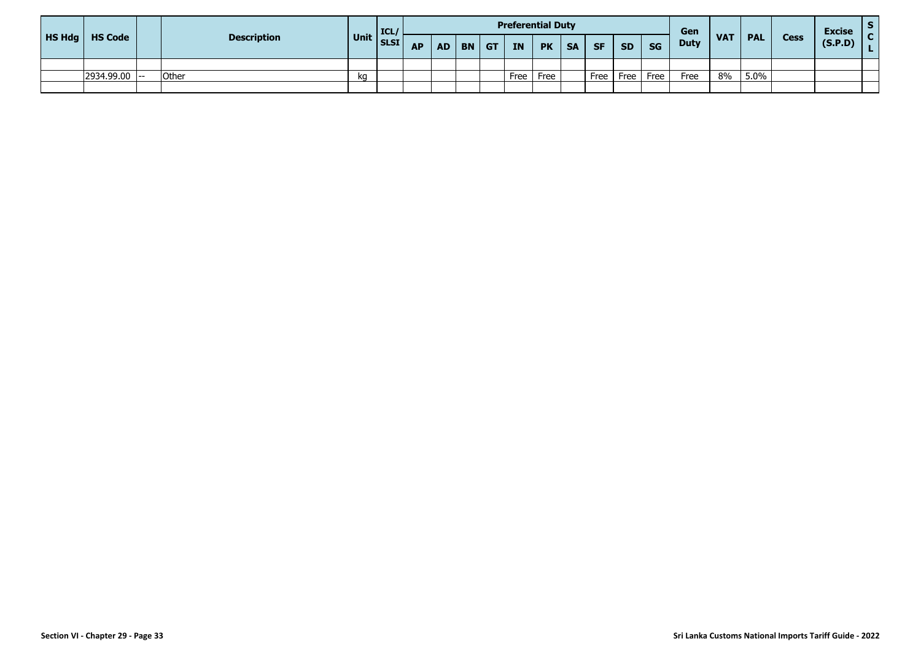| $H$ S Hdg $\vert$ | <b>HS Code</b> | <b>Description</b> | $\vert$ Unit $\vert$ ICL/ |           |           |              | <b>Preferential Duty</b> |           |           |           |           |      | Gen         | <b>VAT</b> | <b>PAL</b> | <b>Cess</b> | <b>Excise</b> |  |
|-------------------|----------------|--------------------|---------------------------|-----------|-----------|--------------|--------------------------|-----------|-----------|-----------|-----------|------|-------------|------------|------------|-------------|---------------|--|
|                   |                |                    |                           | <b>AP</b> | <b>AD</b> | <b>BN</b> GT | IN                       | <b>PK</b> | <b>SA</b> | <b>SF</b> | <b>SD</b> | SG   | <b>Duty</b> |            |            |             | (S.P.D)       |  |
|                   |                |                    |                           |           |           |              |                          |           |           |           |           |      |             |            |            |             |               |  |
|                   | 2934.99.00     | Other              | kq                        |           |           |              | Free                     | Free      |           | Free      | Free      | Free | Free        | 8%         | 5.0%       |             |               |  |
|                   |                |                    |                           |           |           |              |                          |           |           |           |           |      |             |            |            |             |               |  |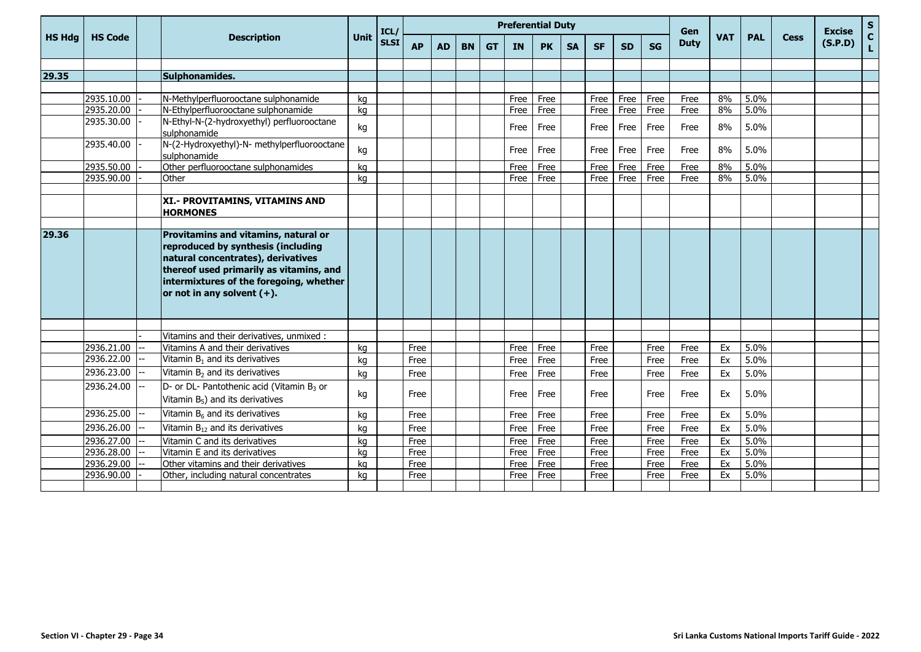|               |                          |                                                                                                                                                                                                                                         |             | ICL/        | <b>Preferential Duty</b> |     |           |           |           |           |           |           |             |           | Gen         |            |              |             | <b>Excise</b> | S                  |
|---------------|--------------------------|-----------------------------------------------------------------------------------------------------------------------------------------------------------------------------------------------------------------------------------------|-------------|-------------|--------------------------|-----|-----------|-----------|-----------|-----------|-----------|-----------|-------------|-----------|-------------|------------|--------------|-------------|---------------|--------------------|
| <b>HS Hdg</b> | <b>HS Code</b>           | <b>Description</b>                                                                                                                                                                                                                      | <b>Unit</b> | <b>SLSI</b> | <b>AP</b>                | AD. | <b>BN</b> | <b>GT</b> | <b>IN</b> | <b>PK</b> | <b>SA</b> | <b>SF</b> | <b>SD</b>   | <b>SG</b> | <b>Duty</b> | <b>VAT</b> | <b>PAL</b>   | <b>Cess</b> | (S.P.D)       | $\mathbf{C}$<br>L. |
|               |                          |                                                                                                                                                                                                                                         |             |             |                          |     |           |           |           |           |           |           |             |           |             |            |              |             |               |                    |
| 29.35         |                          | Sulphonamides.                                                                                                                                                                                                                          |             |             |                          |     |           |           |           |           |           |           |             |           |             |            |              |             |               |                    |
|               |                          |                                                                                                                                                                                                                                         |             |             |                          |     |           |           |           |           |           |           |             |           |             |            |              |             |               |                    |
|               | 2935.10.00               | N-Methylperfluorooctane sulphonamide                                                                                                                                                                                                    | ka          |             |                          |     |           |           | Free      | Free      |           | Free      | Free        | Free      | Free        | 8%         | 5.0%         |             |               |                    |
|               | 2935.20.00               | N-Ethylperfluorooctane sulphonamide                                                                                                                                                                                                     | ka          |             |                          |     |           |           | Free      | Free      |           | Free      | <b>Free</b> | Free      | Free        | 8%         | 5.0%         |             |               |                    |
|               | 2935.30.00               | N-Ethyl-N-(2-hydroxyethyl) perfluorooctane<br>sulphonamide                                                                                                                                                                              | kg          |             |                          |     |           |           | Free      | Free      |           | Free      | Free        | Free      | Free        | 8%         | 5.0%         |             |               |                    |
|               | 2935.40.00               | N-(2-Hydroxyethyl)-N- methylperfluorooctane<br>sulphonamide                                                                                                                                                                             | kg          |             |                          |     |           |           | Free      | Free      |           | Free      | Free        | Free      | Free        | 8%         | 5.0%         |             |               |                    |
|               | 2935.50.00               | Other perfluorooctane sulphonamides                                                                                                                                                                                                     | ka          |             |                          |     |           |           | Free      | Free      |           | Free      | Free        | Free      | Free        | 8%         | 5.0%         |             |               |                    |
|               | 2935.90.00               | Other                                                                                                                                                                                                                                   | kg          |             |                          |     |           |           | Free      | Free      |           | Free      | Free        | Free      | Free        | 8%         | 5.0%         |             |               |                    |
|               |                          |                                                                                                                                                                                                                                         |             |             |                          |     |           |           |           |           |           |           |             |           |             |            |              |             |               |                    |
|               |                          | XI.- PROVITAMINS, VITAMINS AND<br><b>HORMONES</b>                                                                                                                                                                                       |             |             |                          |     |           |           |           |           |           |           |             |           |             |            |              |             |               |                    |
|               |                          |                                                                                                                                                                                                                                         |             |             |                          |     |           |           |           |           |           |           |             |           |             |            |              |             |               |                    |
| 29.36         |                          | Provitamins and vitamins, natural or<br>reproduced by synthesis (including<br>natural concentrates), derivatives<br>thereof used primarily as vitamins, and<br>intermixtures of the foregoing, whether<br>or not in any solvent $(+)$ . |             |             |                          |     |           |           |           |           |           |           |             |           |             |            |              |             |               |                    |
|               |                          |                                                                                                                                                                                                                                         |             |             |                          |     |           |           |           |           |           |           |             |           |             |            |              |             |               |                    |
|               |                          | Vitamins and their derivatives, unmixed :                                                                                                                                                                                               |             |             |                          |     |           |           |           |           |           |           |             |           |             |            |              |             |               |                    |
|               | 2936.21.00<br>2936.22.00 | Vitamins A and their derivatives<br>Vitamin B <sub>1</sub> and its derivatives                                                                                                                                                          | kg          |             | Free                     |     |           |           | Free      | Free      |           | Free      |             | Free      | Free        | Ex         | 5.0%<br>5.0% |             |               |                    |
|               |                          |                                                                                                                                                                                                                                         | kg          |             | Free                     |     |           |           | Free      | Free      |           | Free      |             | Free      | Free        | Ex         |              |             |               |                    |
|               | 2936.23.00               | Vitamin $B_2$ and its derivatives                                                                                                                                                                                                       | kg          |             | Free                     |     |           |           | Free      | Free      |           | Free      |             | Free      | Free        | Ex         | 5.0%         |             |               |                    |
|               | 2936.24.00               | D- or DL- Pantothenic acid (Vitamin B <sub>3</sub> or<br>Vitamin $B_5$ ) and its derivatives                                                                                                                                            | kg          |             | Free                     |     |           |           | Free      | Free      |           | Free      |             | Free      | Free        | Ex         | 5.0%         |             |               |                    |
|               | 2936.25.00               | Vitamin B <sub>6</sub> and its derivatives                                                                                                                                                                                              | kg          |             | Free                     |     |           |           | Free      | Free      |           | Free      |             | Free      | Free        | Ex         | 5.0%         |             |               |                    |
|               | 2936.26.00               | Vitamin $B_{12}$ and its derivatives                                                                                                                                                                                                    | kg          |             | Free                     |     |           |           | Free      | Free      |           | Free      |             | Free      | Free        | Ex         | 5.0%         |             |               |                    |
|               | 2936.27.00               | Vitamin C and its derivatives                                                                                                                                                                                                           | kg          |             | Free                     |     |           |           | Free      | Free      |           | Free      |             | Free      | Free        | Ex         | 5.0%         |             |               |                    |
|               | 2936.28.00               | Vitamin E and its derivatives                                                                                                                                                                                                           | kg          |             | Free                     |     |           |           | Free      | Free      |           | Free      |             | Free      | Free        | Ex         | 5.0%         |             |               |                    |
|               | 2936.29.00               | Other vitamins and their derivatives                                                                                                                                                                                                    | ka          |             | Free                     |     |           |           | Free      | Free      |           | Free      |             | Free      | Free        | Ex         | 5.0%         |             |               |                    |
|               | 2936.90.00               | Other, including natural concentrates                                                                                                                                                                                                   | ka          |             | Free                     |     |           |           | Free      | Free      |           | Free      |             | Free      | Free        | Ex         | 5.0%         |             |               |                    |
|               |                          |                                                                                                                                                                                                                                         |             |             |                          |     |           |           |           |           |           |           |             |           |             |            |              |             |               |                    |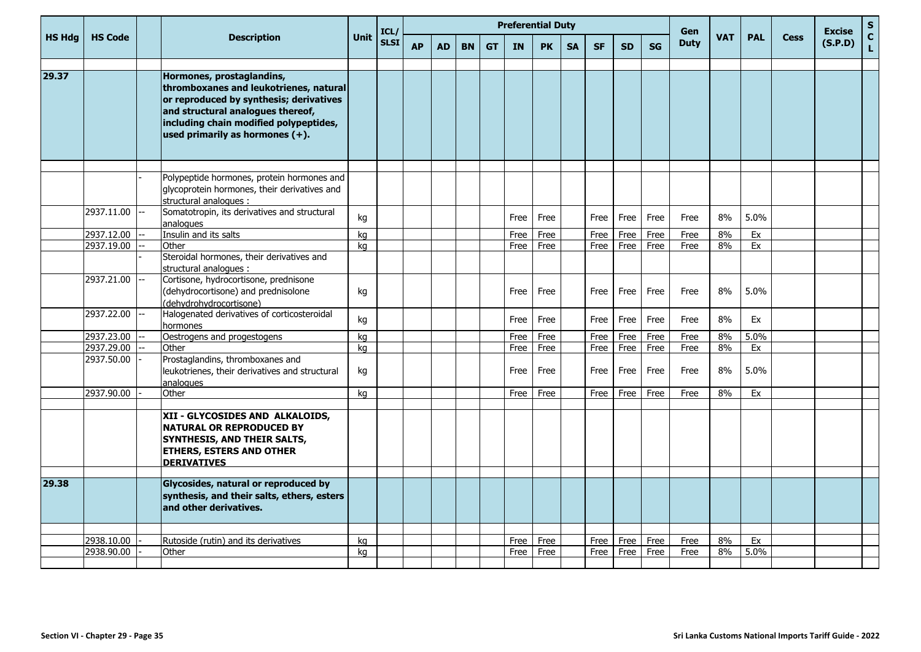|               |                |    |                                                                                                                                                                                                        |      | ICL/        |           |           |           |           |      | <b>Preferential Duty</b> |           |             |           |           | Gen         |            |            |             | <b>Excise</b> | ${\sf s}$         |
|---------------|----------------|----|--------------------------------------------------------------------------------------------------------------------------------------------------------------------------------------------------------|------|-------------|-----------|-----------|-----------|-----------|------|--------------------------|-----------|-------------|-----------|-----------|-------------|------------|------------|-------------|---------------|-------------------|
| <b>HS Hda</b> | <b>HS Code</b> |    | <b>Description</b>                                                                                                                                                                                     | Unit | <b>SLSI</b> | <b>AP</b> | <b>AD</b> | <b>BN</b> | <b>GT</b> | IN   | <b>PK</b>                | <b>SA</b> | <b>SF</b>   | <b>SD</b> | <b>SG</b> | <b>Duty</b> | <b>VAT</b> | <b>PAL</b> | <b>Cess</b> | (S.P.D)       | $\mathbf{C}$<br>L |
| 29.37         |                |    | Hormones, prostaglandins,                                                                                                                                                                              |      |             |           |           |           |           |      |                          |           |             |           |           |             |            |            |             |               |                   |
|               |                |    | thromboxanes and leukotrienes, natural<br>or reproduced by synthesis; derivatives<br>and structural analogues thereof,<br>including chain modified polypeptides,<br>used primarily as hormones $(+)$ . |      |             |           |           |           |           |      |                          |           |             |           |           |             |            |            |             |               |                   |
|               |                |    | Polypeptide hormones, protein hormones and<br>glycoprotein hormones, their derivatives and                                                                                                             |      |             |           |           |           |           |      |                          |           |             |           |           |             |            |            |             |               |                   |
|               | 2937.11.00     |    | structural analogues :<br>Somatotropin, its derivatives and structural<br>analogues                                                                                                                    | kg   |             |           |           |           |           | Free | Free                     |           | Free        | Free      | Free      | Free        | 8%         | 5.0%       |             |               |                   |
|               | 2937.12.00     |    | Insulin and its salts                                                                                                                                                                                  | ka   |             |           |           |           |           | Free | Free                     |           | <b>Free</b> | Free      | Free      | Free        | 8%         | Ex         |             |               |                   |
|               | 2937.19.00     | ÷. | Other                                                                                                                                                                                                  | kg   |             |           |           |           |           | Free | Free                     |           | Free        | Free      | Free      | Free        | 8%         | Ex         |             |               |                   |
|               |                |    | Steroidal hormones, their derivatives and<br>structural analogues :                                                                                                                                    |      |             |           |           |           |           |      |                          |           |             |           |           |             |            |            |             |               |                   |
|               | 2937.21.00     |    | Cortisone, hydrocortisone, prednisone<br>(dehydrocortisone) and prednisolone<br>(dehydrohydrocortisone)                                                                                                | kg   |             |           |           |           |           | Free | Free                     |           | Free        | Free      | Free      | Free        | 8%         | 5.0%       |             |               |                   |
|               | 2937.22.00     |    | Halogenated derivatives of corticosteroidal<br>hormones                                                                                                                                                | kg   |             |           |           |           |           | Free | Free                     |           | Free        | Free      | Free      | Free        | 8%         | Ex         |             |               |                   |
|               | 2937.23.00     |    | Oestrogens and progestogens                                                                                                                                                                            | kg   |             |           |           |           |           | Free | Free                     |           | Free        | Free      | Free      | Free        | 8%         | 5.0%       |             |               |                   |
|               | 2937.29.00     |    | Other                                                                                                                                                                                                  | ka   |             |           |           |           |           | Free | Free                     |           | Free        | Free      | Free      | Free        | 8%         | Ex         |             |               |                   |
|               | 2937.50.00     |    | Prostaglandins, thromboxanes and<br>leukotrienes, their derivatives and structural<br>analogues                                                                                                        | kg   |             |           |           |           |           | Free | Free                     |           | Free        | Free      | Free      | Free        | 8%         | 5.0%       |             |               |                   |
|               | 2937.90.00     |    | Other                                                                                                                                                                                                  | kg   |             |           |           |           |           | Free | Free                     |           | Free        | Free      | Free      | Free        | 8%         | Ex         |             |               |                   |
|               |                |    |                                                                                                                                                                                                        |      |             |           |           |           |           |      |                          |           |             |           |           |             |            |            |             |               |                   |
|               |                |    | XII - GLYCOSIDES AND ALKALOIDS,<br><b>NATURAL OR REPRODUCED BY</b><br>SYNTHESIS, AND THEIR SALTS,<br><b>ETHERS, ESTERS AND OTHER</b><br><b>DERIVATIVES</b>                                             |      |             |           |           |           |           |      |                          |           |             |           |           |             |            |            |             |               |                   |
|               |                |    |                                                                                                                                                                                                        |      |             |           |           |           |           |      |                          |           |             |           |           |             |            |            |             |               |                   |
| 29.38         |                |    | Glycosides, natural or reproduced by<br>synthesis, and their salts, ethers, esters<br>and other derivatives.                                                                                           |      |             |           |           |           |           |      |                          |           |             |           |           |             |            |            |             |               |                   |
|               |                |    |                                                                                                                                                                                                        |      |             |           |           |           |           |      |                          |           |             |           |           |             |            |            |             |               |                   |
|               | 2938.10.00     |    | Rutoside (rutin) and its derivatives                                                                                                                                                                   | kg   |             |           |           |           |           | Free | Free                     |           | Free        | Free      | Free      | Free        | 8%         | Ex         |             |               |                   |
|               | 2938.90.00     |    | Other                                                                                                                                                                                                  | ka   |             |           |           |           |           | Free | Free                     |           | Free        | Free      | Free      | Free        | 8%         | 5.0%       |             |               |                   |
|               |                |    |                                                                                                                                                                                                        |      |             |           |           |           |           |      |                          |           |             |           |           |             |            |            |             |               |                   |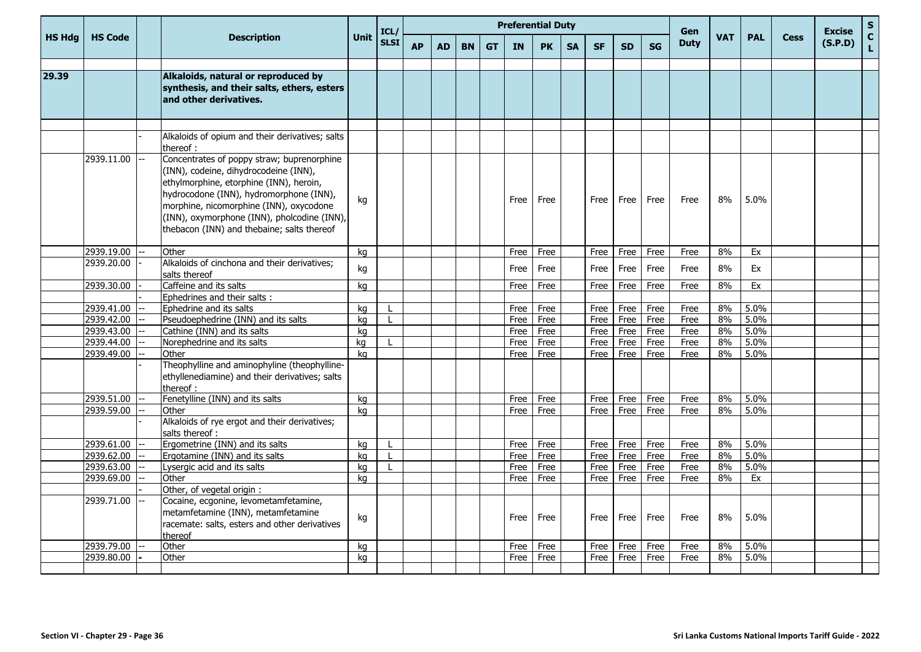|               |                |                                                                                                                                                                                                                                                                                                                   |             | ICL/         |           |           |           |           | <b>Preferential Duty</b> |           |           |             |           |           | Gen         |            |            |             | <b>Excise</b> | S                  |
|---------------|----------------|-------------------------------------------------------------------------------------------------------------------------------------------------------------------------------------------------------------------------------------------------------------------------------------------------------------------|-------------|--------------|-----------|-----------|-----------|-----------|--------------------------|-----------|-----------|-------------|-----------|-----------|-------------|------------|------------|-------------|---------------|--------------------|
| <b>HS Hdg</b> | <b>HS Code</b> | <b>Description</b>                                                                                                                                                                                                                                                                                                | <b>Unit</b> | <b>SLSI</b>  | <b>AP</b> | <b>AD</b> | <b>BN</b> | <b>GT</b> | <b>IN</b>                | <b>PK</b> | <b>SA</b> | <b>SF</b>   | <b>SD</b> | <b>SG</b> | <b>Duty</b> | <b>VAT</b> | <b>PAL</b> | <b>Cess</b> | (S.P.D)       | $\mathbf{C}$<br>L. |
| 29.39         |                | Alkaloids, natural or reproduced by<br>synthesis, and their salts, ethers, esters<br>and other derivatives.                                                                                                                                                                                                       |             |              |           |           |           |           |                          |           |           |             |           |           |             |            |            |             |               |                    |
|               |                |                                                                                                                                                                                                                                                                                                                   |             |              |           |           |           |           |                          |           |           |             |           |           |             |            |            |             |               |                    |
|               |                | Alkaloids of opium and their derivatives; salts<br>thereof:                                                                                                                                                                                                                                                       |             |              |           |           |           |           |                          |           |           |             |           |           |             |            |            |             |               |                    |
|               | 2939.11.00     | Concentrates of poppy straw; buprenorphine<br>(INN), codeine, dihydrocodeine (INN),<br>ethylmorphine, etorphine (INN), heroin,<br>hydrocodone (INN), hydromorphone (INN),<br>morphine, nicomorphine (INN), oxycodone<br>(INN), oxymorphone (INN), pholcodine (INN),<br>thebacon (INN) and thebaine; salts thereof | kg          |              |           |           |           |           | Free                     | Free      |           | Free        | Free      | Free      | Free        | 8%         | 5.0%       |             |               |                    |
|               | 2939.19.00     | Other                                                                                                                                                                                                                                                                                                             | kg          |              |           |           |           |           | Free                     | Free      |           | Free        | Free      | Free      | Free        | 8%         | Ex         |             |               |                    |
|               | 2939.20.00     | Alkaloids of cinchona and their derivatives;<br>salts thereof                                                                                                                                                                                                                                                     | kg          |              |           |           |           |           | Free                     | Free      |           | Free        | Free      | Free      | Free        | 8%         | Ex         |             |               |                    |
|               | 2939.30.00     | Caffeine and its salts                                                                                                                                                                                                                                                                                            | kg          |              |           |           |           |           | Free                     | Free      |           | Free        | Free      | Free      | Free        | 8%         | Ex         |             |               |                    |
|               |                | Ephedrines and their salts:                                                                                                                                                                                                                                                                                       |             |              |           |           |           |           |                          |           |           |             |           |           |             |            |            |             |               |                    |
|               | 2939.41.00     | Ephedrine and its salts                                                                                                                                                                                                                                                                                           | ka          |              |           |           |           |           | Free                     | Free      |           | Free        | Free      | Free      | Free        | 8%         | 5.0%       |             |               |                    |
|               | 2939.42.00     | Pseudoephedrine (INN) and its salts                                                                                                                                                                                                                                                                               | kg          | L            |           |           |           |           | Free                     | Free      |           | Free        | Free      | Free      | Free        | 8%         | 5.0%       |             |               |                    |
|               | 2939.43.00     | Cathine (INN) and its salts                                                                                                                                                                                                                                                                                       | kg          |              |           |           |           |           | Free                     | Free      |           | Free        | Free      | Free      | Free        | 8%         | 5.0%       |             |               |                    |
|               | 2939.44.00     | Norephedrine and its salts                                                                                                                                                                                                                                                                                        | kg          | L            |           |           |           |           | Free                     | Free      |           | Free        | Free      | Free      | Free        | 8%         | 5.0%       |             |               |                    |
|               | 2939.49.00     | Other<br>Theophylline and aminophyline (theophylline-<br>ethyllenediamine) and their derivatives; salts<br>thereof:                                                                                                                                                                                               | ka          |              |           |           |           |           | Free                     | Free      |           | Free        | Free      | Free      | Free        | 8%         | 5.0%       |             |               |                    |
|               | 2939.51.00     | Fenetylline (INN) and its salts                                                                                                                                                                                                                                                                                   | kg          |              |           |           |           |           | Free                     | Free      |           | Free        | Free      | Free      | Free        | 8%         | 5.0%       |             |               |                    |
|               | 2939.59.00     | Other                                                                                                                                                                                                                                                                                                             | ka          |              |           |           |           |           | Free                     | Free      |           | Free        | Free      | Free      | Free        | 8%         | 5.0%       |             |               |                    |
|               |                | Alkaloids of rye ergot and their derivatives;<br>salts thereof:                                                                                                                                                                                                                                                   |             |              |           |           |           |           |                          |           |           |             |           |           |             |            |            |             |               |                    |
|               | 2939.61.00     | Ergometrine (INN) and its salts                                                                                                                                                                                                                                                                                   | kg          |              |           |           |           |           | Free                     | Free      |           | Free        | Free      | Free      | Free        | 8%         | 5.0%       |             |               |                    |
|               | 2939.62.00     | Ergotamine (INN) and its salts                                                                                                                                                                                                                                                                                    | kg          | $\mathbf{I}$ |           |           |           |           | Free                     | Free      |           | Free        | Free      | Free      | Free        | 8%         | 5.0%       |             |               |                    |
|               | 2939.63.00     | Lysergic acid and its salts                                                                                                                                                                                                                                                                                       | ka          |              |           |           |           |           | Free                     | Free      |           | Free        | Free      | Free      | Free        | 8%         | 5.0%       |             |               |                    |
|               | 2939.69.00     | Other                                                                                                                                                                                                                                                                                                             | kg          |              |           |           |           |           | Free                     | Free      |           | Free        | Free      | Free      | Free        | 8%         | Ex         |             |               |                    |
|               | 2939.71.00     | Other, of vegetal origin :<br>Cocaine, ecgonine, levometamfetamine,<br>metamfetamine (INN), metamfetamine<br>racemate: salts, esters and other derivatives<br>thereof                                                                                                                                             | kg          |              |           |           |           |           | Free                     | Free      |           | Free        | Free      | Free      | Free        | 8%         | 5.0%       |             |               |                    |
|               | 2939.79.00     | Other                                                                                                                                                                                                                                                                                                             | kg          |              |           |           |           |           | Free                     | Free      |           | <b>Free</b> | Free      | Free      | Free        | 8%         | 5.0%       |             |               |                    |
|               | 2939.80.00     | Other                                                                                                                                                                                                                                                                                                             | kg          |              |           |           |           |           | Free                     | Free      |           | Free        | Free      | Free      | Free        | 8%         | 5.0%       |             |               |                    |
|               |                |                                                                                                                                                                                                                                                                                                                   |             |              |           |           |           |           |                          |           |           |             |           |           |             |            |            |             |               |                    |